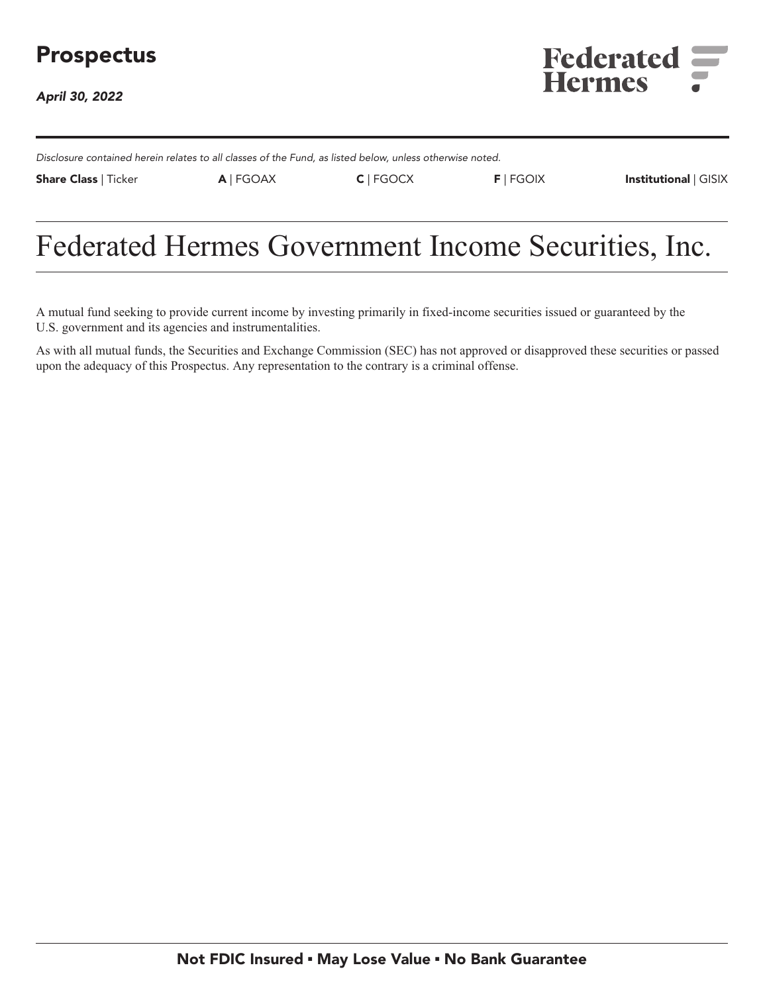## **Prospectus**

**April 30, 2022**



**Disclosure contained herein relates to all classes of the Fund, as listed below, unless otherwise noted.**

**Share Class | Ticker A | FGOAX C | FGOCX F | FGOIX Institutional | GISIX**

# **Federated Hermes Government Income Securities, Inc.**

**A mutual fund seeking to provide current income by investing primarily in fixed-income securities issued or guaranteed by the U.S. government and its agencies and instrumentalities.**

**As with all mutual funds, the Securities and Exchange Commission (SEC) has not approved or disapproved these securities or passed upon the adequacy of this Prospectus. Any representation to the contrary is a criminal offense.**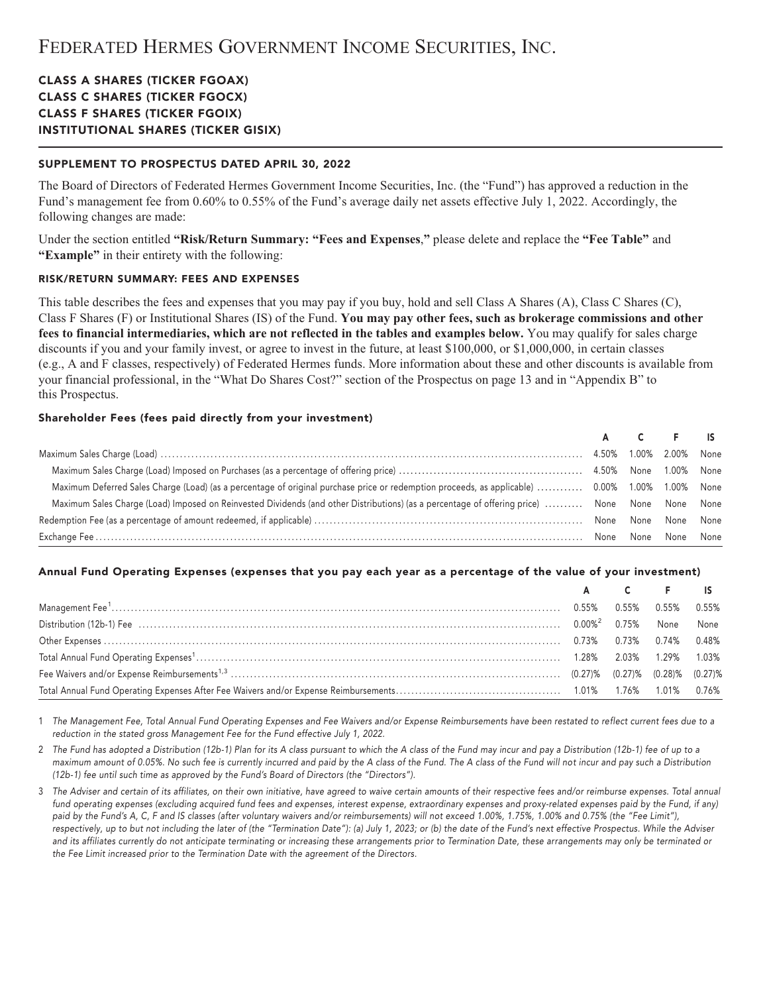## **CLASS A SHARES (TICKER FGOAX) CLASS C SHARES (TICKER FGOCX) CLASS F SHARES (TICKER FGOIX) INSTITUTIONAL SHARES (TICKER GISIX)**

## **SUPPLEMENT TO PROSPECTUS DATED APRIL 30, 2022**

**The Board of Directors of Federated Hermes Government Income Securities, Inc. (the "Fund") has approved a reduction in the Fund's management fee from 0.60% to 0.55% of the Fund's average daily net assets effective July 1, 2022. Accordingly, the following changes are made:**

**Under the section entitled "Risk/Return Summary: "Fees and Expenses," please delete and replace the "Fee Table" and "Example" in their entirety with the following:**

#### **RISK/RETURN SUMMARY: FEES AND EXPENSES**

**This table describes the fees and expenses that you may pay if you buy, hold and sell Class A Shares (A), Class C Shares (C), Class F Shares (F) or Institutional Shares (IS) of the Fund. You may pay other fees, such as brokerage commissions and other fees to financial intermediaries, which are not reflected in the tables and examples below. You may qualify for sales charge discounts if you and your family invest, or agree to invest in the future, at least \$100,000, or \$1,000,000, in certain classes (e.g., A and F classes, respectively) of Federated Hermes funds. More information about these and other discounts is available from your financial professional, in the "What Do Shares Cost?" section of the Prospectus on page 13 and in "Appendix B" to this Prospectus.**

#### **Shareholder Fees (fees paid directly from your investment)**

|                                                                                                                                                 |  | A C F IS            |  |
|-------------------------------------------------------------------------------------------------------------------------------------------------|--|---------------------|--|
|                                                                                                                                                 |  |                     |  |
|                                                                                                                                                 |  |                     |  |
| Maximum Deferred Sales Charge (Load) (as a percentage of original purchase price or redemption proceeds, as applicable)  0.00% 1.00% 1.00% None |  |                     |  |
| Maximum Sales Charge (Load) Imposed on Reinvested Dividends (and other Distributions) (as a percentage of offering price)  None None None None  |  |                     |  |
|                                                                                                                                                 |  |                     |  |
|                                                                                                                                                 |  | None None None None |  |

## **Annual Fund Operating Expenses (expenses that you pay each year as a percentage of the value of your investment)**

|  | A C F IS |  |
|--|----------|--|
|  |          |  |
|  |          |  |
|  |          |  |
|  |          |  |
|  |          |  |
|  |          |  |

**1 The Management Fee, Total Annual Fund Operating Expenses and Fee Waivers and/or Expense Reimbursements have been restated to reflect current fees due to a reduction in the stated gross Management Fee for the Fund effective July 1, 2022.**

**2 The Fund has adopted a Distribution (12b-1) Plan for its A class pursuant to which the A class of the Fund may incur and pay a Distribution (12b-1) fee of up to a maximum amount of 0.05%. No such fee is currently incurred and paid by the A class of the Fund. The A class of the Fund will not incur and pay such a Distribution (12b-1) fee until such time as approved by the Fund's Board of Directors (the "Directors").**

**3 The Adviser and certain of its affiliates, on their own initiative, have agreed to waive certain amounts of their respective fees and/or reimburse expenses. Total annual fund operating expenses (excluding acquired fund fees and expenses, interest expense, extraordinary expenses and proxy-related expenses paid by the Fund, if any) paid by the Fund's A, C, F and IS classes (after voluntary waivers and/or reimbursements) will not exceed 1.00%, 1.75%, 1.00% and 0.75% (the "Fee Limit"), respectively, up to but not including the later of (the "Termination Date"): (a) July 1, 2023; or (b) the date of the Fund's next effective Prospectus. While the Adviser and its affiliates currently do not anticipate terminating or increasing these arrangements prior to Termination Date, these arrangements may only be terminated or the Fee Limit increased prior to the Termination Date with the agreement of the Directors.**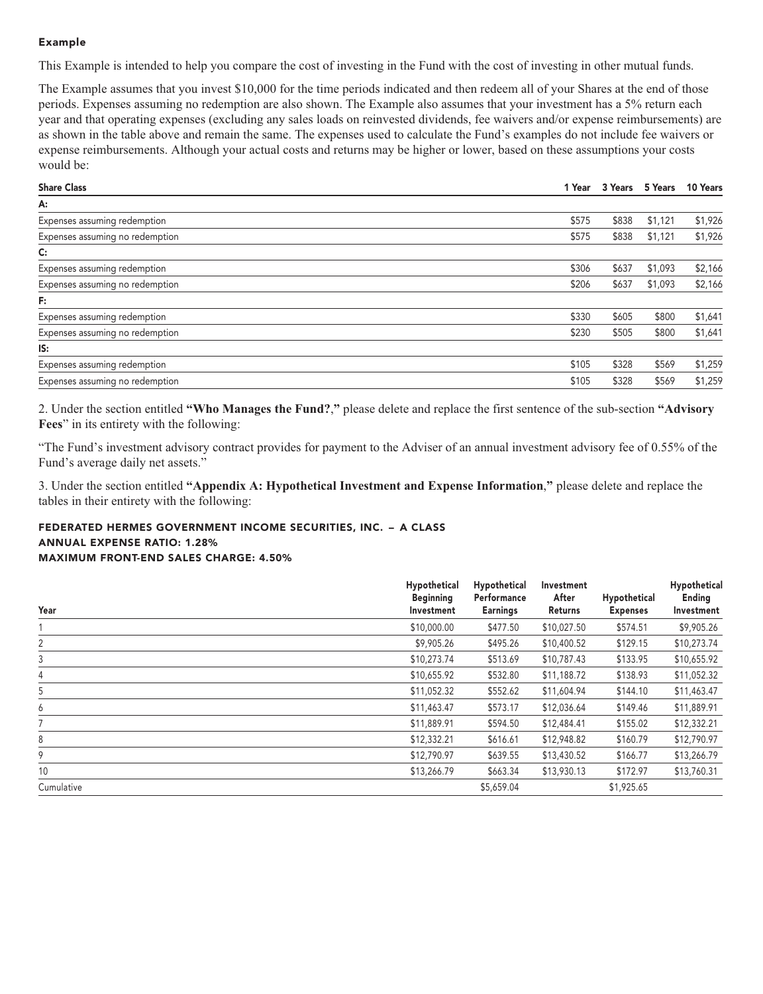## **Example**

**This Example is intended to help you compare the cost of investing in the Fund with the cost of investing in other mutual funds.**

**The Example assumes that you invest \$10,000 for the time periods indicated and then redeem all of your Shares at the end of those periods. Expenses assuming no redemption are also shown. The Example also assumes that your investment has a 5% return each year and that operating expenses (excluding any sales loads on reinvested dividends, fee waivers and/or expense reimbursements) are as shown in the table above and remain the same. The expenses used to calculate the Fund's examples do not include fee waivers or expense reimbursements. Although your actual costs and returns may be higher or lower, based on these assumptions your costs would be:**

| <b>Share Class</b>              | 1 Year | 3 Years 5 Years |         | 10 Years |
|---------------------------------|--------|-----------------|---------|----------|
| A:                              |        |                 |         |          |
| Expenses assuming redemption    | \$575  | \$838           | \$1,121 | \$1,926  |
| Expenses assuming no redemption | \$575  | \$838           | \$1,121 | \$1,926  |
| C:                              |        |                 |         |          |
| Expenses assuming redemption    | \$306  | \$637           | \$1,093 | \$2,166  |
| Expenses assuming no redemption | \$206  | \$637           | \$1,093 | \$2,166  |
| F:                              |        |                 |         |          |
| Expenses assuming redemption    | \$330  | \$605           | \$800   | \$1,641  |
| Expenses assuming no redemption | \$230  | \$505           | \$800   | \$1,641  |
| IS:                             |        |                 |         |          |
| Expenses assuming redemption    | \$105  | \$328           | \$569   | \$1,259  |
| Expenses assuming no redemption | \$105  | \$328           | \$569   | \$1,259  |

**2. Under the section entitled "Who Manages the Fund?," please delete and replace the first sentence of the sub-section "Advisory Fees" in its entirety with the following:**

**"The Fund's investment advisory contract provides for payment to the Adviser of an annual investment advisory fee of 0.55% of the Fund's average daily net assets."**

**3. Under the section entitled "Appendix A: Hypothetical Investment and Expense Information," please delete and replace the tables in their entirety with the following:**

## **FEDERATED HERMES GOVERNMENT INCOME SECURITIES, INC. – A CLASS ANNUAL EXPENSE RATIO: 1.28% MAXIMUM FRONT-END SALES CHARGE: 4.50%**

| Year       | Hypothetical<br><b>Beginning</b><br>Investment | Hypothetical<br>Performance<br><b>Earnings</b> | Investment<br>After<br>Returns | Hypothetical<br><b>Expenses</b> | Hypothetical<br><b>Ending</b><br>Investment |
|------------|------------------------------------------------|------------------------------------------------|--------------------------------|---------------------------------|---------------------------------------------|
|            | \$10,000.00                                    | \$477.50                                       | \$10,027.50                    | \$574.51                        | \$9,905.26                                  |
| 2          | \$9,905.26                                     | \$495.26                                       | \$10,400.52                    | \$129.15                        | \$10,273.74                                 |
| 3          | \$10,273.74                                    | \$513.69                                       | \$10,787.43                    | \$133.95                        | \$10,655.92                                 |
| 4          | \$10,655.92                                    | \$532.80                                       | \$11,188.72                    | \$138.93                        | \$11,052.32                                 |
| 5          | \$11,052.32                                    | \$552.62                                       | \$11,604.94                    | \$144.10                        | \$11,463.47                                 |
| 6          | \$11,463.47                                    | \$573.17                                       | \$12,036.64                    | \$149.46                        | \$11,889.91                                 |
|            | \$11,889.91                                    | \$594.50                                       | \$12,484.41                    | \$155.02                        | \$12,332.21                                 |
| 8          | \$12,332.21                                    | \$616.61                                       | \$12,948.82                    | \$160.79                        | \$12,790.97                                 |
| 9          | \$12,790.97                                    | \$639.55                                       | \$13,430.52                    | \$166.77                        | \$13,266.79                                 |
| 10         | \$13,266.79                                    | \$663.34                                       | \$13,930.13                    | \$172.97                        | \$13,760.31                                 |
| Cumulative |                                                | \$5,659.04                                     |                                | \$1,925.65                      |                                             |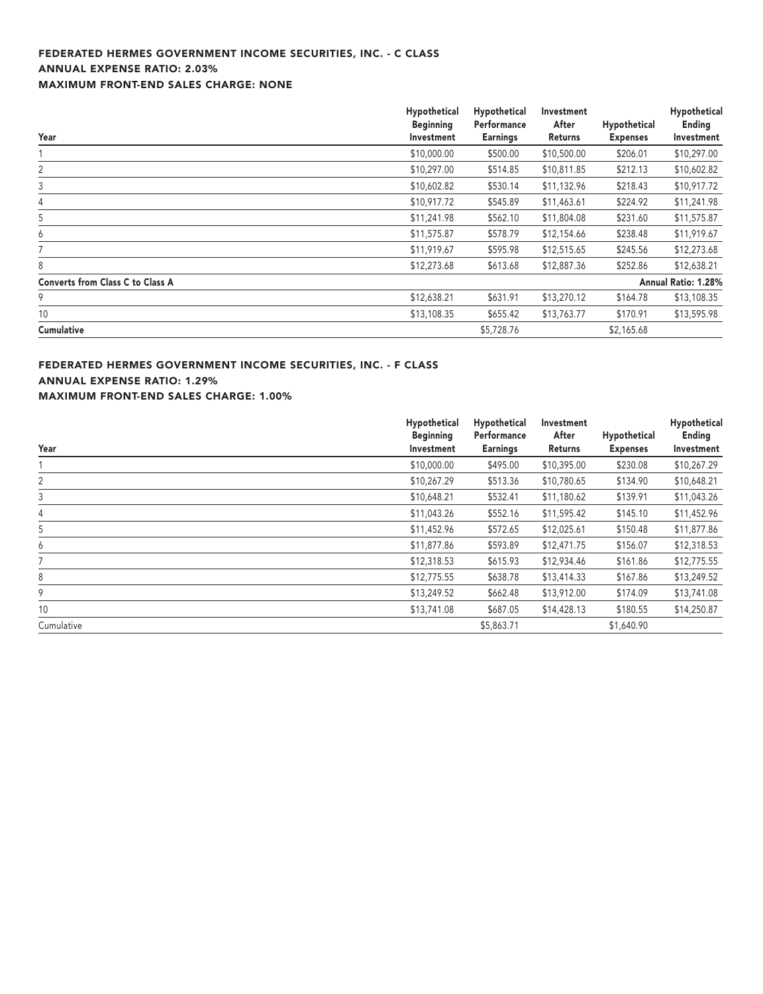## **FEDERATED HERMES GOVERNMENT INCOME SECURITIES, INC. - C CLASS ANNUAL EXPENSE RATIO: 2.03% MAXIMUM FRONT-END SALES CHARGE: NONE**

|                                         | Hypothetical<br><b>Beginning</b> | Hypothetical<br>Performance | Investment<br>After | Hypothetical    | Hypothetical<br>Ending |
|-----------------------------------------|----------------------------------|-----------------------------|---------------------|-----------------|------------------------|
| Year                                    | Investment                       | <b>Earnings</b>             | Returns             | <b>Expenses</b> | Investment             |
|                                         | \$10,000.00                      | \$500.00                    | \$10,500.00         | \$206.01        | \$10,297.00            |
| 2                                       | \$10,297.00                      | \$514.85                    | \$10,811.85         | \$212.13        | \$10,602.82            |
| 3                                       | \$10,602.82                      | \$530.14                    | \$11,132.96         | \$218.43        | \$10,917.72            |
| 4                                       | \$10,917.72                      | \$545.89                    | \$11,463.61         | \$224.92        | \$11,241.98            |
| 5                                       | \$11,241.98                      | \$562.10                    | \$11,804.08         | \$231.60        | \$11,575.87            |
| 6                                       | \$11,575.87                      | \$578.79                    | \$12,154.66         | \$238.48        | \$11,919.67            |
|                                         | \$11,919.67                      | \$595.98                    | \$12,515.65         | \$245.56        | \$12,273.68            |
| 8                                       | \$12,273.68                      | \$613.68                    | \$12,887.36         | \$252.86        | \$12,638.21            |
| <b>Converts from Class C to Class A</b> |                                  |                             |                     |                 | Annual Ratio: 1.28%    |
| 9                                       | \$12,638.21                      | \$631.91                    | \$13,270.12         | \$164.78        | \$13,108.35            |
| 10                                      | \$13,108.35                      | \$655.42                    | \$13,763.77         | \$170.91        | \$13,595.98            |
| <b>Cumulative</b>                       |                                  | \$5,728.76                  |                     | \$2,165.68      |                        |

**FEDERATED HERMES GOVERNMENT INCOME SECURITIES, INC. - F CLASS ANNUAL EXPENSE RATIO: 1.29% MAXIMUM FRONT-END SALES CHARGE: 1.00%**

|            | Hypothetical<br><b>Beginning</b> | Hypothetical<br>Performance | Investment<br>After | Hypothetical    | Hypothetical<br>Ending |
|------------|----------------------------------|-----------------------------|---------------------|-----------------|------------------------|
| Year       | Investment                       | <b>Earnings</b>             | <b>Returns</b>      | <b>Expenses</b> | Investment             |
|            | \$10,000.00                      | \$495.00                    | \$10,395.00         | \$230.08        | \$10,267.29            |
| 2          | \$10,267.29                      | \$513.36                    | \$10,780.65         | \$134.90        | \$10,648.21            |
| 3          | \$10,648.21                      | \$532.41                    | \$11,180.62         | \$139.91        | \$11,043.26            |
| 4          | \$11,043.26                      | \$552.16                    | \$11,595.42         | \$145.10        | \$11,452.96            |
| 5          | \$11,452.96                      | \$572.65                    | \$12,025.61         | \$150.48        | \$11,877.86            |
| 6          | \$11,877.86                      | \$593.89                    | \$12,471.75         | \$156.07        | \$12,318.53            |
|            | \$12,318.53                      | \$615.93                    | \$12,934.46         | \$161.86        | \$12,775.55            |
| 8          | \$12,775.55                      | \$638.78                    | \$13,414.33         | \$167.86        | \$13,249.52            |
| 9          | \$13,249.52                      | \$662.48                    | \$13,912.00         | \$174.09        | \$13,741.08            |
| 10         | \$13,741.08                      | \$687.05                    | \$14,428.13         | \$180.55        | \$14,250.87            |
| Cumulative |                                  | \$5,863.71                  |                     | \$1,640.90      |                        |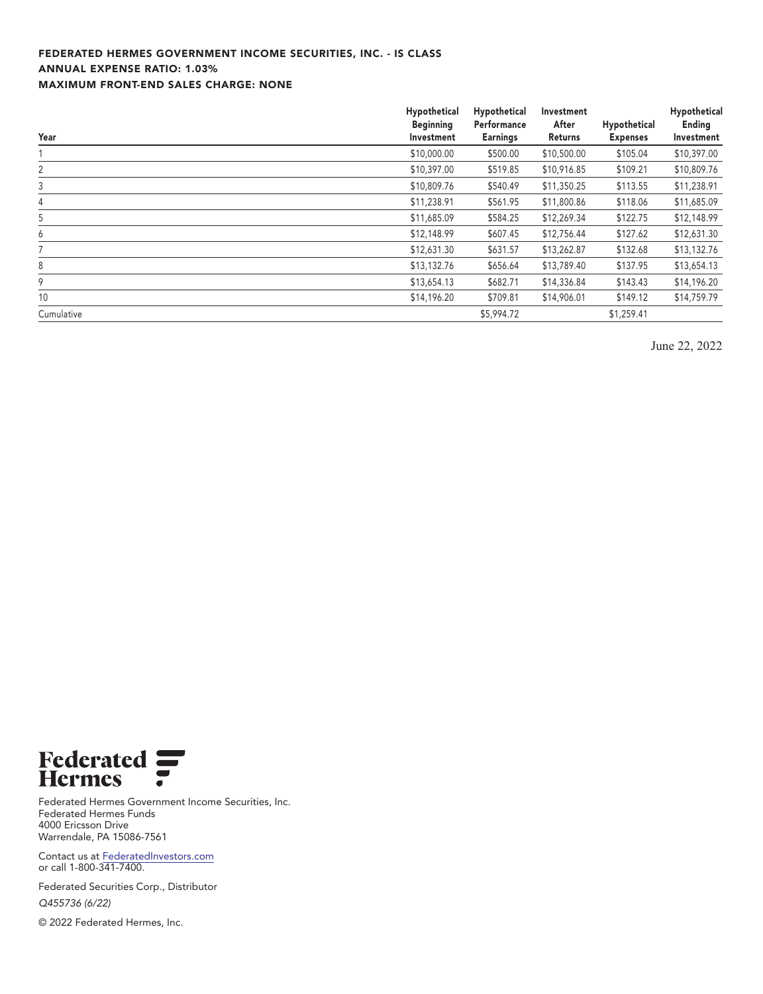## **FEDERATED HERMES GOVERNMENT INCOME SECURITIES, INC. - IS CLASS ANNUAL EXPENSE RATIO: 1.03% MAXIMUM FRONT-END SALES CHARGE: NONE**

| Year       | Hypothetical<br><b>Beginning</b><br>Investment | Hypothetical<br>Performance<br><b>Earnings</b> | Investment<br>After<br>Returns | Hypothetical<br><b>Expenses</b> | Hypothetical<br>Ending<br>Investment |
|------------|------------------------------------------------|------------------------------------------------|--------------------------------|---------------------------------|--------------------------------------|
|            | \$10,000.00                                    | \$500.00                                       | \$10,500.00                    | \$105.04                        | \$10,397.00                          |
| 2          | \$10,397.00                                    | \$519.85                                       | \$10,916.85                    | \$109.21                        | \$10,809.76                          |
| 3          | \$10,809.76                                    | \$540.49                                       | \$11,350.25                    | \$113.55                        | \$11,238.91                          |
| 4          | \$11,238.91                                    | \$561.95                                       | \$11,800.86                    | \$118.06                        | \$11,685.09                          |
| 5          | \$11,685.09                                    | \$584.25                                       | \$12,269.34                    | \$122.75                        | \$12,148.99                          |
| 6          | \$12,148.99                                    | \$607.45                                       | \$12,756.44                    | \$127.62                        | \$12,631.30                          |
|            | \$12,631.30                                    | \$631.57                                       | \$13,262.87                    | \$132.68                        | \$13,132.76                          |
| 8          | \$13,132.76                                    | \$656.64                                       | \$13,789.40                    | \$137.95                        | \$13,654.13                          |
| 9          | \$13,654.13                                    | \$682.71                                       | \$14,336.84                    | \$143.43                        | \$14,196.20                          |
| 10         | \$14,196.20                                    | \$709.81                                       | \$14,906.01                    | \$149.12                        | \$14,759.79                          |
| Cumulative |                                                | \$5,994.72                                     |                                | \$1,259.41                      |                                      |

**June 22, 2022**



**Federated Hermes Government Income Securities, Inc. Federated Hermes Funds 4000 Ericsson Drive Warrendale, PA 15086-7561**

**Contact us at [FederatedInvestors.com](https://www.federatedinvestors.com/home.do) or call 1-800-341-7400.**

**Federated Securities Corp., Distributor Q455736 (6/22)**

**© 2022 Federated Hermes, Inc.**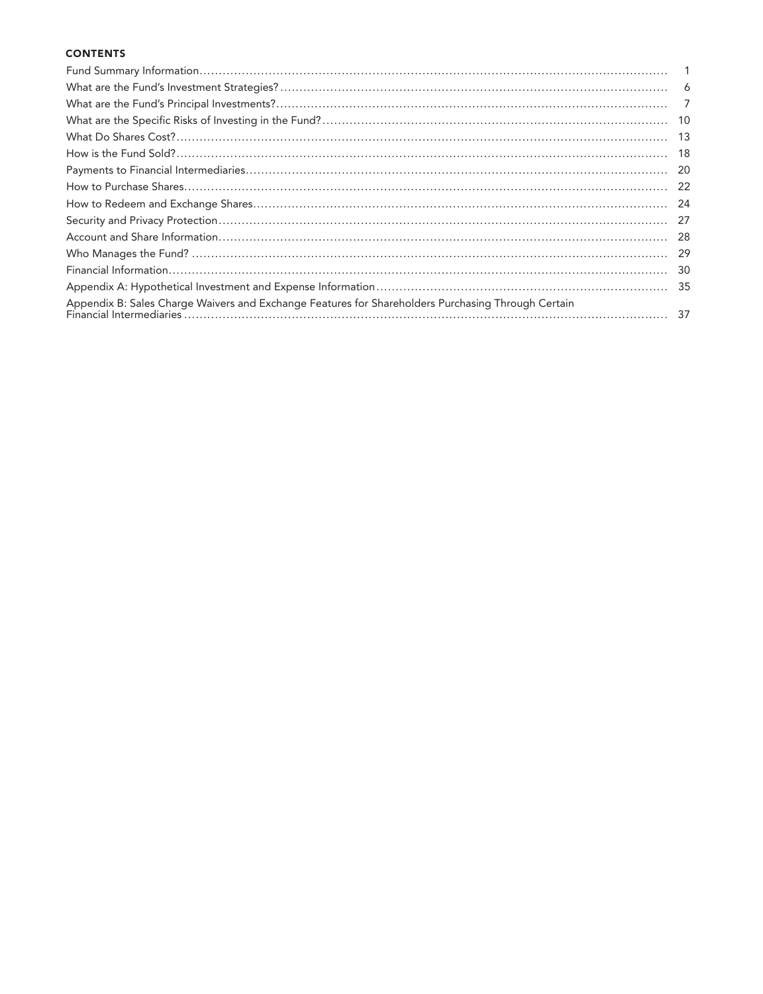## **CONTENTS**

|                                                                                                    | -10 |
|----------------------------------------------------------------------------------------------------|-----|
|                                                                                                    | -13 |
|                                                                                                    | -18 |
|                                                                                                    | -20 |
|                                                                                                    | -22 |
|                                                                                                    | -24 |
|                                                                                                    | 27  |
|                                                                                                    | -28 |
|                                                                                                    | -29 |
|                                                                                                    | -30 |
|                                                                                                    |     |
| Appendix B: Sales Charge Waivers and Exchange Features for Shareholders Purchasing Through Certain |     |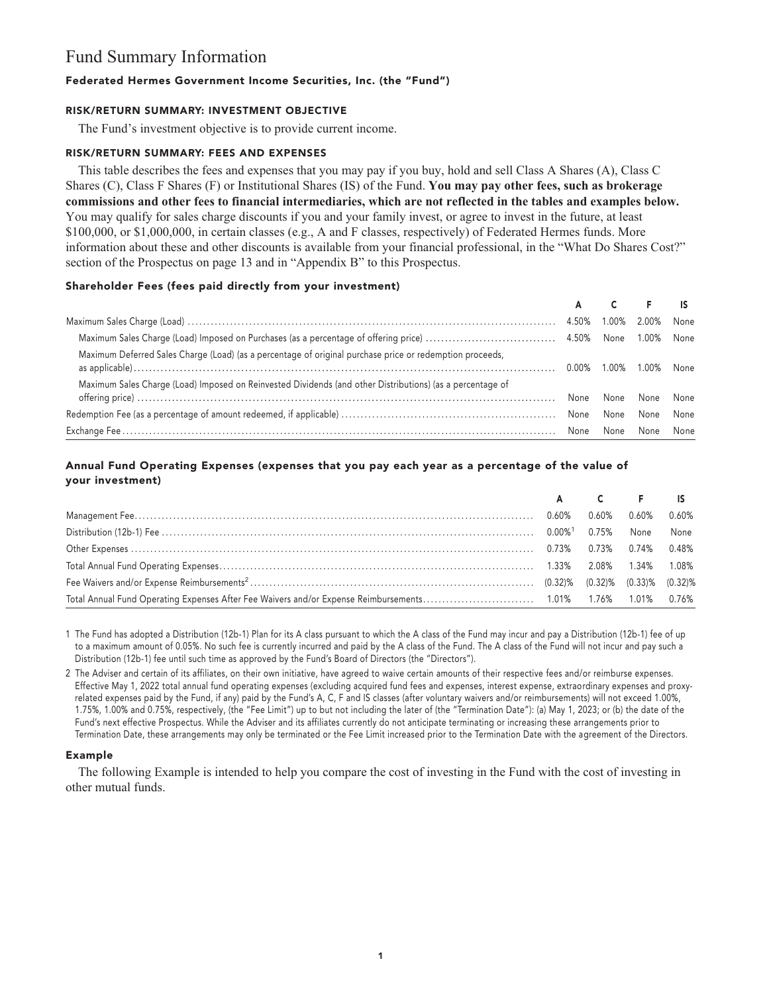## **Fund Summary Information**

## **Federated Hermes Government Income Securities, Inc. (the "Fund")**

#### **RISK/RETURN SUMMARY: INVESTMENT OBJECTIVE**

**The Fund's investment objective is to provide current income.**

#### **RISK/RETURN SUMMARY: FEES AND EXPENSES**

**This table describes the fees and expenses that you may pay if you buy, hold and sell Class A Shares (A), Class C Shares (C), Class F Shares (F) or Institutional Shares (IS) of the Fund. You may pay other fees, such as brokerage commissions and other fees to financial intermediaries, which are not reflected in the tables and examples below. You may qualify for sales charge discounts if you and your family invest, or agree to invest in the future, at least \$100,000, or \$1,000,000, in certain classes (e.g., A and F classes, respectively) of Federated Hermes funds. More information about these and other discounts is available from your financial professional, in the "What Do Shares Cost?" section of the Prospectus on page 13 and in "Appendix B" to this Prospectus.**

## **Shareholder Fees (fees paid directly from your investment)**

|                                                                                                           |      |       | $C \t F$   |      |
|-----------------------------------------------------------------------------------------------------------|------|-------|------------|------|
|                                                                                                           |      | 1.00% | 2.00%      | None |
|                                                                                                           |      |       |            |      |
| Maximum Deferred Sales Charge (Load) (as a percentage of original purchase price or redemption proceeds,  |      | 1.00% | 1.00% None |      |
| Maximum Sales Charge (Load) Imposed on Reinvested Dividends (and other Distributions) (as a percentage of | None | None  | None       | None |
|                                                                                                           |      | None  | None       | None |
|                                                                                                           |      | None  | None       | None |

## **Annual Fund Operating Expenses (expenses that you pay each year as a percentage of the value of your investment)**

|  | A C F IS |                            |  |
|--|----------|----------------------------|--|
|  |          | $0.60\%$ $0.60\%$ $0.60\%$ |  |
|  |          |                            |  |
|  |          |                            |  |
|  |          |                            |  |
|  |          |                            |  |
|  |          |                            |  |

**1 The Fund has adopted a Distribution (12b-1) Plan for its A class pursuant to which the A class of the Fund may incur and pay a Distribution (12b-1) fee of up to a maximum amount of 0.05%. No such fee is currently incurred and paid by the A class of the Fund. The A class of the Fund will not incur and pay such a Distribution (12b-1) fee until such time as approved by the Fund's Board of Directors (the "Directors").**

**2 The Adviser and certain of its affiliates, on their own initiative, have agreed to waive certain amounts of their respective fees and/or reimburse expenses. Effective May 1, 2022 total annual fund operating expenses (excluding acquired fund fees and expenses, interest expense, extraordinary expenses and proxyrelated expenses paid by the Fund, if any) paid by the Fund's A, C, F and IS classes (after voluntary waivers and/or reimbursements) will not exceed 1.00%, 1.75%, 1.00% and 0.75%, respectively, (the "Fee Limit") up to but not including the later of (the "Termination Date"): (a) May 1, 2023; or (b) the date of the Fund's next effective Prospectus. While the Adviser and its affiliates currently do not anticipate terminating or increasing these arrangements prior to Termination Date, these arrangements may only be terminated or the Fee Limit increased prior to the Termination Date with the agreement of the Directors.**

## **Example**

**The following Example is intended to help you compare the cost of investing in the Fund with the cost of investing in other mutual funds.**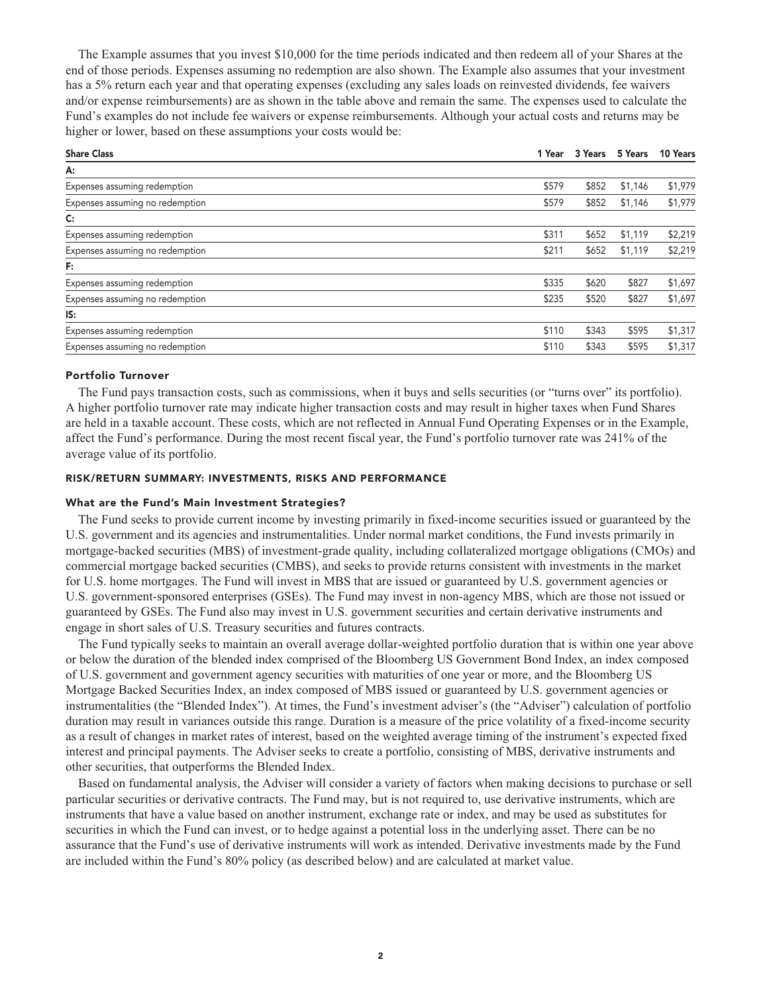**The Example assumes that you invest \$10,000 for the time periods indicated and then redeem all of your Shares at the end of those periods. Expenses assuming no redemption are also shown. The Example also assumes that your investment has a 5% return each year and that operating expenses (excluding any sales loads on reinvested dividends, fee waivers and/or expense reimbursements) are as shown in the table above and remain the same. The expenses used to calculate the Fund's examples do not include fee waivers or expense reimbursements. Although your actual costs and returns may be higher or lower, based on these assumptions your costs would be:**

| 1 Year | 3 Years | 5 Years | 10 Years |
|--------|---------|---------|----------|
|        |         |         |          |
| \$579  | \$852   | \$1,146 | \$1,979  |
| \$579  | \$852   | \$1,146 | \$1,979  |
|        |         |         |          |
| \$311  | \$652   | \$1,119 | \$2,219  |
| \$211  | \$652   | \$1,119 | \$2,219  |
|        |         |         |          |
| \$335  | \$620   | \$827   | \$1,697  |
| \$235  | \$520   | \$827   | \$1,697  |
|        |         |         |          |
| \$110  | \$343   | \$595   | \$1,317  |
| \$110  | \$343   | \$595   | \$1,317  |
|        |         |         |          |

#### **Portfolio Turnover**

**The Fund pays transaction costs, such as commissions, when it buys and sells securities (or "turns over" its portfolio). A higher portfolio turnover rate may indicate higher transaction costs and may result in higher taxes when Fund Shares are held in a taxable account. These costs, which are not reflected in Annual Fund Operating Expenses or in the Example, affect the Fund's performance. During the most recent fiscal year, the Fund's portfolio turnover rate was 241% of the average value of its portfolio.**

#### **RISK/RETURN SUMMARY: INVESTMENTS, RISKS AND PERFORMANCE**

#### **What are the Fund's Main Investment Strategies?**

**The Fund seeks to provide current income by investing primarily in fixed-income securities issued or guaranteed by the U.S. government and its agencies and instrumentalities. Under normal market conditions, the Fund invests primarily in mortgage-backed securities (MBS) of investment-grade quality, including collateralized mortgage obligations (CMOs) and commercial mortgage backed securities (CMBS), and seeks to provide returns consistent with investments in the market for U.S. home mortgages. The Fund will invest in MBS that are issued or guaranteed by U.S. government agencies or U.S. government-sponsored enterprises (GSEs). The Fund may invest in non-agency MBS, which are those not issued or guaranteed by GSEs. The Fund also may invest in U.S. government securities and certain derivative instruments and engage in short sales of U.S. Treasury securities and futures contracts.**

**The Fund typically seeks to maintain an overall average dollar-weighted portfolio duration that is within one year above or below the duration of the blended index comprised of the Bloomberg US Government Bond Index, an index composed of U.S. government and government agency securities with maturities of one year or more, and the Bloomberg US Mortgage Backed Securities Index, an index composed of MBS issued or guaranteed by U.S. government agencies or instrumentalities (the "Blended Index"). At times, the Fund's investment adviser's (the "Adviser") calculation of portfolio duration may result in variances outside this range. Duration is a measure of the price volatility of a fixed-income security as a result of changes in market rates of interest, based on the weighted average timing of the instrument's expected fixed interest and principal payments. The Adviser seeks to create a portfolio, consisting of MBS, derivative instruments and other securities, that outperforms the Blended Index.**

**Based on fundamental analysis, the Adviser will consider a variety of factors when making decisions to purchase or sell particular securities or derivative contracts. The Fund may, but is not required to, use derivative instruments, which are instruments that have a value based on another instrument, exchange rate or index, and may be used as substitutes for securities in which the Fund can invest, or to hedge against a potential loss in the underlying asset. There can be no assurance that the Fund's use of derivative instruments will work as intended. Derivative investments made by the Fund are included within the Fund's 80% policy (as described below) and are calculated at market value.**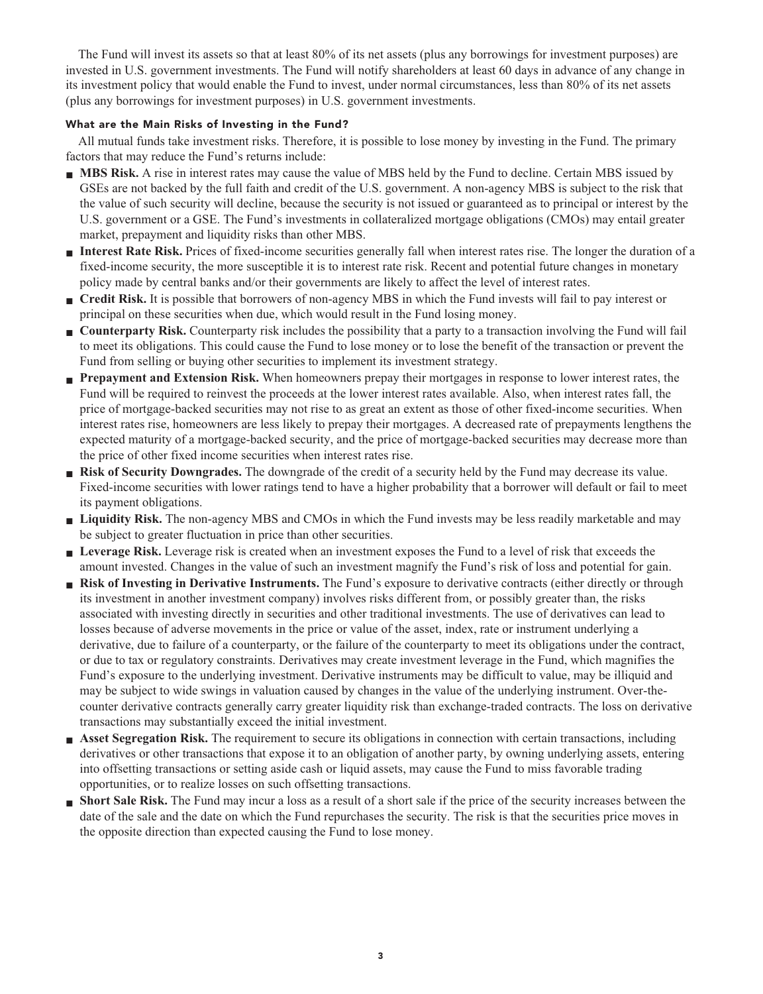**The Fund will invest its assets so that at least 80% of its net assets (plus any borrowings for investment purposes) are invested in U.S. government investments. The Fund will notify shareholders at least 60 days in advance of any change in its investment policy that would enable the Fund to invest, under normal circumstances, less than 80% of its net assets (plus any borrowings for investment purposes) in U.S. government investments.**

## **What are the Main Risks of Investing in the Fund?**

**All mutual funds take investment risks. Therefore, it is possible to lose money by investing in the Fund. The primary factors that may reduce the Fund's returns include:**

- **MBS Risk.** A rise in interest rates may cause the value of MBS held by the Fund to decline. Certain MBS issued by **GSEs are not backed by the full faith and credit of the U.S. government. A non-agency MBS is subject to the risk that the value of such security will decline, because the security is not issued or guaranteed as to principal or interest by the U.S. government or a GSE. The Fund's investments in collateralized mortgage obligations (CMOs) may entail greater market, prepayment and liquidity risks than other MBS.**
- **■ Interest Rate Risk. Prices of fixed-income securities generally fall when interest rates rise. The longer the duration of a fixed-income security, the more susceptible it is to interest rate risk. Recent and potential future changes in monetary policy made by central banks and/or their governments are likely to affect the level of interest rates.**
- **■ Credit Risk. It is possible that borrowers of non-agency MBS in which the Fund invests will fail to pay interest or principal on these securities when due, which would result in the Fund losing money.**
- **Counterparty Risk.** Counterparty risk includes the possibility that a party to a transaction involving the Fund will fail **to meet its obligations. This could cause the Fund to lose money or to lose the benefit of the transaction or prevent the Fund from selling or buying other securities to implement its investment strategy.**
- **■ Prepayment and Extension Risk. When homeowners prepay their mortgages in response to lower interest rates, the Fund will be required to reinvest the proceeds at the lower interest rates available. Also, when interest rates fall, the price of mortgage-backed securities may not rise to as great an extent as those of other fixed-income securities. When interest rates rise, homeowners are less likely to prepay their mortgages. A decreased rate of prepayments lengthens the expected maturity of a mortgage-backed security, and the price of mortgage-backed securities may decrease more than the price of other fixed income securities when interest rates rise.**
- **■ Risk of Security Downgrades. The downgrade of the credit of a security held by the Fund may decrease its value. Fixed-income securities with lower ratings tend to have a higher probability that a borrower will default or fail to meet its payment obligations.**
- **■ Liquidity Risk. The non-agency MBS and CMOs in which the Fund invests may be less readily marketable and may be subject to greater fluctuation in price than other securities.**
- **Leverage Risk.** Leverage risk is created when an investment exposes the Fund to a level of risk that exceeds the **amount invested. Changes in the value of such an investment magnify the Fund's risk of loss and potential for gain.**
- **■ Risk of Investing in Derivative Instruments. The Fund's exposure to derivative contracts (either directly or through its investment in another investment company) involves risks different from, or possibly greater than, the risks associated with investing directly in securities and other traditional investments. The use of derivatives can lead to losses because of adverse movements in the price or value of the asset, index, rate or instrument underlying a derivative, due to failure of a counterparty, or the failure of the counterparty to meet its obligations under the contract, or due to tax or regulatory constraints. Derivatives may create investment leverage in the Fund, which magnifies the Fund's exposure to the underlying investment. Derivative instruments may be difficult to value, may be illiquid and may be subject to wide swings in valuation caused by changes in the value of the underlying instrument. Over-thecounter derivative contracts generally carry greater liquidity risk than exchange-traded contracts. The loss on derivative transactions may substantially exceed the initial investment.**
- **■ Asset Segregation Risk. The requirement to secure its obligations in connection with certain transactions, including derivatives or other transactions that expose it to an obligation of another party, by owning underlying assets, entering into offsetting transactions or setting aside cash or liquid assets, may cause the Fund to miss favorable trading opportunities, or to realize losses on such offsetting transactions.**
- **■ Short Sale Risk.** The Fund may incur a loss as a result of a short sale if the price of the security increases between the **date of the sale and the date on which the Fund repurchases the security. The risk is that the securities price moves in the opposite direction than expected causing the Fund to lose money.**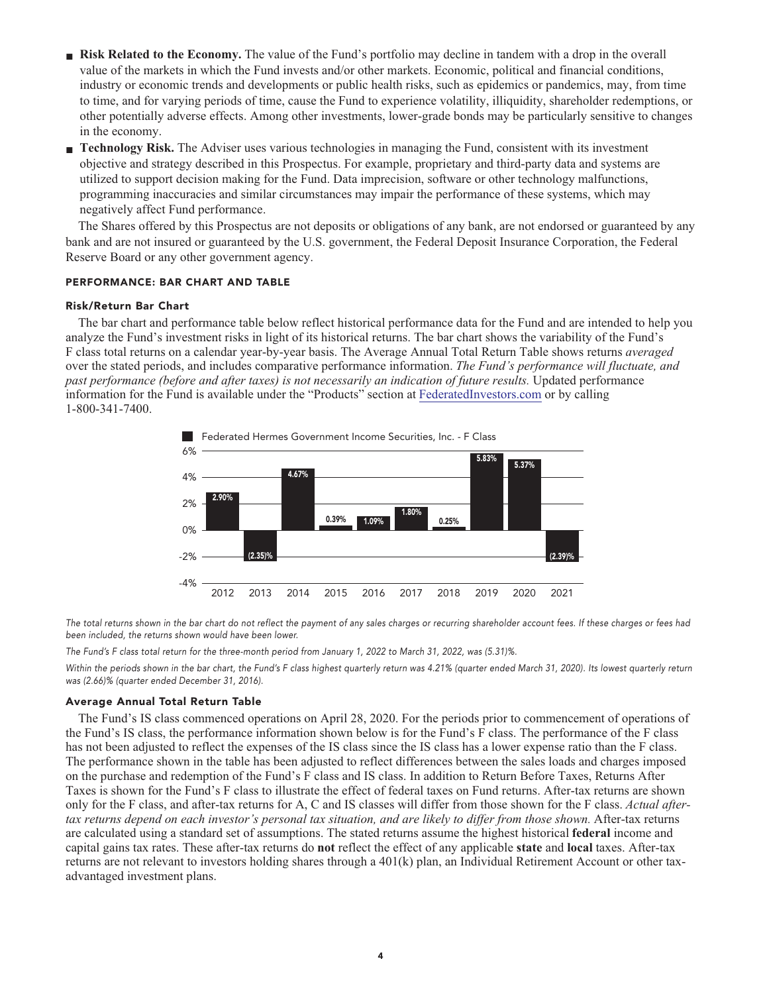- **Risk Related to the Economy.** The value of the Fund's portfolio may decline in tandem with a drop in the overall **value of the markets in which the Fund invests and/or other markets. Economic, political and financial conditions, industry or economic trends and developments or public health risks, such as epidemics or pandemics, may, from time to time, and for varying periods of time, cause the Fund to experience volatility, illiquidity, shareholder redemptions, or other potentially adverse effects. Among other investments, lower-grade bonds may be particularly sensitive to changes in the economy.**
- **■ Technology Risk. The Adviser uses various technologies in managing the Fund, consistent with its investment objective and strategy described in this Prospectus. For example, proprietary and third-party data and systems are utilized to support decision making for the Fund. Data imprecision, software or other technology malfunctions, programming inaccuracies and similar circumstances may impair the performance of these systems, which may negatively affect Fund performance.**

**The Shares offered by this Prospectus are not deposits or obligations of any bank, are not endorsed or guaranteed by any bank and are not insured or guaranteed by the U.S. government, the Federal Deposit Insurance Corporation, the Federal Reserve Board or any other government agency.**

#### **PERFORMANCE: BAR CHART AND TABLE**

#### **Risk/Return Bar Chart**

**The bar chart and performance table below reflect historical performance data for the Fund and are intended to help you analyze the Fund's investment risks in light of its historical returns. The bar chart shows the variability of the Fund's F class total returns on a calendar year-by-year basis. The Average Annual Total Return Table shows returns** *averaged* **over the stated periods, and includes comparative performance information.** *The Fund's performance will fluctuate, and past performance (before and after taxes) is not necessarily an indication of future results.* **Updated performance information for the Fund is available under the "Products" section at [FederatedInvestors.com](https://www.federatedinvestors.com/home.do) or by calling 1-800-341-7400.**



**The total returns shown in the bar chart do not reflect the payment of any sales charges or recurring shareholder account fees. If these charges or fees had been included, the returns shown would have been lower.**

**The Fund's F class total return for the three-month period from January 1, 2022 to March 31, 2022, was (5.31)%.**

**Within the periods shown in the bar chart, the Fund's F class highest quarterly return was 4.21% (quarter ended March 31, 2020). Its lowest quarterly return was (2.66)% (quarter ended December 31, 2016).**

#### **Average Annual Total Return Table**

**The Fund's IS class commenced operations on April 28, 2020. For the periods prior to commencement of operations of the Fund's IS class, the performance information shown below is for the Fund's F class. The performance of the F class has not been adjusted to reflect the expenses of the IS class since the IS class has a lower expense ratio than the F class. The performance shown in the table has been adjusted to reflect differences between the sales loads and charges imposed on the purchase and redemption of the Fund's F class and IS class. In addition to Return Before Taxes, Returns After Taxes is shown for the Fund's F class to illustrate the effect of federal taxes on Fund returns. After-tax returns are shown only for the F class, and after-tax returns for A, C and IS classes will differ from those shown for the F class.** *Actual aftertax returns depend on each investor's personal tax situation, and are likely to differ from those shown.* **After-tax returns are calculated using a standard set of assumptions. The stated returns assume the highest historical federal income and capital gains tax rates. These after-tax returns do not reflect the effect of any applicable state and local taxes. After-tax returns are not relevant to investors holding shares through a 401(k) plan, an Individual Retirement Account or other taxadvantaged investment plans.**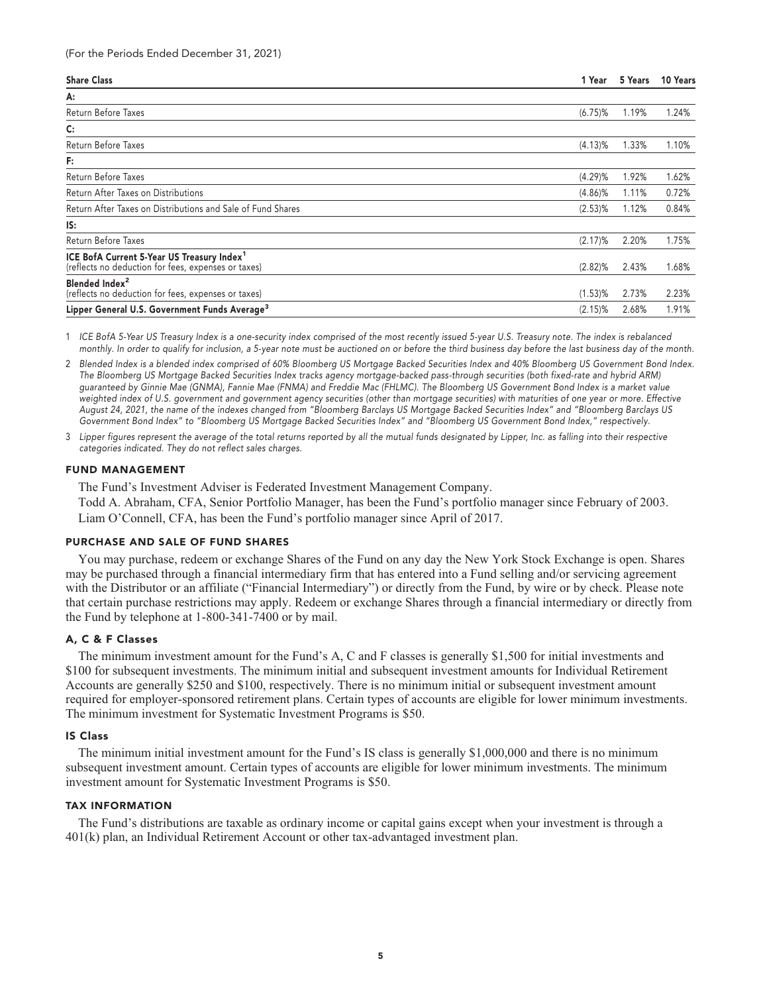| <b>Share Class</b>                                                                                            | 1 Year     | 5 Years | 10 Years |
|---------------------------------------------------------------------------------------------------------------|------------|---------|----------|
| А:                                                                                                            |            |         |          |
| Return Before Taxes                                                                                           | $(6.75)\%$ | 1.19%   | 1.24%    |
| C:                                                                                                            |            |         |          |
| Return Before Taxes                                                                                           | $(4.13)\%$ | 1.33%   | 1.10%    |
| F:                                                                                                            |            |         |          |
| Return Before Taxes                                                                                           | (4.29)%    | 1.92%   | 1.62%    |
| Return After Taxes on Distributions                                                                           | $(4.86)\%$ | 1.11%   | 0.72%    |
| Return After Taxes on Distributions and Sale of Fund Shares                                                   | $(2.53)$ % | 1.12%   | 0.84%    |
| IS:                                                                                                           |            |         |          |
| Return Before Taxes                                                                                           | $(2.17)\%$ | 2.20%   | 1.75%    |
| ICE BofA Current 5-Year US Treasury Index <sup>1</sup><br>(reflects no deduction for fees, expenses or taxes) | $(2.82)\%$ | 2.43%   | 1.68%    |
| Blended Index <sup>2</sup><br>(reflects no deduction for fees, expenses or taxes)                             | $(1.53)\%$ | 2.73%   | 2.23%    |
| Lipper General U.S. Government Funds Average <sup>3</sup>                                                     | $(2.15)\%$ | 2.68%   | 1.91%    |

**1 ICE BofA 5-Year US Treasury Index is a one-security index comprised of the most recently issued 5-year U.S. Treasury note. The index is rebalanced monthly. In order to qualify for inclusion, a 5-year note must be auctioned on or before the third business day before the last business day of the month.**

**2 Blended Index is a blended index comprised of 60% Bloomberg US Mortgage Backed Securities Index and 40% Bloomberg US Government Bond Index. The Bloomberg US Mortgage Backed Securities Index tracks agency mortgage-backed pass-through securities (both fixed-rate and hybrid ARM) guaranteed by Ginnie Mae (GNMA), Fannie Mae (FNMA) and Freddie Mac (FHLMC). The Bloomberg US Government Bond Index is a market value weighted index of U.S. government and government agency securities (other than mortgage securities) with maturities of one year or more. Effective August 24, 2021, the name of the indexes changed from "Bloomberg Barclays US Mortgage Backed Securities Index" and "Bloomberg Barclays US Government Bond Index" to "Bloomberg US Mortgage Backed Securities Index" and "Bloomberg US Government Bond Index," respectively.**

**3 Lipper figures represent the average of the total returns reported by all the mutual funds designated by Lipper, Inc. as falling into their respective categories indicated. They do not reflect sales charges.**

#### **FUND MANAGEMENT**

**The Fund's Investment Adviser is Federated Investment Management Company.**

**Todd A. Abraham, CFA, Senior Portfolio Manager, has been the Fund's portfolio manager since February of 2003. Liam O'Connell, CFA, has been the Fund's portfolio manager since April of 2017.**

#### **PURCHASE AND SALE OF FUND SHARES**

**You may purchase, redeem or exchange Shares of the Fund on any day the New York Stock Exchange is open. Shares may be purchased through a financial intermediary firm that has entered into a Fund selling and/or servicing agreement with the Distributor or an affiliate ("Financial Intermediary") or directly from the Fund, by wire or by check. Please note that certain purchase restrictions may apply. Redeem or exchange Shares through a financial intermediary or directly from the Fund by telephone at 1-800-341-7400 or by mail.**

#### **A, C & F Classes**

**The minimum investment amount for the Fund's A, C and F classes is generally \$1,500 for initial investments and \$100 for subsequent investments. The minimum initial and subsequent investment amounts for Individual Retirement Accounts are generally \$250 and \$100, respectively. There is no minimum initial or subsequent investment amount required for employer-sponsored retirement plans. Certain types of accounts are eligible for lower minimum investments. The minimum investment for Systematic Investment Programs is \$50.**

#### **IS Class**

**The minimum initial investment amount for the Fund's IS class is generally \$1,000,000 and there is no minimum subsequent investment amount. Certain types of accounts are eligible for lower minimum investments. The minimum investment amount for Systematic Investment Programs is \$50.**

#### **TAX INFORMATION**

**The Fund's distributions are taxable as ordinary income or capital gains except when your investment is through a 401(k) plan, an Individual Retirement Account or other tax-advantaged investment plan.**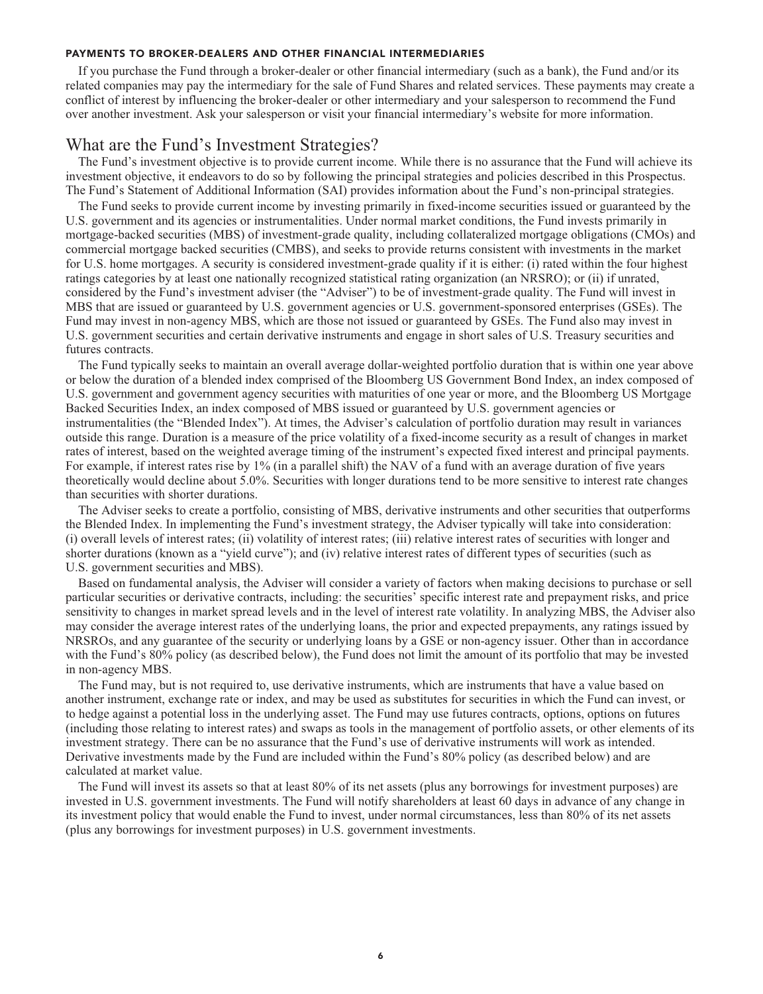#### **PAYMENTS TO BROKER-DEALERS AND OTHER FINANCIAL INTERMEDIARIES**

**If you purchase the Fund through a broker-dealer or other financial intermediary (such as a bank), the Fund and/or its related companies may pay the intermediary for the sale of Fund Shares and related services. These payments may create a conflict of interest by influencing the broker-dealer or other intermediary and your salesperson to recommend the Fund over another investment. Ask your salesperson or visit your financial intermediary's website for more information.**

## **What are the Fund's Investment Strategies?**

**The Fund's investment objective is to provide current income. While there is no assurance that the Fund will achieve its investment objective, it endeavors to do so by following the principal strategies and policies described in this Prospectus. The Fund's Statement of Additional Information (SAI) provides information about the Fund's non-principal strategies.**

**The Fund seeks to provide current income by investing primarily in fixed-income securities issued or guaranteed by the U.S. government and its agencies or instrumentalities. Under normal market conditions, the Fund invests primarily in mortgage-backed securities (MBS) of investment-grade quality, including collateralized mortgage obligations (CMOs) and commercial mortgage backed securities (CMBS), and seeks to provide returns consistent with investments in the market for U.S. home mortgages. A security is considered investment-grade quality if it is either: (i) rated within the four highest ratings categories by at least one nationally recognized statistical rating organization (an NRSRO); or (ii) if unrated, considered by the Fund's investment adviser (the "Adviser") to be of investment-grade quality. The Fund will invest in MBS that are issued or guaranteed by U.S. government agencies or U.S. government-sponsored enterprises (GSEs). The Fund may invest in non-agency MBS, which are those not issued or guaranteed by GSEs. The Fund also may invest in U.S. government securities and certain derivative instruments and engage in short sales of U.S. Treasury securities and futures contracts.**

**The Fund typically seeks to maintain an overall average dollar-weighted portfolio duration that is within one year above or below the duration of a blended index comprised of the Bloomberg US Government Bond Index, an index composed of U.S. government and government agency securities with maturities of one year or more, and the Bloomberg US Mortgage Backed Securities Index, an index composed of MBS issued or guaranteed by U.S. government agencies or instrumentalities (the "Blended Index"). At times, the Adviser's calculation of portfolio duration may result in variances outside this range. Duration is a measure of the price volatility of a fixed-income security as a result of changes in market rates of interest, based on the weighted average timing of the instrument's expected fixed interest and principal payments. For example, if interest rates rise by 1% (in a parallel shift) the NAV of a fund with an average duration of five years theoretically would decline about 5.0%. Securities with longer durations tend to be more sensitive to interest rate changes than securities with shorter durations.**

**The Adviser seeks to create a portfolio, consisting of MBS, derivative instruments and other securities that outperforms the Blended Index. In implementing the Fund's investment strategy, the Adviser typically will take into consideration: (i) overall levels of interest rates; (ii) volatility of interest rates; (iii) relative interest rates of securities with longer and shorter durations (known as a "yield curve"); and (iv) relative interest rates of different types of securities (such as U.S. government securities and MBS).**

**Based on fundamental analysis, the Adviser will consider a variety of factors when making decisions to purchase or sell particular securities or derivative contracts, including: the securities' specific interest rate and prepayment risks, and price sensitivity to changes in market spread levels and in the level of interest rate volatility. In analyzing MBS, the Adviser also may consider the average interest rates of the underlying loans, the prior and expected prepayments, any ratings issued by NRSROs, and any guarantee of the security or underlying loans by a GSE or non-agency issuer. Other than in accordance with the Fund's 80% policy (as described below), the Fund does not limit the amount of its portfolio that may be invested in non-agency MBS.**

**The Fund may, but is not required to, use derivative instruments, which are instruments that have a value based on another instrument, exchange rate or index, and may be used as substitutes for securities in which the Fund can invest, or to hedge against a potential loss in the underlying asset. The Fund may use futures contracts, options, options on futures (including those relating to interest rates) and swaps as tools in the management of portfolio assets, or other elements of its investment strategy. There can be no assurance that the Fund's use of derivative instruments will work as intended. Derivative investments made by the Fund are included within the Fund's 80% policy (as described below) and are calculated at market value.**

**The Fund will invest its assets so that at least 80% of its net assets (plus any borrowings for investment purposes) are invested in U.S. government investments. The Fund will notify shareholders at least 60 days in advance of any change in its investment policy that would enable the Fund to invest, under normal circumstances, less than 80% of its net assets (plus any borrowings for investment purposes) in U.S. government investments.**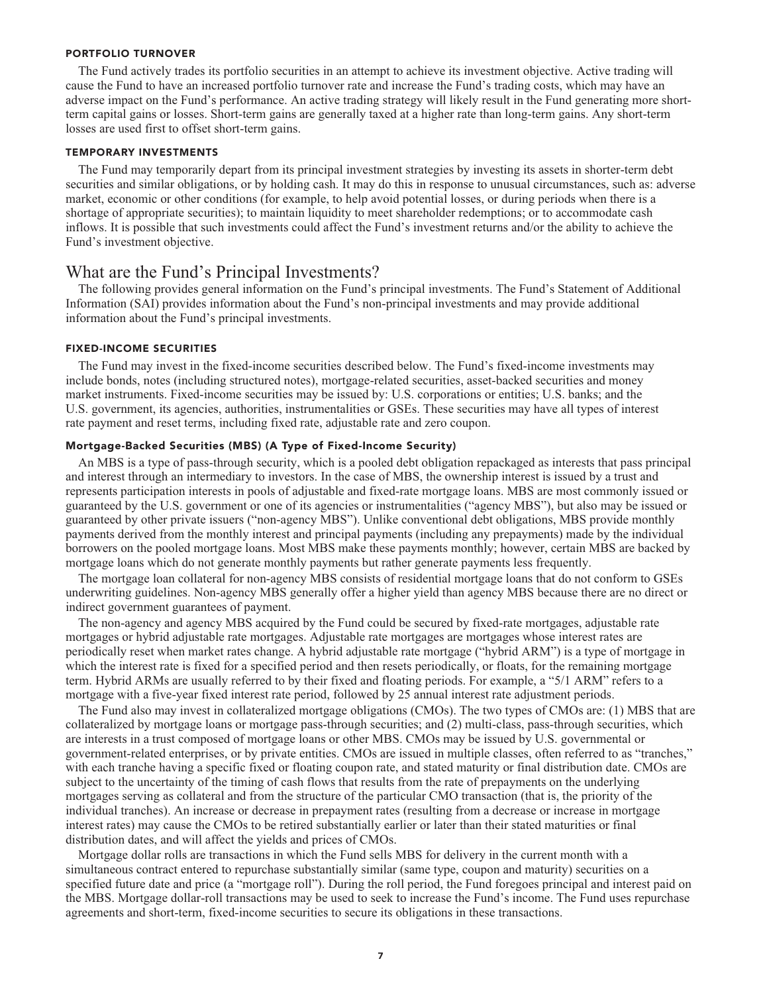#### **PORTFOLIO TURNOVER**

**The Fund actively trades its portfolio securities in an attempt to achieve its investment objective. Active trading will cause the Fund to have an increased portfolio turnover rate and increase the Fund's trading costs, which may have an adverse impact on the Fund's performance. An active trading strategy will likely result in the Fund generating more shortterm capital gains or losses. Short-term gains are generally taxed at a higher rate than long-term gains. Any short-term losses are used first to offset short-term gains.**

#### **TEMPORARY INVESTMENTS**

**The Fund may temporarily depart from its principal investment strategies by investing its assets in shorter-term debt securities and similar obligations, or by holding cash. It may do this in response to unusual circumstances, such as: adverse market, economic or other conditions (for example, to help avoid potential losses, or during periods when there is a shortage of appropriate securities); to maintain liquidity to meet shareholder redemptions; or to accommodate cash inflows. It is possible that such investments could affect the Fund's investment returns and/or the ability to achieve the Fund's investment objective.**

## **What are the Fund's Principal Investments?**

**The following provides general information on the Fund's principal investments. The Fund's Statement of Additional Information (SAI) provides information about the Fund's non-principal investments and may provide additional information about the Fund's principal investments.**

#### **FIXED-INCOME SECURITIES**

**The Fund may invest in the fixed-income securities described below. The Fund's fixed-income investments may include bonds, notes (including structured notes), mortgage-related securities, asset-backed securities and money market instruments. Fixed-income securities may be issued by: U.S. corporations or entities; U.S. banks; and the U.S. government, its agencies, authorities, instrumentalities or GSEs. These securities may have all types of interest rate payment and reset terms, including fixed rate, adjustable rate and zero coupon.**

#### **Mortgage-Backed Securities (MBS) (A Type of Fixed-Income Security)**

**An MBS is a type of pass-through security, which is a pooled debt obligation repackaged as interests that pass principal and interest through an intermediary to investors. In the case of MBS, the ownership interest is issued by a trust and represents participation interests in pools of adjustable and fixed-rate mortgage loans. MBS are most commonly issued or guaranteed by the U.S. government or one of its agencies or instrumentalities ("agency MBS"), but also may be issued or guaranteed by other private issuers ("non-agency MBS"). Unlike conventional debt obligations, MBS provide monthly payments derived from the monthly interest and principal payments (including any prepayments) made by the individual borrowers on the pooled mortgage loans. Most MBS make these payments monthly; however, certain MBS are backed by mortgage loans which do not generate monthly payments but rather generate payments less frequently.**

**The mortgage loan collateral for non-agency MBS consists of residential mortgage loans that do not conform to GSEs underwriting guidelines. Non-agency MBS generally offer a higher yield than agency MBS because there are no direct or indirect government guarantees of payment.**

**The non-agency and agency MBS acquired by the Fund could be secured by fixed-rate mortgages, adjustable rate mortgages or hybrid adjustable rate mortgages. Adjustable rate mortgages are mortgages whose interest rates are periodically reset when market rates change. A hybrid adjustable rate mortgage ("hybrid ARM") is a type of mortgage in which the interest rate is fixed for a specified period and then resets periodically, or floats, for the remaining mortgage term. Hybrid ARMs are usually referred to by their fixed and floating periods. For example, a "5/1 ARM" refers to a mortgage with a five-year fixed interest rate period, followed by 25 annual interest rate adjustment periods.**

**The Fund also may invest in collateralized mortgage obligations (CMOs). The two types of CMOs are: (1) MBS that are collateralized by mortgage loans or mortgage pass-through securities; and (2) multi-class, pass-through securities, which are interests in a trust composed of mortgage loans or other MBS. CMOs may be issued by U.S. governmental or government-related enterprises, or by private entities. CMOs are issued in multiple classes, often referred to as "tranches," with each tranche having a specific fixed or floating coupon rate, and stated maturity or final distribution date. CMOs are subject to the uncertainty of the timing of cash flows that results from the rate of prepayments on the underlying mortgages serving as collateral and from the structure of the particular CMO transaction (that is, the priority of the individual tranches). An increase or decrease in prepayment rates (resulting from a decrease or increase in mortgage interest rates) may cause the CMOs to be retired substantially earlier or later than their stated maturities or final distribution dates, and will affect the yields and prices of CMOs.**

**Mortgage dollar rolls are transactions in which the Fund sells MBS for delivery in the current month with a simultaneous contract entered to repurchase substantially similar (same type, coupon and maturity) securities on a specified future date and price (a "mortgage roll"). During the roll period, the Fund foregoes principal and interest paid on the MBS. Mortgage dollar-roll transactions may be used to seek to increase the Fund's income. The Fund uses repurchase agreements and short-term, fixed-income securities to secure its obligations in these transactions.**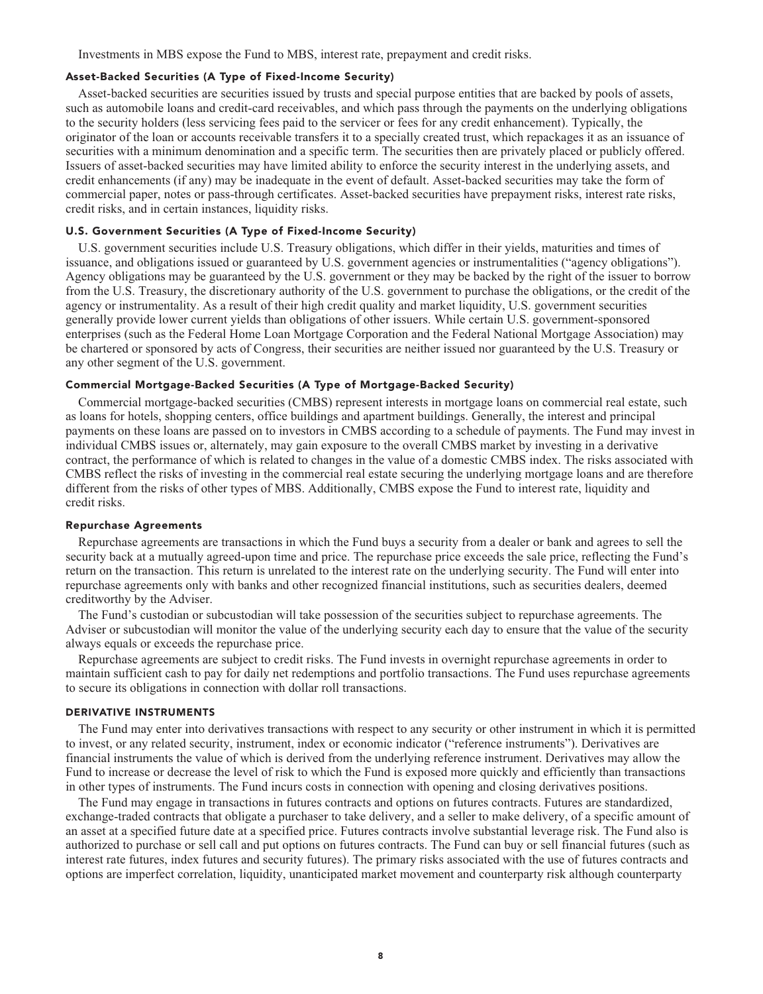**Investments in MBS expose the Fund to MBS, interest rate, prepayment and credit risks.**

## **Asset-Backed Securities (A Type of Fixed-Income Security)**

**Asset-backed securities are securities issued by trusts and special purpose entities that are backed by pools of assets, such as automobile loans and credit-card receivables, and which pass through the payments on the underlying obligations to the security holders (less servicing fees paid to the servicer or fees for any credit enhancement). Typically, the originator of the loan or accounts receivable transfers it to a specially created trust, which repackages it as an issuance of securities with a minimum denomination and a specific term. The securities then are privately placed or publicly offered. Issuers of asset-backed securities may have limited ability to enforce the security interest in the underlying assets, and credit enhancements (if any) may be inadequate in the event of default. Asset-backed securities may take the form of commercial paper, notes or pass-through certificates. Asset-backed securities have prepayment risks, interest rate risks, credit risks, and in certain instances, liquidity risks.**

#### **U.S. Government Securities (A Type of Fixed-Income Security)**

**U.S. government securities include U.S. Treasury obligations, which differ in their yields, maturities and times of issuance, and obligations issued or guaranteed by U.S. government agencies or instrumentalities ("agency obligations"). Agency obligations may be guaranteed by the U.S. government or they may be backed by the right of the issuer to borrow from the U.S. Treasury, the discretionary authority of the U.S. government to purchase the obligations, or the credit of the agency or instrumentality. As a result of their high credit quality and market liquidity, U.S. government securities generally provide lower current yields than obligations of other issuers. While certain U.S. government-sponsored enterprises (such as the Federal Home Loan Mortgage Corporation and the Federal National Mortgage Association) may be chartered or sponsored by acts of Congress, their securities are neither issued nor guaranteed by the U.S. Treasury or any other segment of the U.S. government.**

#### **Commercial Mortgage-Backed Securities (A Type of Mortgage-Backed Security)**

**Commercial mortgage-backed securities (CMBS) represent interests in mortgage loans on commercial real estate, such as loans for hotels, shopping centers, office buildings and apartment buildings. Generally, the interest and principal payments on these loans are passed on to investors in CMBS according to a schedule of payments. The Fund may invest in individual CMBS issues or, alternately, may gain exposure to the overall CMBS market by investing in a derivative contract, the performance of which is related to changes in the value of a domestic CMBS index. The risks associated with CMBS reflect the risks of investing in the commercial real estate securing the underlying mortgage loans and are therefore different from the risks of other types of MBS. Additionally, CMBS expose the Fund to interest rate, liquidity and credit risks.**

#### **Repurchase Agreements**

**Repurchase agreements are transactions in which the Fund buys a security from a dealer or bank and agrees to sell the security back at a mutually agreed-upon time and price. The repurchase price exceeds the sale price, reflecting the Fund's return on the transaction. This return is unrelated to the interest rate on the underlying security. The Fund will enter into repurchase agreements only with banks and other recognized financial institutions, such as securities dealers, deemed creditworthy by the Adviser.**

**The Fund's custodian or subcustodian will take possession of the securities subject to repurchase agreements. The Adviser or subcustodian will monitor the value of the underlying security each day to ensure that the value of the security always equals or exceeds the repurchase price.**

**Repurchase agreements are subject to credit risks. The Fund invests in overnight repurchase agreements in order to maintain sufficient cash to pay for daily net redemptions and portfolio transactions. The Fund uses repurchase agreements to secure its obligations in connection with dollar roll transactions.**

#### **DERIVATIVE INSTRUMENTS**

**The Fund may enter into derivatives transactions with respect to any security or other instrument in which it is permitted to invest, or any related security, instrument, index or economic indicator ("reference instruments"). Derivatives are financial instruments the value of which is derived from the underlying reference instrument. Derivatives may allow the Fund to increase or decrease the level of risk to which the Fund is exposed more quickly and efficiently than transactions in other types of instruments. The Fund incurs costs in connection with opening and closing derivatives positions.**

**The Fund may engage in transactions in futures contracts and options on futures contracts. Futures are standardized, exchange-traded contracts that obligate a purchaser to take delivery, and a seller to make delivery, of a specific amount of an asset at a specified future date at a specified price. Futures contracts involve substantial leverage risk. The Fund also is authorized to purchase or sell call and put options on futures contracts. The Fund can buy or sell financial futures (such as interest rate futures, index futures and security futures). The primary risks associated with the use of futures contracts and options are imperfect correlation, liquidity, unanticipated market movement and counterparty risk although counterparty**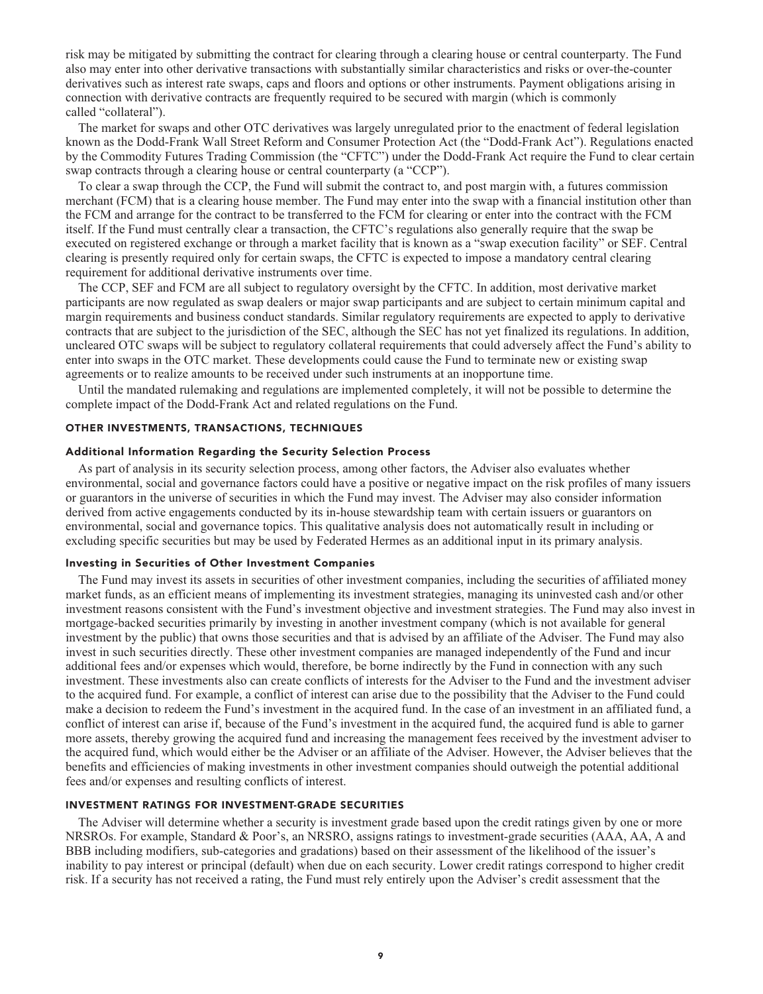**risk may be mitigated by submitting the contract for clearing through a clearing house or central counterparty. The Fund also may enter into other derivative transactions with substantially similar characteristics and risks or over-the-counter derivatives such as interest rate swaps, caps and floors and options or other instruments. Payment obligations arising in connection with derivative contracts are frequently required to be secured with margin (which is commonly called "collateral").**

**The market for swaps and other OTC derivatives was largely unregulated prior to the enactment of federal legislation known as the Dodd-Frank Wall Street Reform and Consumer Protection Act (the "Dodd-Frank Act"). Regulations enacted by the Commodity Futures Trading Commission (the "CFTC") under the Dodd-Frank Act require the Fund to clear certain swap contracts through a clearing house or central counterparty (a "CCP").**

**To clear a swap through the CCP, the Fund will submit the contract to, and post margin with, a futures commission merchant (FCM) that is a clearing house member. The Fund may enter into the swap with a financial institution other than the FCM and arrange for the contract to be transferred to the FCM for clearing or enter into the contract with the FCM itself. If the Fund must centrally clear a transaction, the CFTC's regulations also generally require that the swap be executed on registered exchange or through a market facility that is known as a "swap execution facility" or SEF. Central clearing is presently required only for certain swaps, the CFTC is expected to impose a mandatory central clearing requirement for additional derivative instruments over time.**

**The CCP, SEF and FCM are all subject to regulatory oversight by the CFTC. In addition, most derivative market participants are now regulated as swap dealers or major swap participants and are subject to certain minimum capital and margin requirements and business conduct standards. Similar regulatory requirements are expected to apply to derivative contracts that are subject to the jurisdiction of the SEC, although the SEC has not yet finalized its regulations. In addition, uncleared OTC swaps will be subject to regulatory collateral requirements that could adversely affect the Fund's ability to enter into swaps in the OTC market. These developments could cause the Fund to terminate new or existing swap agreements or to realize amounts to be received under such instruments at an inopportune time.**

**Until the mandated rulemaking and regulations are implemented completely, it will not be possible to determine the complete impact of the Dodd-Frank Act and related regulations on the Fund.**

#### **OTHER INVESTMENTS, TRANSACTIONS, TECHNIQUES**

#### **Additional Information Regarding the Security Selection Process**

**As part of analysis in its security selection process, among other factors, the Adviser also evaluates whether environmental, social and governance factors could have a positive or negative impact on the risk profiles of many issuers or guarantors in the universe of securities in which the Fund may invest. The Adviser may also consider information derived from active engagements conducted by its in-house stewardship team with certain issuers or guarantors on environmental, social and governance topics. This qualitative analysis does not automatically result in including or excluding specific securities but may be used by Federated Hermes as an additional input in its primary analysis.**

#### **Investing in Securities of Other Investment Companies**

**The Fund may invest its assets in securities of other investment companies, including the securities of affiliated money market funds, as an efficient means of implementing its investment strategies, managing its uninvested cash and/or other investment reasons consistent with the Fund's investment objective and investment strategies. The Fund may also invest in mortgage-backed securities primarily by investing in another investment company (which is not available for general investment by the public) that owns those securities and that is advised by an affiliate of the Adviser. The Fund may also invest in such securities directly. These other investment companies are managed independently of the Fund and incur additional fees and/or expenses which would, therefore, be borne indirectly by the Fund in connection with any such investment. These investments also can create conflicts of interests for the Adviser to the Fund and the investment adviser to the acquired fund. For example, a conflict of interest can arise due to the possibility that the Adviser to the Fund could make a decision to redeem the Fund's investment in the acquired fund. In the case of an investment in an affiliated fund, a conflict of interest can arise if, because of the Fund's investment in the acquired fund, the acquired fund is able to garner more assets, thereby growing the acquired fund and increasing the management fees received by the investment adviser to the acquired fund, which would either be the Adviser or an affiliate of the Adviser. However, the Adviser believes that the benefits and efficiencies of making investments in other investment companies should outweigh the potential additional fees and/or expenses and resulting conflicts of interest.**

#### **INVESTMENT RATINGS FOR INVESTMENT-GRADE SECURITIES**

**The Adviser will determine whether a security is investment grade based upon the credit ratings given by one or more NRSROs. For example, Standard & Poor's, an NRSRO, assigns ratings to investment-grade securities (AAA, AA, A and BBB including modifiers, sub-categories and gradations) based on their assessment of the likelihood of the issuer's inability to pay interest or principal (default) when due on each security. Lower credit ratings correspond to higher credit risk. If a security has not received a rating, the Fund must rely entirely upon the Adviser's credit assessment that the**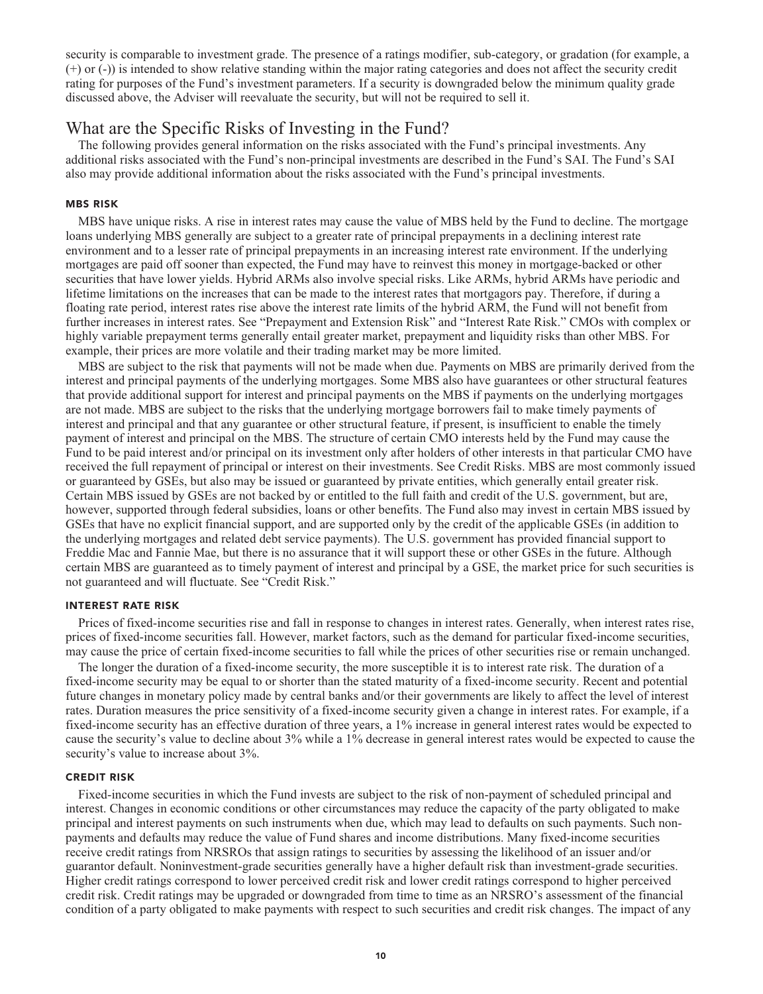**security is comparable to investment grade. The presence of a ratings modifier, sub-category, or gradation (for example, a (+) or (-)) is intended to show relative standing within the major rating categories and does not affect the security credit rating for purposes of the Fund's investment parameters. If a security is downgraded below the minimum quality grade discussed above, the Adviser will reevaluate the security, but will not be required to sell it.**

## **What are the Specific Risks of Investing in the Fund?**

**The following provides general information on the risks associated with the Fund's principal investments. Any additional risks associated with the Fund's non-principal investments are described in the Fund's SAI. The Fund's SAI also may provide additional information about the risks associated with the Fund's principal investments.**

#### **MBS RISK**

**MBS have unique risks. A rise in interest rates may cause the value of MBS held by the Fund to decline. The mortgage loans underlying MBS generally are subject to a greater rate of principal prepayments in a declining interest rate environment and to a lesser rate of principal prepayments in an increasing interest rate environment. If the underlying mortgages are paid off sooner than expected, the Fund may have to reinvest this money in mortgage-backed or other securities that have lower yields. Hybrid ARMs also involve special risks. Like ARMs, hybrid ARMs have periodic and lifetime limitations on the increases that can be made to the interest rates that mortgagors pay. Therefore, if during a floating rate period, interest rates rise above the interest rate limits of the hybrid ARM, the Fund will not benefit from further increases in interest rates. See "Prepayment and Extension Risk" and "Interest Rate Risk." CMOs with complex or highly variable prepayment terms generally entail greater market, prepayment and liquidity risks than other MBS. For example, their prices are more volatile and their trading market may be more limited.**

**MBS are subject to the risk that payments will not be made when due. Payments on MBS are primarily derived from the interest and principal payments of the underlying mortgages. Some MBS also have guarantees or other structural features that provide additional support for interest and principal payments on the MBS if payments on the underlying mortgages are not made. MBS are subject to the risks that the underlying mortgage borrowers fail to make timely payments of interest and principal and that any guarantee or other structural feature, if present, is insufficient to enable the timely payment of interest and principal on the MBS. The structure of certain CMO interests held by the Fund may cause the Fund to be paid interest and/or principal on its investment only after holders of other interests in that particular CMO have received the full repayment of principal or interest on their investments. See Credit Risks. MBS are most commonly issued or guaranteed by GSEs, but also may be issued or guaranteed by private entities, which generally entail greater risk. Certain MBS issued by GSEs are not backed by or entitled to the full faith and credit of the U.S. government, but are, however, supported through federal subsidies, loans or other benefits. The Fund also may invest in certain MBS issued by GSEs that have no explicit financial support, and are supported only by the credit of the applicable GSEs (in addition to the underlying mortgages and related debt service payments). The U.S. government has provided financial support to Freddie Mac and Fannie Mae, but there is no assurance that it will support these or other GSEs in the future. Although certain MBS are guaranteed as to timely payment of interest and principal by a GSE, the market price for such securities is not guaranteed and will fluctuate. See "Credit Risk."**

#### **INTEREST RATE RISK**

**Prices of fixed-income securities rise and fall in response to changes in interest rates. Generally, when interest rates rise, prices of fixed-income securities fall. However, market factors, such as the demand for particular fixed-income securities, may cause the price of certain fixed-income securities to fall while the prices of other securities rise or remain unchanged.**

**The longer the duration of a fixed-income security, the more susceptible it is to interest rate risk. The duration of a fixed-income security may be equal to or shorter than the stated maturity of a fixed-income security. Recent and potential future changes in monetary policy made by central banks and/or their governments are likely to affect the level of interest rates. Duration measures the price sensitivity of a fixed-income security given a change in interest rates. For example, if a fixed-income security has an effective duration of three years, a 1% increase in general interest rates would be expected to cause the security's value to decline about 3% while a 1% decrease in general interest rates would be expected to cause the security's value to increase about 3%.**

#### **CREDIT RISK**

**Fixed-income securities in which the Fund invests are subject to the risk of non-payment of scheduled principal and interest. Changes in economic conditions or other circumstances may reduce the capacity of the party obligated to make principal and interest payments on such instruments when due, which may lead to defaults on such payments. Such nonpayments and defaults may reduce the value of Fund shares and income distributions. Many fixed-income securities receive credit ratings from NRSROs that assign ratings to securities by assessing the likelihood of an issuer and/or guarantor default. Noninvestment-grade securities generally have a higher default risk than investment-grade securities. Higher credit ratings correspond to lower perceived credit risk and lower credit ratings correspond to higher perceived credit risk. Credit ratings may be upgraded or downgraded from time to time as an NRSRO's assessment of the financial condition of a party obligated to make payments with respect to such securities and credit risk changes. The impact of any**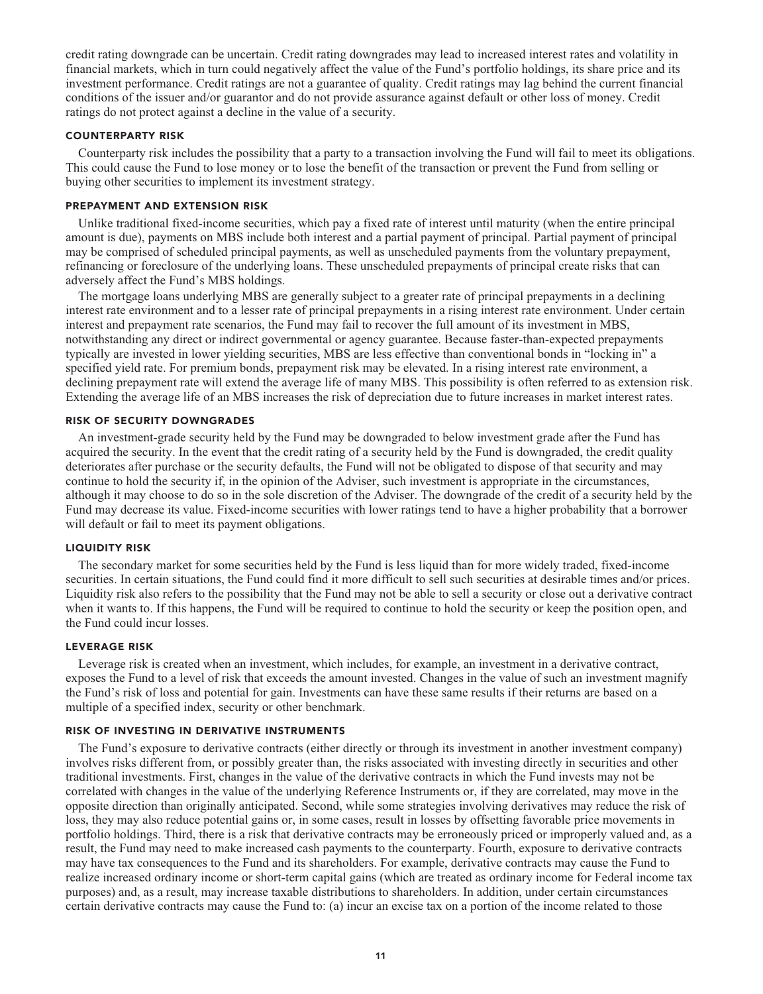**credit rating downgrade can be uncertain. Credit rating downgrades may lead to increased interest rates and volatility in financial markets, which in turn could negatively affect the value of the Fund's portfolio holdings, its share price and its investment performance. Credit ratings are not a guarantee of quality. Credit ratings may lag behind the current financial conditions of the issuer and/or guarantor and do not provide assurance against default or other loss of money. Credit ratings do not protect against a decline in the value of a security.**

### **COUNTERPARTY RISK**

**Counterparty risk includes the possibility that a party to a transaction involving the Fund will fail to meet its obligations. This could cause the Fund to lose money or to lose the benefit of the transaction or prevent the Fund from selling or buying other securities to implement its investment strategy.**

#### **PREPAYMENT AND EXTENSION RISK**

**Unlike traditional fixed-income securities, which pay a fixed rate of interest until maturity (when the entire principal amount is due), payments on MBS include both interest and a partial payment of principal. Partial payment of principal may be comprised of scheduled principal payments, as well as unscheduled payments from the voluntary prepayment, refinancing or foreclosure of the underlying loans. These unscheduled prepayments of principal create risks that can adversely affect the Fund's MBS holdings.**

**The mortgage loans underlying MBS are generally subject to a greater rate of principal prepayments in a declining interest rate environment and to a lesser rate of principal prepayments in a rising interest rate environment. Under certain interest and prepayment rate scenarios, the Fund may fail to recover the full amount of its investment in MBS, notwithstanding any direct or indirect governmental or agency guarantee. Because faster-than-expected prepayments typically are invested in lower yielding securities, MBS are less effective than conventional bonds in "locking in" a specified yield rate. For premium bonds, prepayment risk may be elevated. In a rising interest rate environment, a declining prepayment rate will extend the average life of many MBS. This possibility is often referred to as extension risk. Extending the average life of an MBS increases the risk of depreciation due to future increases in market interest rates.**

#### **RISK OF SECURITY DOWNGRADES**

**An investment-grade security held by the Fund may be downgraded to below investment grade after the Fund has acquired the security. In the event that the credit rating of a security held by the Fund is downgraded, the credit quality deteriorates after purchase or the security defaults, the Fund will not be obligated to dispose of that security and may continue to hold the security if, in the opinion of the Adviser, such investment is appropriate in the circumstances, although it may choose to do so in the sole discretion of the Adviser. The downgrade of the credit of a security held by the Fund may decrease its value. Fixed-income securities with lower ratings tend to have a higher probability that a borrower will default or fail to meet its payment obligations.**

#### **LIQUIDITY RISK**

**The secondary market for some securities held by the Fund is less liquid than for more widely traded, fixed-income securities. In certain situations, the Fund could find it more difficult to sell such securities at desirable times and/or prices. Liquidity risk also refers to the possibility that the Fund may not be able to sell a security or close out a derivative contract when it wants to. If this happens, the Fund will be required to continue to hold the security or keep the position open, and the Fund could incur losses.**

#### **LEVERAGE RISK**

**Leverage risk is created when an investment, which includes, for example, an investment in a derivative contract, exposes the Fund to a level of risk that exceeds the amount invested. Changes in the value of such an investment magnify the Fund's risk of loss and potential for gain. Investments can have these same results if their returns are based on a multiple of a specified index, security or other benchmark.**

#### **RISK OF INVESTING IN DERIVATIVE INSTRUMENTS**

**The Fund's exposure to derivative contracts (either directly or through its investment in another investment company) involves risks different from, or possibly greater than, the risks associated with investing directly in securities and other traditional investments. First, changes in the value of the derivative contracts in which the Fund invests may not be correlated with changes in the value of the underlying Reference Instruments or, if they are correlated, may move in the opposite direction than originally anticipated. Second, while some strategies involving derivatives may reduce the risk of loss, they may also reduce potential gains or, in some cases, result in losses by offsetting favorable price movements in portfolio holdings. Third, there is a risk that derivative contracts may be erroneously priced or improperly valued and, as a result, the Fund may need to make increased cash payments to the counterparty. Fourth, exposure to derivative contracts may have tax consequences to the Fund and its shareholders. For example, derivative contracts may cause the Fund to realize increased ordinary income or short-term capital gains (which are treated as ordinary income for Federal income tax purposes) and, as a result, may increase taxable distributions to shareholders. In addition, under certain circumstances certain derivative contracts may cause the Fund to: (a) incur an excise tax on a portion of the income related to those**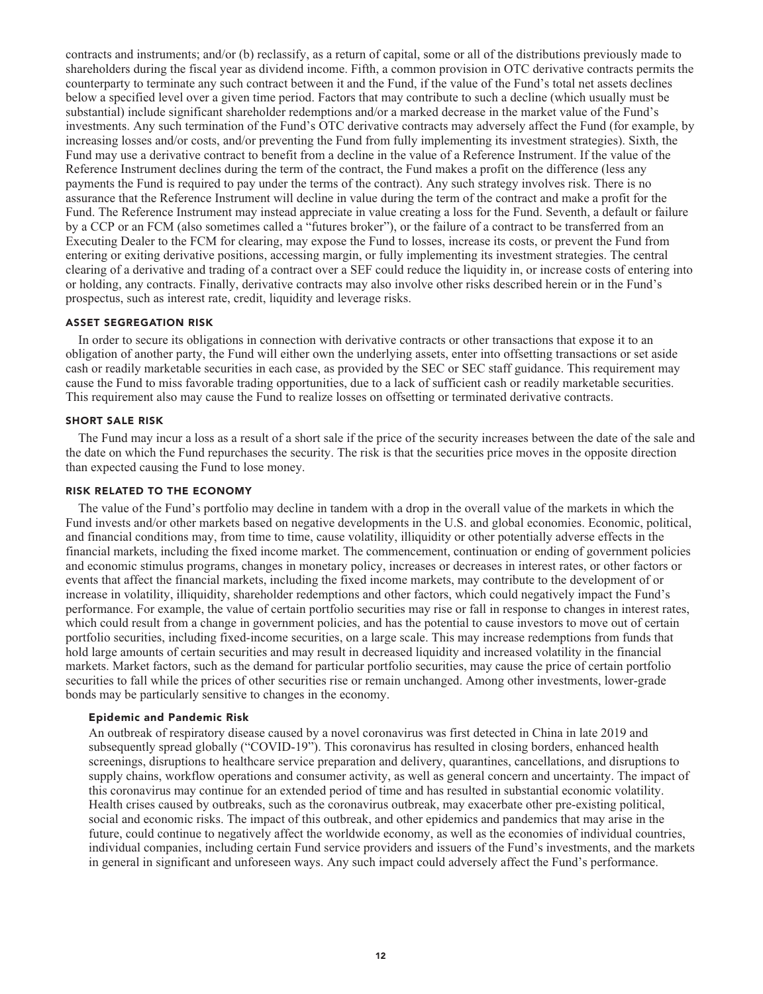**contracts and instruments; and/or (b) reclassify, as a return of capital, some or all of the distributions previously made to shareholders during the fiscal year as dividend income. Fifth, a common provision in OTC derivative contracts permits the counterparty to terminate any such contract between it and the Fund, if the value of the Fund's total net assets declines below a specified level over a given time period. Factors that may contribute to such a decline (which usually must be substantial) include significant shareholder redemptions and/or a marked decrease in the market value of the Fund's investments. Any such termination of the Fund's OTC derivative contracts may adversely affect the Fund (for example, by increasing losses and/or costs, and/or preventing the Fund from fully implementing its investment strategies). Sixth, the Fund may use a derivative contract to benefit from a decline in the value of a Reference Instrument. If the value of the Reference Instrument declines during the term of the contract, the Fund makes a profit on the difference (less any payments the Fund is required to pay under the terms of the contract). Any such strategy involves risk. There is no assurance that the Reference Instrument will decline in value during the term of the contract and make a profit for the Fund. The Reference Instrument may instead appreciate in value creating a loss for the Fund. Seventh, a default or failure by a CCP or an FCM (also sometimes called a "futures broker"), or the failure of a contract to be transferred from an Executing Dealer to the FCM for clearing, may expose the Fund to losses, increase its costs, or prevent the Fund from entering or exiting derivative positions, accessing margin, or fully implementing its investment strategies. The central clearing of a derivative and trading of a contract over a SEF could reduce the liquidity in, or increase costs of entering into or holding, any contracts. Finally, derivative contracts may also involve other risks described herein or in the Fund's prospectus, such as interest rate, credit, liquidity and leverage risks.**

#### **ASSET SEGREGATION RISK**

**In order to secure its obligations in connection with derivative contracts or other transactions that expose it to an obligation of another party, the Fund will either own the underlying assets, enter into offsetting transactions or set aside cash or readily marketable securities in each case, as provided by the SEC or SEC staff guidance. This requirement may cause the Fund to miss favorable trading opportunities, due to a lack of sufficient cash or readily marketable securities. This requirement also may cause the Fund to realize losses on offsetting or terminated derivative contracts.**

#### **SHORT SALE RISK**

**The Fund may incur a loss as a result of a short sale if the price of the security increases between the date of the sale and the date on which the Fund repurchases the security. The risk is that the securities price moves in the opposite direction than expected causing the Fund to lose money.**

#### **RISK RELATED TO THE ECONOMY**

**The value of the Fund's portfolio may decline in tandem with a drop in the overall value of the markets in which the Fund invests and/or other markets based on negative developments in the U.S. and global economies. Economic, political, and financial conditions may, from time to time, cause volatility, illiquidity or other potentially adverse effects in the financial markets, including the fixed income market. The commencement, continuation or ending of government policies and economic stimulus programs, changes in monetary policy, increases or decreases in interest rates, or other factors or events that affect the financial markets, including the fixed income markets, may contribute to the development of or increase in volatility, illiquidity, shareholder redemptions and other factors, which could negatively impact the Fund's performance. For example, the value of certain portfolio securities may rise or fall in response to changes in interest rates, which could result from a change in government policies, and has the potential to cause investors to move out of certain portfolio securities, including fixed-income securities, on a large scale. This may increase redemptions from funds that hold large amounts of certain securities and may result in decreased liquidity and increased volatility in the financial markets. Market factors, such as the demand for particular portfolio securities, may cause the price of certain portfolio securities to fall while the prices of other securities rise or remain unchanged. Among other investments, lower-grade bonds may be particularly sensitive to changes in the economy.**

#### **Epidemic and Pandemic Risk**

**An outbreak of respiratory disease caused by a novel coronavirus was first detected in China in late 2019 and subsequently spread globally ("COVID-19"). This coronavirus has resulted in closing borders, enhanced health screenings, disruptions to healthcare service preparation and delivery, quarantines, cancellations, and disruptions to supply chains, workflow operations and consumer activity, as well as general concern and uncertainty. The impact of this coronavirus may continue for an extended period of time and has resulted in substantial economic volatility. Health crises caused by outbreaks, such as the coronavirus outbreak, may exacerbate other pre-existing political, social and economic risks. The impact of this outbreak, and other epidemics and pandemics that may arise in the future, could continue to negatively affect the worldwide economy, as well as the economies of individual countries, individual companies, including certain Fund service providers and issuers of the Fund's investments, and the markets in general in significant and unforeseen ways. Any such impact could adversely affect the Fund's performance.**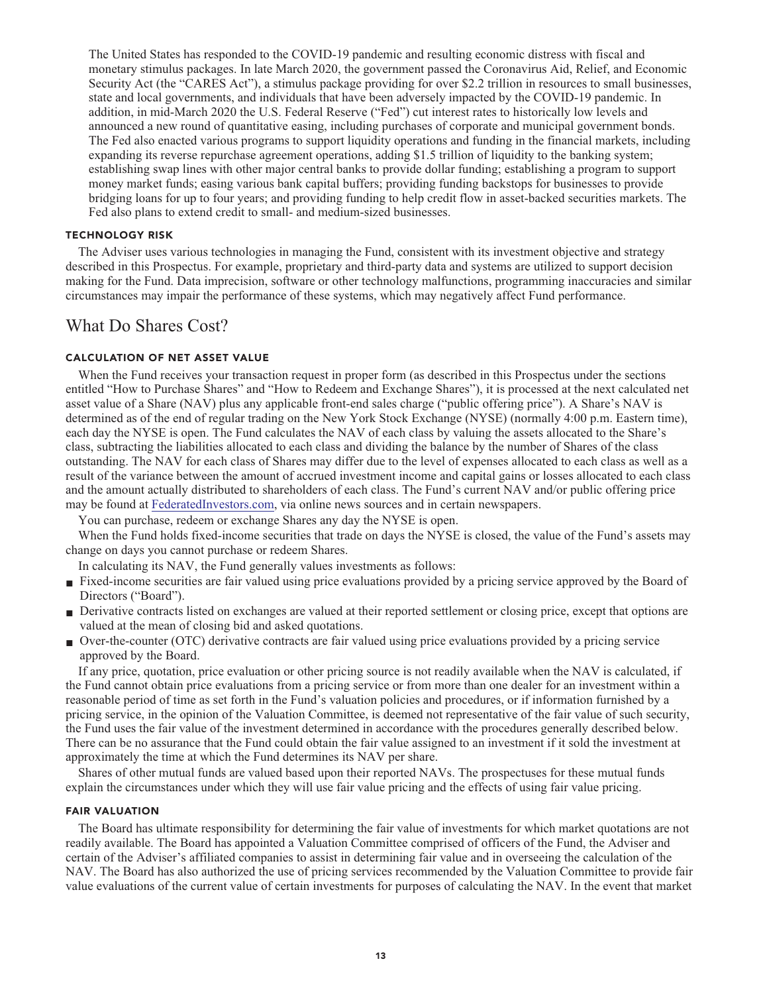**The United States has responded to the COVID-19 pandemic and resulting economic distress with fiscal and monetary stimulus packages. In late March 2020, the government passed the Coronavirus Aid, Relief, and Economic Security Act (the "CARES Act"), a stimulus package providing for over \$2.2 trillion in resources to small businesses, state and local governments, and individuals that have been adversely impacted by the COVID-19 pandemic. In addition, in mid-March 2020 the U.S. Federal Reserve ("Fed") cut interest rates to historically low levels and announced a new round of quantitative easing, including purchases of corporate and municipal government bonds. The Fed also enacted various programs to support liquidity operations and funding in the financial markets, including expanding its reverse repurchase agreement operations, adding \$1.5 trillion of liquidity to the banking system; establishing swap lines with other major central banks to provide dollar funding; establishing a program to support money market funds; easing various bank capital buffers; providing funding backstops for businesses to provide bridging loans for up to four years; and providing funding to help credit flow in asset-backed securities markets. The Fed also plans to extend credit to small- and medium-sized businesses.**

#### **TECHNOLOGY RISK**

**The Adviser uses various technologies in managing the Fund, consistent with its investment objective and strategy described in this Prospectus. For example, proprietary and third-party data and systems are utilized to support decision making for the Fund. Data imprecision, software or other technology malfunctions, programming inaccuracies and similar circumstances may impair the performance of these systems, which may negatively affect Fund performance.**

## **What Do Shares Cost?**

#### **CALCULATION OF NET ASSET VALUE**

**When the Fund receives your transaction request in proper form (as described in this Prospectus under the sections entitled "How to Purchase Shares" and "How to Redeem and Exchange Shares"), it is processed at the next calculated net asset value of a Share (NAV) plus any applicable front-end sales charge ("public offering price"). A Share's NAV is determined as of the end of regular trading on the New York Stock Exchange (NYSE) (normally 4:00 p.m. Eastern time), each day the NYSE is open. The Fund calculates the NAV of each class by valuing the assets allocated to the Share's class, subtracting the liabilities allocated to each class and dividing the balance by the number of Shares of the class outstanding. The NAV for each class of Shares may differ due to the level of expenses allocated to each class as well as a result of the variance between the amount of accrued investment income and capital gains or losses allocated to each class and the amount actually distributed to shareholders of each class. The Fund's current NAV and/or public offering price may be found at [FederatedInvestors.com,](https://www.federatedinvestors.com/home.do) via online news sources and in certain newspapers.**

**You can purchase, redeem or exchange Shares any day the NYSE is open.**

**When the Fund holds fixed-income securities that trade on days the NYSE is closed, the value of the Fund's assets may change on days you cannot purchase or redeem Shares.**

**In calculating its NAV, the Fund generally values investments as follows:**

- **Fixed-income securities are fair valued using price evaluations provided by a pricing service approved by the Board of Directors ("Board").**
- **■ Derivative contracts listed on exchanges are valued at their reported settlement or closing price, except that options are valued at the mean of closing bid and asked quotations.**
- **■ Over-the-counter (OTC) derivative contracts are fair valued using price evaluations provided by a pricing service approved by the Board.**

**If any price, quotation, price evaluation or other pricing source is not readily available when the NAV is calculated, if the Fund cannot obtain price evaluations from a pricing service or from more than one dealer for an investment within a reasonable period of time as set forth in the Fund's valuation policies and procedures, or if information furnished by a pricing service, in the opinion of the Valuation Committee, is deemed not representative of the fair value of such security, the Fund uses the fair value of the investment determined in accordance with the procedures generally described below. There can be no assurance that the Fund could obtain the fair value assigned to an investment if it sold the investment at approximately the time at which the Fund determines its NAV per share.**

**Shares of other mutual funds are valued based upon their reported NAVs. The prospectuses for these mutual funds explain the circumstances under which they will use fair value pricing and the effects of using fair value pricing.**

#### **FAIR VALUATION**

**The Board has ultimate responsibility for determining the fair value of investments for which market quotations are not readily available. The Board has appointed a Valuation Committee comprised of officers of the Fund, the Adviser and certain of the Adviser's affiliated companies to assist in determining fair value and in overseeing the calculation of the NAV. The Board has also authorized the use of pricing services recommended by the Valuation Committee to provide fair value evaluations of the current value of certain investments for purposes of calculating the NAV. In the event that market**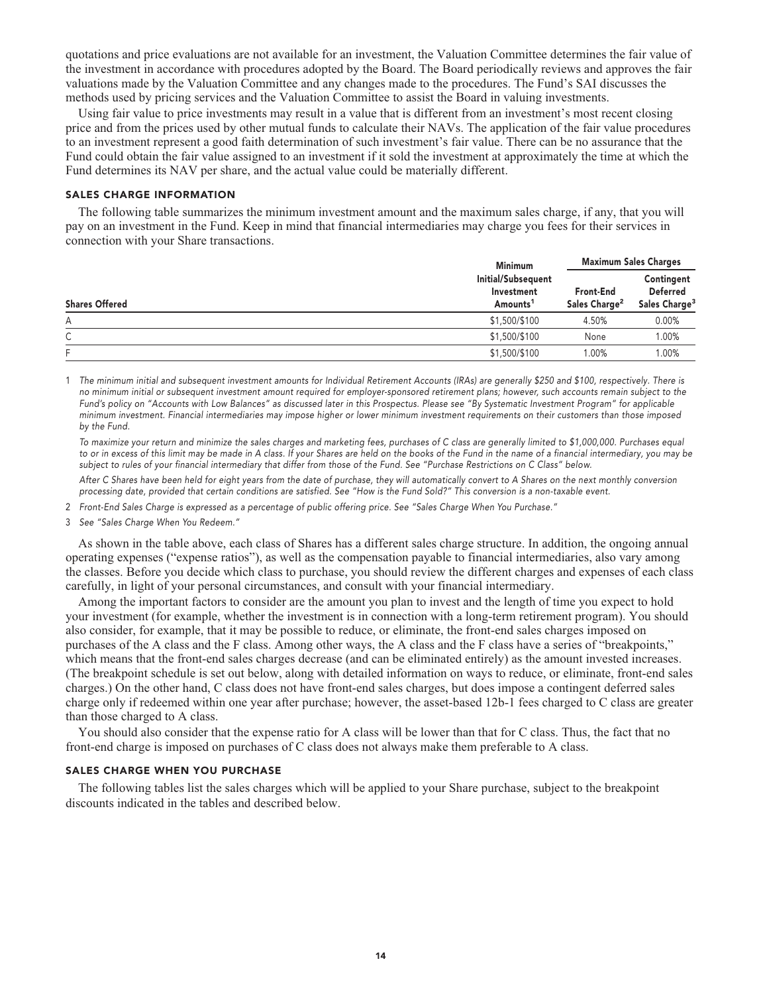**quotations and price evaluations are not available for an investment, the Valuation Committee determines the fair value of the investment in accordance with procedures adopted by the Board. The Board periodically reviews and approves the fair valuations made by the Valuation Committee and any changes made to the procedures. The Fund's SAI discusses the methods used by pricing services and the Valuation Committee to assist the Board in valuing investments.**

**Using fair value to price investments may result in a value that is different from an investment's most recent closing price and from the prices used by other mutual funds to calculate their NAVs. The application of the fair value procedures to an investment represent a good faith determination of such investment's fair value. There can be no assurance that the Fund could obtain the fair value assigned to an investment if it sold the investment at approximately the time at which the Fund determines its NAV per share, and the actual value could be materially different.**

#### **SALES CHARGE INFORMATION**

**The following table summarizes the minimum investment amount and the maximum sales charge, if any, that you will pay on an investment in the Fund. Keep in mind that financial intermediaries may charge you fees for their services in connection with your Share transactions.**

|                       | <b>Minimum</b>                                           |                                        | <b>Maximum Sales Charges</b>                               |  |
|-----------------------|----------------------------------------------------------|----------------------------------------|------------------------------------------------------------|--|
| <b>Shares Offered</b> | Initial/Subsequent<br>Investment<br>Amounts <sup>1</sup> | Front-End<br>Sales Charge <sup>2</sup> | Contingent<br><b>Deferred</b><br>Sales Charge <sup>3</sup> |  |
| А                     | \$1,500/\$100                                            | 4.50%                                  | $0.00\%$                                                   |  |
| ⌒<br>◡                | \$1,500/\$100                                            | None                                   | 1.00%                                                      |  |
| E                     | \$1,500/\$100                                            | 1.00%                                  | 1.00%                                                      |  |

**1 The minimum initial and subsequent investment amounts for Individual Retirement Accounts (IRAs) are generally \$250 and \$100, respectively. There is no minimum initial or subsequent investment amount required for employer-sponsored retirement plans; however, such accounts remain subject to the Fund's policy on "Accounts with Low Balances" as discussed later in this Prospectus. Please see "By Systematic Investment Program" for applicable minimum investment. Financial intermediaries may impose higher or lower minimum investment requirements on their customers than those imposed by the Fund.**

 **To maximize your return and minimize the sales charges and marketing fees, purchases of C class are generally limited to \$1,000,000. Purchases equal to or in excess of this limit may be made in A class. If your Shares are held on the books of the Fund in the name of a financial intermediary, you may be subject to rules of your financial intermediary that differ from those of the Fund. See "Purchase Restrictions on C Class" below.**

 **After C Shares have been held for eight years from the date of purchase, they will automatically convert to A Shares on the next monthly conversion processing date, provided that certain conditions are satisfied. See "How is the Fund Sold?" This conversion is a non-taxable event.**

- **2 Front-End Sales Charge is expressed as a percentage of public offering price. See "Sales Charge When You Purchase."**
- **3 See "Sales Charge When You Redeem."**

**As shown in the table above, each class of Shares has a different sales charge structure. In addition, the ongoing annual operating expenses ("expense ratios"), as well as the compensation payable to financial intermediaries, also vary among the classes. Before you decide which class to purchase, you should review the different charges and expenses of each class carefully, in light of your personal circumstances, and consult with your financial intermediary.**

**Among the important factors to consider are the amount you plan to invest and the length of time you expect to hold your investment (for example, whether the investment is in connection with a long-term retirement program). You should also consider, for example, that it may be possible to reduce, or eliminate, the front-end sales charges imposed on purchases of the A class and the F class. Among other ways, the A class and the F class have a series of "breakpoints," which means that the front-end sales charges decrease (and can be eliminated entirely) as the amount invested increases. (The breakpoint schedule is set out below, along with detailed information on ways to reduce, or eliminate, front-end sales charges.) On the other hand, C class does not have front-end sales charges, but does impose a contingent deferred sales charge only if redeemed within one year after purchase; however, the asset-based 12b-1 fees charged to C class are greater than those charged to A class.**

**You should also consider that the expense ratio for A class will be lower than that for C class. Thus, the fact that no front-end charge is imposed on purchases of C class does not always make them preferable to A class.**

#### **SALES CHARGE WHEN YOU PURCHASE**

**The following tables list the sales charges which will be applied to your Share purchase, subject to the breakpoint discounts indicated in the tables and described below.**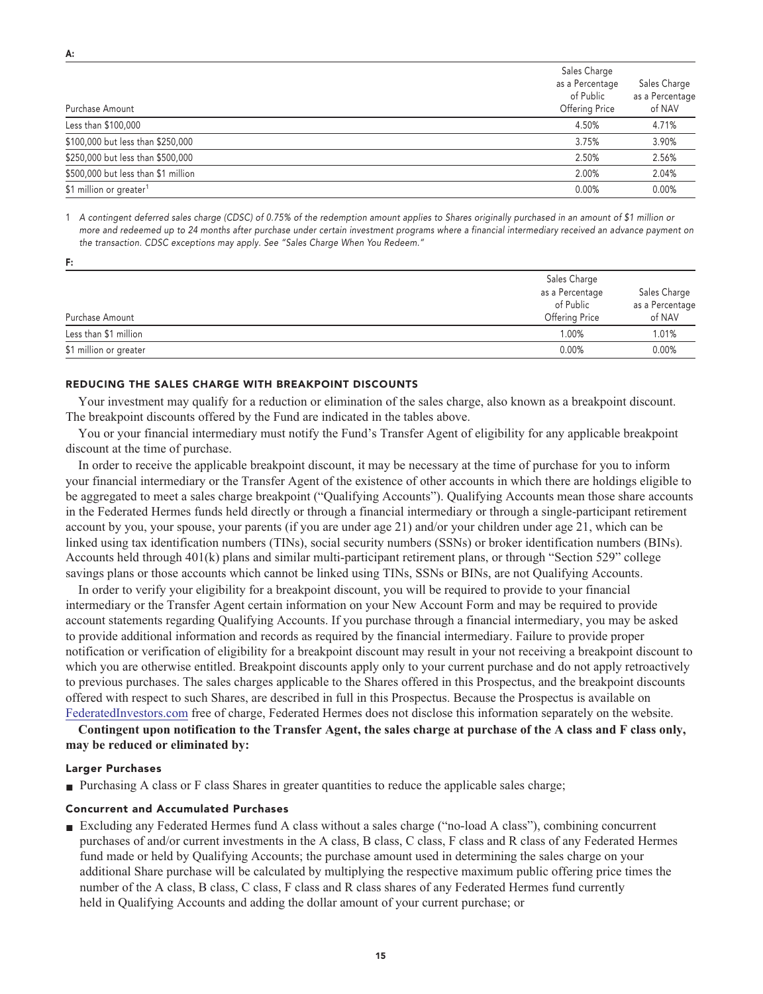| Purchase Amount                     | Sales Charge<br>as a Percentage<br>of Public<br><b>Offering Price</b> | Sales Charge<br>as a Percentage<br>of NAV |
|-------------------------------------|-----------------------------------------------------------------------|-------------------------------------------|
| Less than \$100,000                 | 4.50%                                                                 | 4.71%                                     |
| \$100,000 but less than \$250,000   | 3.75%                                                                 | 3.90%                                     |
| \$250,000 but less than \$500,000   | 2.50%                                                                 | 2.56%                                     |
| \$500,000 but less than \$1 million | 2.00%                                                                 | 2.04%                                     |
| \$1 million or greater <sup>1</sup> | 0.00%                                                                 | 0.00%                                     |

**1 A contingent deferred sales charge (CDSC) of 0.75% of the redemption amount applies to Shares originally purchased in an amount of \$1 million or more and redeemed up to 24 months after purchase under certain investment programs where a financial intermediary received an advance payment on the transaction. CDSC exceptions may apply. See "Sales Charge When You Redeem."**

| Purchase Amount        | Sales Charge<br>as a Percentage<br>of Public<br><b>Offering Price</b> | Sales Charge<br>as a Percentage<br>of NAV |
|------------------------|-----------------------------------------------------------------------|-------------------------------------------|
| Less than \$1 million  | 1.00%                                                                 | 1.01%                                     |
| \$1 million or greater | 0.00%                                                                 | 0.00%                                     |

#### **REDUCING THE SALES CHARGE WITH BREAKPOINT DISCOUNTS**

**Your investment may qualify for a reduction or elimination of the sales charge, also known as a breakpoint discount. The breakpoint discounts offered by the Fund are indicated in the tables above.**

**You or your financial intermediary must notify the Fund's Transfer Agent of eligibility for any applicable breakpoint discount at the time of purchase.**

**In order to receive the applicable breakpoint discount, it may be necessary at the time of purchase for you to inform your financial intermediary or the Transfer Agent of the existence of other accounts in which there are holdings eligible to be aggregated to meet a sales charge breakpoint ("Qualifying Accounts"). Qualifying Accounts mean those share accounts in the Federated Hermes funds held directly or through a financial intermediary or through a single-participant retirement account by you, your spouse, your parents (if you are under age 21) and/or your children under age 21, which can be linked using tax identification numbers (TINs), social security numbers (SSNs) or broker identification numbers (BINs). Accounts held through 401(k) plans and similar multi-participant retirement plans, or through "Section 529" college savings plans or those accounts which cannot be linked using TINs, SSNs or BINs, are not Qualifying Accounts.**

**In order to verify your eligibility for a breakpoint discount, you will be required to provide to your financial intermediary or the Transfer Agent certain information on your New Account Form and may be required to provide account statements regarding Qualifying Accounts. If you purchase through a financial intermediary, you may be asked to provide additional information and records as required by the financial intermediary. Failure to provide proper notification or verification of eligibility for a breakpoint discount may result in your not receiving a breakpoint discount to which you are otherwise entitled. Breakpoint discounts apply only to your current purchase and do not apply retroactively to previous purchases. The sales charges applicable to the Shares offered in this Prospectus, and the breakpoint discounts offered with respect to such Shares, are described in full in this Prospectus. Because the Prospectus is available on [FederatedInvestors.com](https://www.federatedinvestors.com/home.do) free of charge, Federated Hermes does not disclose this information separately on the website.**

**Contingent upon notification to the Transfer Agent, the sales charge at purchase of the A class and F class only, may be reduced or eliminated by:**

#### **Larger Purchases**

■ **Purchasing A class or F class Shares in greater quantities to reduce the applicable sales charge;** 

#### **Concurrent and Accumulated Purchases**

**■ Excluding any Federated Hermes fund A class without a sales charge ("no-load A class"), combining concurrent purchases of and/or current investments in the A class, B class, C class, F class and R class of any Federated Hermes fund made or held by Qualifying Accounts; the purchase amount used in determining the sales charge on your additional Share purchase will be calculated by multiplying the respective maximum public offering price times the number of the A class, B class, C class, F class and R class shares of any Federated Hermes fund currently held in Qualifying Accounts and adding the dollar amount of your current purchase; or**

**F:**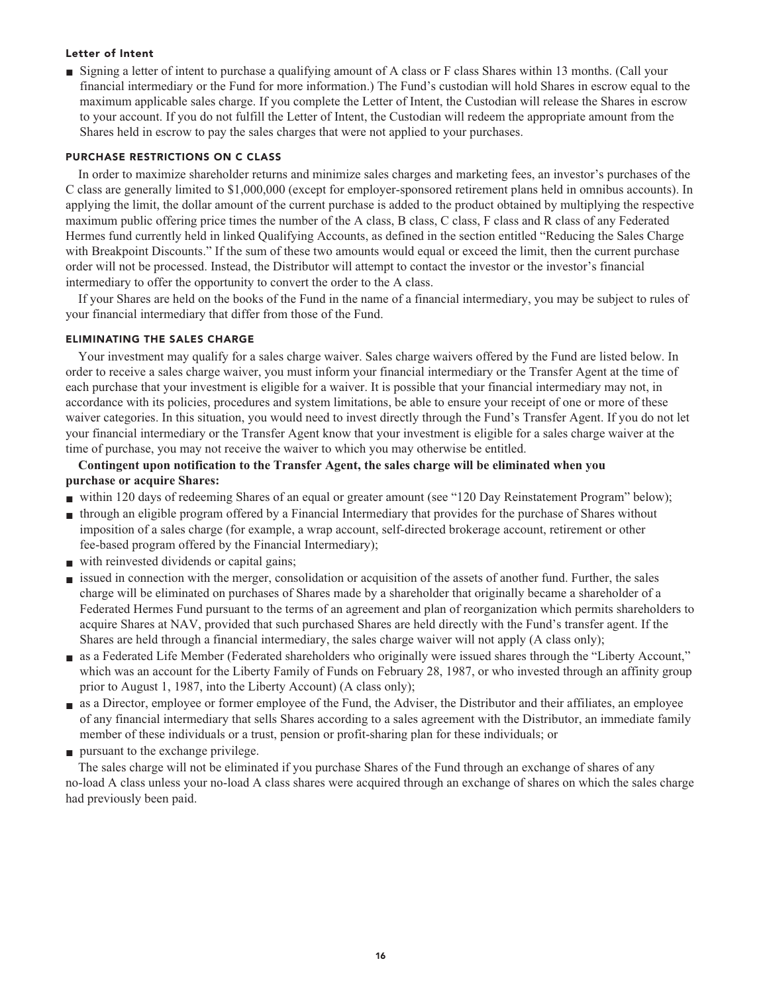#### **Letter of Intent**

■ Signing a letter of intent to purchase a qualifying amount of A class or F class Shares within 13 months. (Call your **financial intermediary or the Fund for more information.) The Fund's custodian will hold Shares in escrow equal to the maximum applicable sales charge. If you complete the Letter of Intent, the Custodian will release the Shares in escrow to your account. If you do not fulfill the Letter of Intent, the Custodian will redeem the appropriate amount from the Shares held in escrow to pay the sales charges that were not applied to your purchases.**

#### **PURCHASE RESTRICTIONS ON C CLASS**

**In order to maximize shareholder returns and minimize sales charges and marketing fees, an investor's purchases of the C class are generally limited to \$1,000,000 (except for employer-sponsored retirement plans held in omnibus accounts). In applying the limit, the dollar amount of the current purchase is added to the product obtained by multiplying the respective maximum public offering price times the number of the A class, B class, C class, F class and R class of any Federated Hermes fund currently held in linked Qualifying Accounts, as defined in the section entitled "Reducing the Sales Charge with Breakpoint Discounts." If the sum of these two amounts would equal or exceed the limit, then the current purchase order will not be processed. Instead, the Distributor will attempt to contact the investor or the investor's financial intermediary to offer the opportunity to convert the order to the A class.**

**If your Shares are held on the books of the Fund in the name of a financial intermediary, you may be subject to rules of your financial intermediary that differ from those of the Fund.**

#### **ELIMINATING THE SALES CHARGE**

**Your investment may qualify for a sales charge waiver. Sales charge waivers offered by the Fund are listed below. In order to receive a sales charge waiver, you must inform your financial intermediary or the Transfer Agent at the time of each purchase that your investment is eligible for a waiver. It is possible that your financial intermediary may not, in accordance with its policies, procedures and system limitations, be able to ensure your receipt of one or more of these waiver categories. In this situation, you would need to invest directly through the Fund's Transfer Agent. If you do not let your financial intermediary or the Transfer Agent know that your investment is eligible for a sales charge waiver at the time of purchase, you may not receive the waiver to which you may otherwise be entitled.**

## **Contingent upon notification to the Transfer Agent, the sales charge will be eliminated when you purchase or acquire Shares:**

- **within 120 days of redeeming Shares of an equal or greater amount (see "120 Day Reinstatement Program" below);**
- **■ through an eligible program offered by a Financial Intermediary that provides for the purchase of Shares without imposition of a sales charge (for example, a wrap account, self-directed brokerage account, retirement or other fee-based program offered by the Financial Intermediary);**
- with reinvested dividends or capital gains;
- **issued in connection with the merger, consolidation or acquisition of the assets of another fund. Further, the sales charge will be eliminated on purchases of Shares made by a shareholder that originally became a shareholder of a Federated Hermes Fund pursuant to the terms of an agreement and plan of reorganization which permits shareholders to acquire Shares at NAV, provided that such purchased Shares are held directly with the Fund's transfer agent. If the Shares are held through a financial intermediary, the sales charge waiver will not apply (A class only);**
- **■ as a Federated Life Member (Federated shareholders who originally were issued shares through the "Liberty Account," which was an account for the Liberty Family of Funds on February 28, 1987, or who invested through an affinity group prior to August 1, 1987, into the Liberty Account) (A class only);**
- **■ as a Director, employee or former employee of the Fund, the Adviser, the Distributor and their affiliates, an employee of any financial intermediary that sells Shares according to a sales agreement with the Distributor, an immediate family member of these individuals or a trust, pension or profit-sharing plan for these individuals; or**
- **■ pursuant to the exchange privilege.**

**The sales charge will not be eliminated if you purchase Shares of the Fund through an exchange of shares of any no-load A class unless your no-load A class shares were acquired through an exchange of shares on which the sales charge had previously been paid.**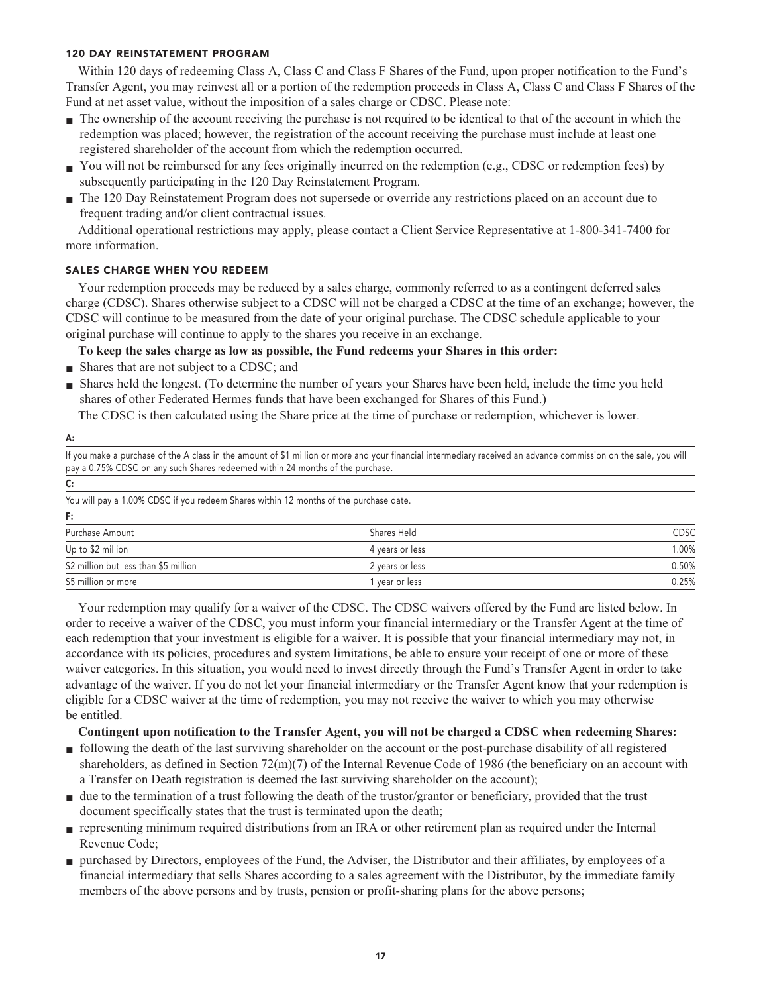#### **120 DAY REINSTATEMENT PROGRAM**

**Within 120 days of redeeming Class A, Class C and Class F Shares of the Fund, upon proper notification to the Fund's Transfer Agent, you may reinvest all or a portion of the redemption proceeds in Class A, Class C and Class F Shares of the Fund at net asset value, without the imposition of a sales charge or CDSC. Please note:**

- **■ The ownership of the account receiving the purchase is not required to be identical to that of the account in which the redemption was placed; however, the registration of the account receiving the purchase must include at least one registered shareholder of the account from which the redemption occurred.**
- You will not be reimbursed for any fees originally incurred on the redemption (e.g., CDSC or redemption fees) by **subsequently participating in the 120 Day Reinstatement Program.**
- **■ The 120 Day Reinstatement Program does not supersede or override any restrictions placed on an account due to frequent trading and/or client contractual issues.**

**Additional operational restrictions may apply, please contact a Client Service Representative at 1-800-341-7400 for more information.**

## **SALES CHARGE WHEN YOU REDEEM**

**Your redemption proceeds may be reduced by a sales charge, commonly referred to as a contingent deferred sales charge (CDSC). Shares otherwise subject to a CDSC will not be charged a CDSC at the time of an exchange; however, the CDSC will continue to be measured from the date of your original purchase. The CDSC schedule applicable to your original purchase will continue to apply to the shares you receive in an exchange.**

**To keep the sales charge as low as possible, the Fund redeems your Shares in this order:**

**■ Shares that are not subject to a CDSC; and**

**A:**

**■ Shares held the longest. (To determine the number of years your Shares have been held, include the time you held shares of other Federated Hermes funds that have been exchanged for Shares of this Fund.)**

**The CDSC is then calculated using the Share price at the time of purchase or redemption, whichever is lower.**

|                                                                                       | If you make a purchase of the A class in the amount of \$1 million or more and your financial intermediary received an advance commission on the sale, you will |             |
|---------------------------------------------------------------------------------------|-----------------------------------------------------------------------------------------------------------------------------------------------------------------|-------------|
| pay a 0.75% CDSC on any such Shares redeemed within 24 months of the purchase.        |                                                                                                                                                                 |             |
| $\mathsf{C}$ :                                                                        |                                                                                                                                                                 |             |
| You will pay a 1.00% CDSC if you redeem Shares within 12 months of the purchase date. |                                                                                                                                                                 |             |
| F:                                                                                    |                                                                                                                                                                 |             |
| Purchase Amount                                                                       | Shares Held                                                                                                                                                     | <b>CDSC</b> |
| Up to \$2 million                                                                     | 4 years or less                                                                                                                                                 | 1.00%       |
| \$2 million but less than \$5 million                                                 | 2 years or less                                                                                                                                                 | 0.50%       |
| \$5 million or more                                                                   | year or less                                                                                                                                                    | 0.25%       |

**Your redemption may qualify for a waiver of the CDSC. The CDSC waivers offered by the Fund are listed below. In order to receive a waiver of the CDSC, you must inform your financial intermediary or the Transfer Agent at the time of each redemption that your investment is eligible for a waiver. It is possible that your financial intermediary may not, in accordance with its policies, procedures and system limitations, be able to ensure your receipt of one or more of these waiver categories. In this situation, you would need to invest directly through the Fund's Transfer Agent in order to take advantage of the waiver. If you do not let your financial intermediary or the Transfer Agent know that your redemption is eligible for a CDSC waiver at the time of redemption, you may not receive the waiver to which you may otherwise be entitled.**

#### **Contingent upon notification to the Transfer Agent, you will not be charged a CDSC when redeeming Shares:**

- **■ following the death of the last surviving shareholder on the account or the post-purchase disability of all registered shareholders, as defined in Section 72(m)(7) of the Internal Revenue Code of 1986 (the beneficiary on an account with a Transfer on Death registration is deemed the last surviving shareholder on the account);**
- **■ due to the termination of a trust following the death of the trustor/grantor or beneficiary, provided that the trust document specifically states that the trust is terminated upon the death;**
- **■ representing minimum required distributions from an IRA or other retirement plan as required under the Internal Revenue Code;**
- **■ purchased by Directors, employees of the Fund, the Adviser, the Distributor and their affiliates, by employees of a financial intermediary that sells Shares according to a sales agreement with the Distributor, by the immediate family members of the above persons and by trusts, pension or profit-sharing plans for the above persons;**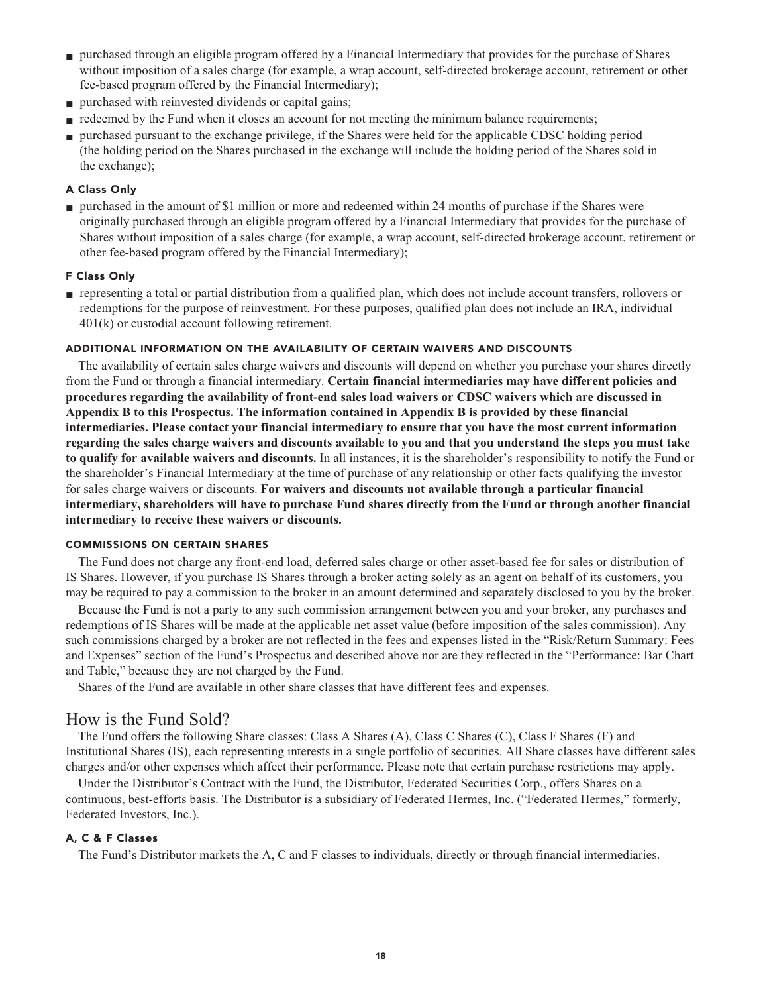- **■ purchased through an eligible program offered by a Financial Intermediary that provides for the purchase of Shares without imposition of a sales charge (for example, a wrap account, self-directed brokerage account, retirement or other fee-based program offered by the Financial Intermediary);**
- **■ purchased with reinvested dividends or capital gains;**
- **■ redeemed by the Fund when it closes an account for not meeting the minimum balance requirements;**
- **■ purchased pursuant to the exchange privilege, if the Shares were held for the applicable CDSC holding period (the holding period on the Shares purchased in the exchange will include the holding period of the Shares sold in the exchange);**

## **A Class Only**

■ **purchased in the amount of \$1 million or more and redeemed within 24 months of purchase if the Shares were originally purchased through an eligible program offered by a Financial Intermediary that provides for the purchase of Shares without imposition of a sales charge (for example, a wrap account, self-directed brokerage account, retirement or other fee-based program offered by the Financial Intermediary);**

#### **F Class Only**

**■ representing a total or partial distribution from a qualified plan, which does not include account transfers, rollovers or redemptions for the purpose of reinvestment. For these purposes, qualified plan does not include an IRA, individual 401(k) or custodial account following retirement.**

#### **ADDITIONAL INFORMATION ON THE AVAILABILITY OF CERTAIN WAIVERS AND DISCOUNTS**

**The availability of certain sales charge waivers and discounts will depend on whether you purchase your shares directly from the Fund or through a financial intermediary. Certain financial intermediaries may have different policies and procedures regarding the availability of front-end sales load waivers or CDSC waivers which are discussed in Appendix B to this Prospectus. The information contained in Appendix B is provided by these financial intermediaries. Please contact your financial intermediary to ensure that you have the most current information regarding the sales charge waivers and discounts available to you and that you understand the steps you must take to qualify for available waivers and discounts. In all instances, it is the shareholder's responsibility to notify the Fund or the shareholder's Financial Intermediary at the time of purchase of any relationship or other facts qualifying the investor for sales charge waivers or discounts. For waivers and discounts not available through a particular financial intermediary, shareholders will have to purchase Fund shares directly from the Fund or through another financial intermediary to receive these waivers or discounts.**

#### **COMMISSIONS ON CERTAIN SHARES**

**The Fund does not charge any front-end load, deferred sales charge or other asset-based fee for sales or distribution of IS Shares. However, if you purchase IS Shares through a broker acting solely as an agent on behalf of its customers, you may be required to pay a commission to the broker in an amount determined and separately disclosed to you by the broker.**

**Because the Fund is not a party to any such commission arrangement between you and your broker, any purchases and redemptions of IS Shares will be made at the applicable net asset value (before imposition of the sales commission). Any such commissions charged by a broker are not reflected in the fees and expenses listed in the "Risk/Return Summary: Fees and Expenses" section of the Fund's Prospectus and described above nor are they reflected in the "Performance: Bar Chart and Table," because they are not charged by the Fund.**

**Shares of the Fund are available in other share classes that have different fees and expenses.**

## **How is the Fund Sold?**

**The Fund offers the following Share classes: Class A Shares (A), Class C Shares (C), Class F Shares (F) and Institutional Shares (IS), each representing interests in a single portfolio of securities. All Share classes have different sales charges and/or other expenses which affect their performance. Please note that certain purchase restrictions may apply.**

**Under the Distributor's Contract with the Fund, the Distributor, Federated Securities Corp., offers Shares on a continuous, best-efforts basis. The Distributor is a subsidiary of Federated Hermes, Inc. ("Federated Hermes," formerly, Federated Investors, Inc.).**

#### **A, C & F Classes**

**The Fund's Distributor markets the A, C and F classes to individuals, directly or through financial intermediaries.**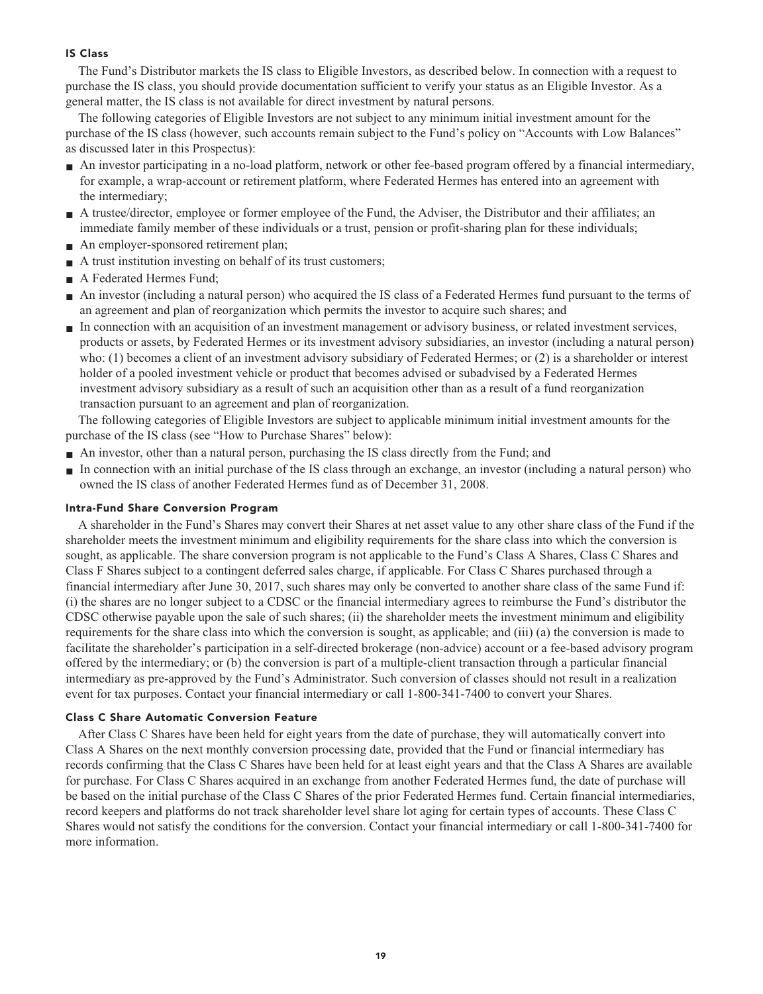#### **IS Class**

**The Fund's Distributor markets the IS class to Eligible Investors, as described below. In connection with a request to purchase the IS class, you should provide documentation sufficient to verify your status as an Eligible Investor. As a general matter, the IS class is not available for direct investment by natural persons.**

**The following categories of Eligible Investors are not subject to any minimum initial investment amount for the purchase of the IS class (however, such accounts remain subject to the Fund's policy on "Accounts with Low Balances" as discussed later in this Prospectus):**

- **■ An investor participating in a no-load platform, network or other fee-based program offered by a financial intermediary, for example, a wrap-account or retirement platform, where Federated Hermes has entered into an agreement with the intermediary;**
- **A** trustee/director, employee or former employee of the Fund, the Adviser, the Distributor and their affiliates; an **immediate family member of these individuals or a trust, pension or profit-sharing plan for these individuals;**
- **■ An employer-sponsored retirement plan;**
- **A** trust institution investing on behalf of its trust customers;
- **■ A Federated Hermes Fund;**
- **■ An investor (including a natural person) who acquired the IS class of a Federated Hermes fund pursuant to the terms of an agreement and plan of reorganization which permits the investor to acquire such shares; and**
- **■ In connection with an acquisition of an investment management or advisory business, or related investment services, products or assets, by Federated Hermes or its investment advisory subsidiaries, an investor (including a natural person) who: (1) becomes a client of an investment advisory subsidiary of Federated Hermes; or (2) is a shareholder or interest holder of a pooled investment vehicle or product that becomes advised or subadvised by a Federated Hermes investment advisory subsidiary as a result of such an acquisition other than as a result of a fund reorganization transaction pursuant to an agreement and plan of reorganization.**

**The following categories of Eligible Investors are subject to applicable minimum initial investment amounts for the purchase of the IS class (see "How to Purchase Shares" below):**

- **■ An investor, other than a natural person, purchasing the IS class directly from the Fund; and**
- **■ In connection with an initial purchase of the IS class through an exchange, an investor (including a natural person) who owned the IS class of another Federated Hermes fund as of December 31, 2008.**

#### **Intra-Fund Share Conversion Program**

**A shareholder in the Fund's Shares may convert their Shares at net asset value to any other share class of the Fund if the shareholder meets the investment minimum and eligibility requirements for the share class into which the conversion is sought, as applicable. The share conversion program is not applicable to the Fund's Class A Shares, Class C Shares and Class F Shares subject to a contingent deferred sales charge, if applicable. For Class C Shares purchased through a financial intermediary after June 30, 2017, such shares may only be converted to another share class of the same Fund if: (i) the shares are no longer subject to a CDSC or the financial intermediary agrees to reimburse the Fund's distributor the CDSC otherwise payable upon the sale of such shares; (ii) the shareholder meets the investment minimum and eligibility requirements for the share class into which the conversion is sought, as applicable; and (iii) (a) the conversion is made to facilitate the shareholder's participation in a self-directed brokerage (non-advice) account or a fee-based advisory program offered by the intermediary; or (b) the conversion is part of a multiple-client transaction through a particular financial intermediary as pre-approved by the Fund's Administrator. Such conversion of classes should not result in a realization event for tax purposes. Contact your financial intermediary or call 1-800-341-7400 to convert your Shares.**

#### **Class C Share Automatic Conversion Feature**

**After Class C Shares have been held for eight years from the date of purchase, they will automatically convert into Class A Shares on the next monthly conversion processing date, provided that the Fund or financial intermediary has records confirming that the Class C Shares have been held for at least eight years and that the Class A Shares are available for purchase. For Class C Shares acquired in an exchange from another Federated Hermes fund, the date of purchase will be based on the initial purchase of the Class C Shares of the prior Federated Hermes fund. Certain financial intermediaries, record keepers and platforms do not track shareholder level share lot aging for certain types of accounts. These Class C Shares would not satisfy the conditions for the conversion. Contact your financial intermediary or call 1-800-341-7400 for more information.**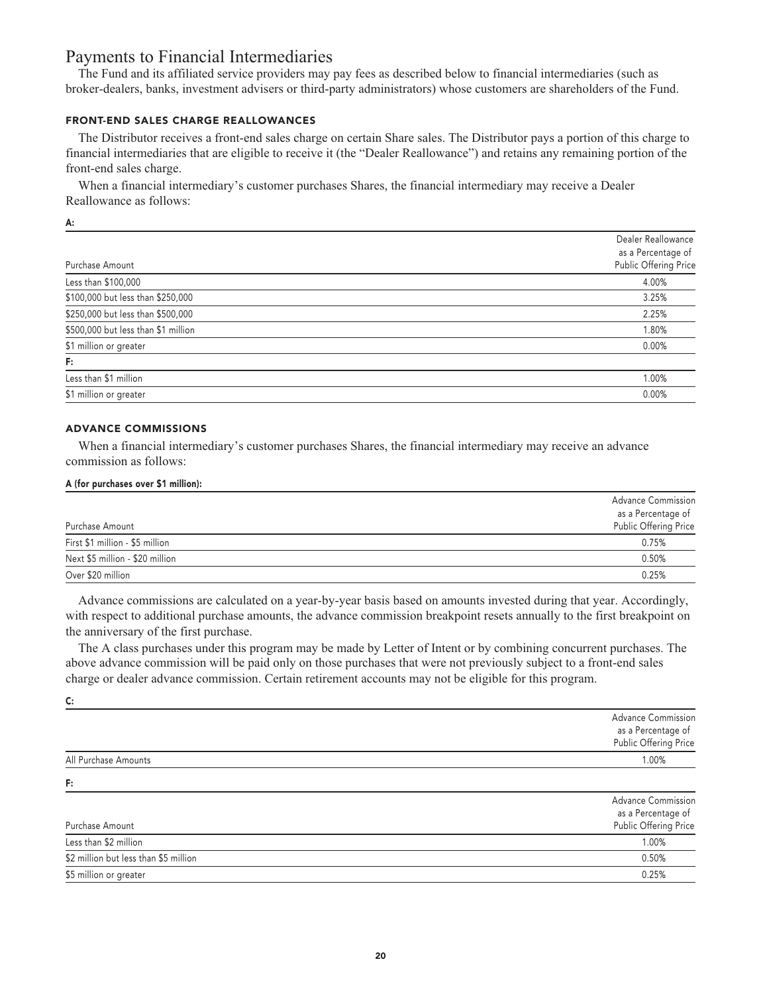## **Payments to Financial Intermediaries**

**The Fund and its affiliated service providers may pay fees as described below to financial intermediaries (such as broker-dealers, banks, investment advisers or third-party administrators) whose customers are shareholders of the Fund.**

## **FRONT-END SALES CHARGE REALLOWANCES**

**The Distributor receives a front-end sales charge on certain Share sales. The Distributor pays a portion of this charge to financial intermediaries that are eligible to receive it (the "Dealer Reallowance") and retains any remaining portion of the front-end sales charge.**

**When a financial intermediary's customer purchases Shares, the financial intermediary may receive a Dealer Reallowance as follows:**

**A:**

**C:**

|                                     | Dealer Reallowance                          |
|-------------------------------------|---------------------------------------------|
| Purchase Amount                     | as a Percentage of<br>Public Offering Price |
|                                     |                                             |
| Less than \$100,000                 | 4.00%                                       |
| \$100,000 but less than \$250,000   | 3.25%                                       |
| \$250,000 but less than \$500,000   | 2.25%                                       |
| \$500,000 but less than \$1 million | 1.80%                                       |
| \$1 million or greater              | 0.00%                                       |
| F:                                  |                                             |
| Less than \$1 million               | 1.00%                                       |
| \$1 million or greater              | 0.00%                                       |
|                                     |                                             |

### **ADVANCE COMMISSIONS**

**When a financial intermediary's customer purchases Shares, the financial intermediary may receive an advance commission as follows:**

#### **A (for purchases over \$1 million):**

|                                 | <b>Advance Commission</b><br>as a Percentage of |
|---------------------------------|-------------------------------------------------|
| Purchase Amount                 | Public Offering Price                           |
| First \$1 million - \$5 million | 0.75%                                           |
| Next \$5 million - \$20 million | 0.50%                                           |
| Over \$20 million               | 0.25%                                           |

**Advance commissions are calculated on a year-by-year basis based on amounts invested during that year. Accordingly, with respect to additional purchase amounts, the advance commission breakpoint resets annually to the first breakpoint on the anniversary of the first purchase.**

**The A class purchases under this program may be made by Letter of Intent or by combining concurrent purchases. The above advance commission will be paid only on those purchases that were not previously subject to a front-end sales charge or dealer advance commission. Certain retirement accounts may not be eligible for this program.**

|                                       | <b>Advance Commission</b><br>as a Percentage of |
|---------------------------------------|-------------------------------------------------|
|                                       | Public Offering Price                           |
| All Purchase Amounts                  | 1.00%                                           |
| F:                                    |                                                 |
|                                       | <b>Advance Commission</b>                       |
|                                       | as a Percentage of                              |
| Purchase Amount                       | Public Offering Price                           |
| Less than \$2 million                 | 1.00%                                           |
| \$2 million but less than \$5 million | 0.50%                                           |
| \$5 million or greater                | 0.25%                                           |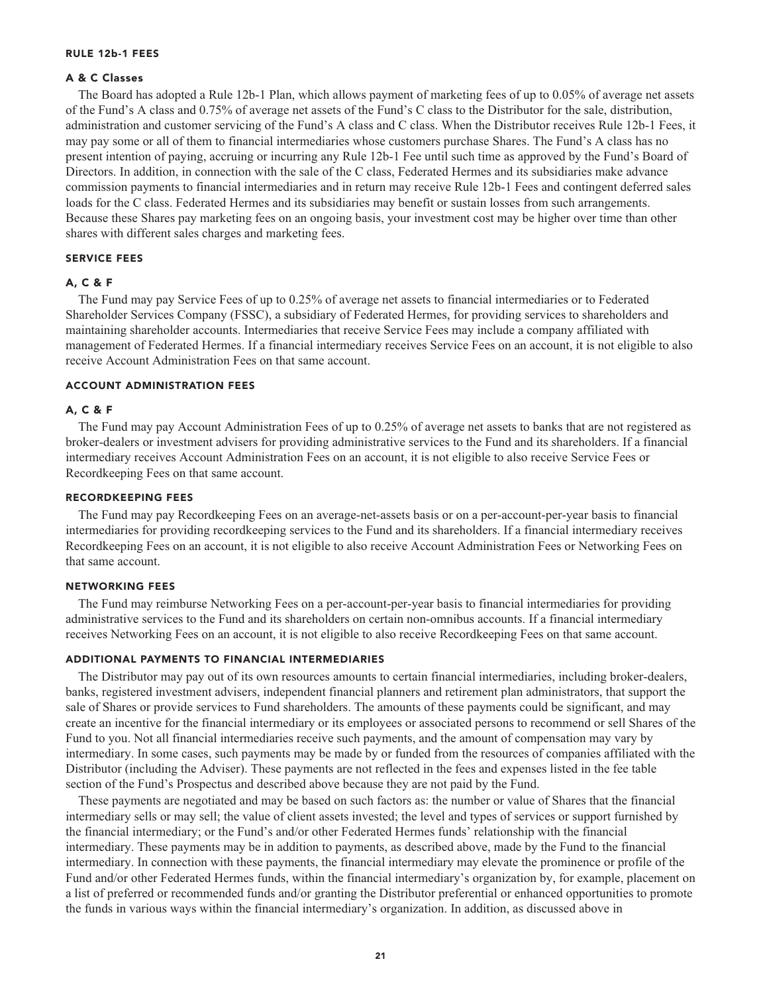#### **RULE 12b-1 FEES**

## **A & C Classes**

**The Board has adopted a Rule 12b-1 Plan, which allows payment of marketing fees of up to 0.05% of average net assets of the Fund's A class and 0.75% of average net assets of the Fund's C class to the Distributor for the sale, distribution, administration and customer servicing of the Fund's A class and C class. When the Distributor receives Rule 12b-1 Fees, it may pay some or all of them to financial intermediaries whose customers purchase Shares. The Fund's A class has no present intention of paying, accruing or incurring any Rule 12b-1 Fee until such time as approved by the Fund's Board of Directors. In addition, in connection with the sale of the C class, Federated Hermes and its subsidiaries make advance commission payments to financial intermediaries and in return may receive Rule 12b-1 Fees and contingent deferred sales loads for the C class. Federated Hermes and its subsidiaries may benefit or sustain losses from such arrangements. Because these Shares pay marketing fees on an ongoing basis, your investment cost may be higher over time than other shares with different sales charges and marketing fees.**

#### **SERVICE FEES**

#### **A, C & F**

**The Fund may pay Service Fees of up to 0.25% of average net assets to financial intermediaries or to Federated Shareholder Services Company (FSSC), a subsidiary of Federated Hermes, for providing services to shareholders and maintaining shareholder accounts. Intermediaries that receive Service Fees may include a company affiliated with management of Federated Hermes. If a financial intermediary receives Service Fees on an account, it is not eligible to also receive Account Administration Fees on that same account.**

## **ACCOUNT ADMINISTRATION FEES**

#### **A, C & F**

**The Fund may pay Account Administration Fees of up to 0.25% of average net assets to banks that are not registered as broker-dealers or investment advisers for providing administrative services to the Fund and its shareholders. If a financial intermediary receives Account Administration Fees on an account, it is not eligible to also receive Service Fees or Recordkeeping Fees on that same account.**

#### **RECORDKEEPING FEES**

**The Fund may pay Recordkeeping Fees on an average-net-assets basis or on a per-account-per-year basis to financial intermediaries for providing recordkeeping services to the Fund and its shareholders. If a financial intermediary receives Recordkeeping Fees on an account, it is not eligible to also receive Account Administration Fees or Networking Fees on that same account.**

#### **NETWORKING FEES**

**The Fund may reimburse Networking Fees on a per-account-per-year basis to financial intermediaries for providing administrative services to the Fund and its shareholders on certain non-omnibus accounts. If a financial intermediary receives Networking Fees on an account, it is not eligible to also receive Recordkeeping Fees on that same account.**

#### **ADDITIONAL PAYMENTS TO FINANCIAL INTERMEDIARIES**

**The Distributor may pay out of its own resources amounts to certain financial intermediaries, including broker-dealers, banks, registered investment advisers, independent financial planners and retirement plan administrators, that support the sale of Shares or provide services to Fund shareholders. The amounts of these payments could be significant, and may create an incentive for the financial intermediary or its employees or associated persons to recommend or sell Shares of the Fund to you. Not all financial intermediaries receive such payments, and the amount of compensation may vary by intermediary. In some cases, such payments may be made by or funded from the resources of companies affiliated with the Distributor (including the Adviser). These payments are not reflected in the fees and expenses listed in the fee table section of the Fund's Prospectus and described above because they are not paid by the Fund.**

**These payments are negotiated and may be based on such factors as: the number or value of Shares that the financial intermediary sells or may sell; the value of client assets invested; the level and types of services or support furnished by the financial intermediary; or the Fund's and/or other Federated Hermes funds' relationship with the financial intermediary. These payments may be in addition to payments, as described above, made by the Fund to the financial intermediary. In connection with these payments, the financial intermediary may elevate the prominence or profile of the Fund and/or other Federated Hermes funds, within the financial intermediary's organization by, for example, placement on a list of preferred or recommended funds and/or granting the Distributor preferential or enhanced opportunities to promote the funds in various ways within the financial intermediary's organization. In addition, as discussed above in**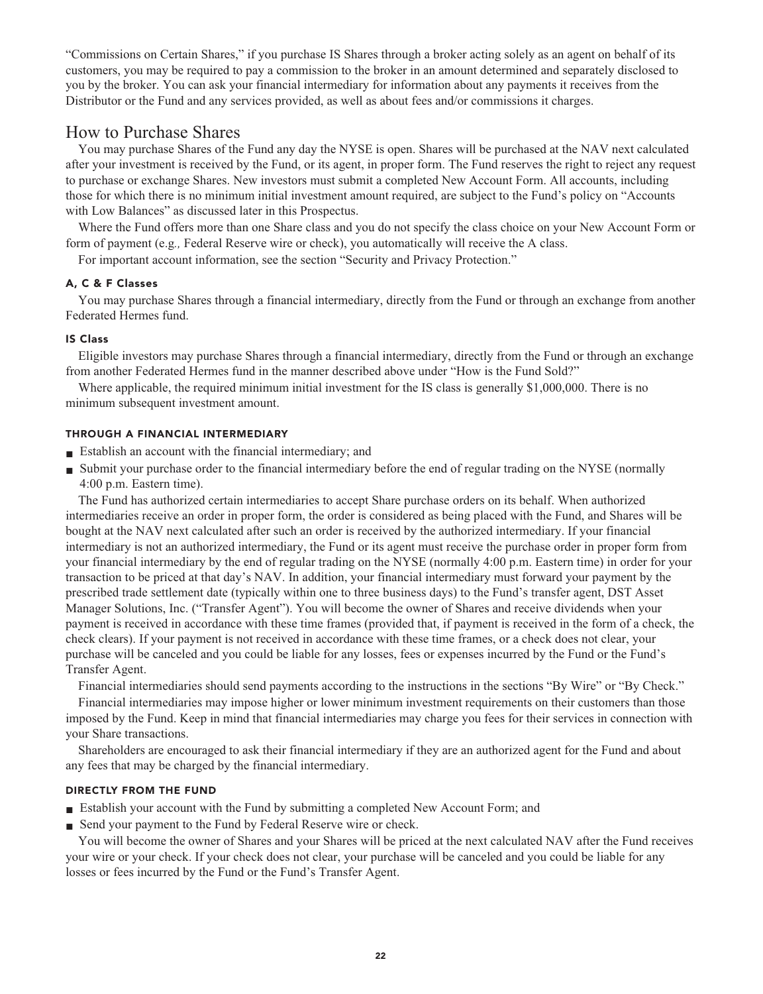**"Commissions on Certain Shares," if you purchase IS Shares through a broker acting solely as an agent on behalf of its customers, you may be required to pay a commission to the broker in an amount determined and separately disclosed to you by the broker. You can ask your financial intermediary for information about any payments it receives from the Distributor or the Fund and any services provided, as well as about fees and/or commissions it charges.**

## **How to Purchase Shares**

**You may purchase Shares of the Fund any day the NYSE is open. Shares will be purchased at the NAV next calculated after your investment is received by the Fund, or its agent, in proper form. The Fund reserves the right to reject any request to purchase or exchange Shares. New investors must submit a completed New Account Form. All accounts, including those for which there is no minimum initial investment amount required, are subject to the Fund's policy on "Accounts with Low Balances" as discussed later in this Prospectus.**

**Where the Fund offers more than one Share class and you do not specify the class choice on your New Account Form or form of payment (e.g***.,* **Federal Reserve wire or check), you automatically will receive the A class.**

**For important account information, see the section "Security and Privacy Protection."**

## **A, C & F Classes**

**You may purchase Shares through a financial intermediary, directly from the Fund or through an exchange from another Federated Hermes fund.**

#### **IS Class**

**Eligible investors may purchase Shares through a financial intermediary, directly from the Fund or through an exchange from another Federated Hermes fund in the manner described above under "How is the Fund Sold?"**

**Where applicable, the required minimum initial investment for the IS class is generally \$1,000,000. There is no minimum subsequent investment amount.**

#### **THROUGH A FINANCIAL INTERMEDIARY**

- **■ Establish an account with the financial intermediary; and**
- **■ Submit your purchase order to the financial intermediary before the end of regular trading on the NYSE (normally 4:00 p.m. Eastern time).**

**The Fund has authorized certain intermediaries to accept Share purchase orders on its behalf. When authorized intermediaries receive an order in proper form, the order is considered as being placed with the Fund, and Shares will be bought at the NAV next calculated after such an order is received by the authorized intermediary. If your financial intermediary is not an authorized intermediary, the Fund or its agent must receive the purchase order in proper form from your financial intermediary by the end of regular trading on the NYSE (normally 4:00 p.m. Eastern time) in order for your transaction to be priced at that day's NAV. In addition, your financial intermediary must forward your payment by the prescribed trade settlement date (typically within one to three business days) to the Fund's transfer agent, DST Asset Manager Solutions, Inc. ("Transfer Agent"). You will become the owner of Shares and receive dividends when your payment is received in accordance with these time frames (provided that, if payment is received in the form of a check, the check clears). If your payment is not received in accordance with these time frames, or a check does not clear, your purchase will be canceled and you could be liable for any losses, fees or expenses incurred by the Fund or the Fund's Transfer Agent.**

**Financial intermediaries should send payments according to the instructions in the sections "By Wire" or "By Check." Financial intermediaries may impose higher or lower minimum investment requirements on their customers than those imposed by the Fund. Keep in mind that financial intermediaries may charge you fees for their services in connection with your Share transactions.**

**Shareholders are encouraged to ask their financial intermediary if they are an authorized agent for the Fund and about any fees that may be charged by the financial intermediary.**

#### **DIRECTLY FROM THE FUND**

- **■ Establish your account with the Fund by submitting a completed New Account Form; and**
- **Send your payment to the Fund by Federal Reserve wire or check.**

**You will become the owner of Shares and your Shares will be priced at the next calculated NAV after the Fund receives your wire or your check. If your check does not clear, your purchase will be canceled and you could be liable for any losses or fees incurred by the Fund or the Fund's Transfer Agent.**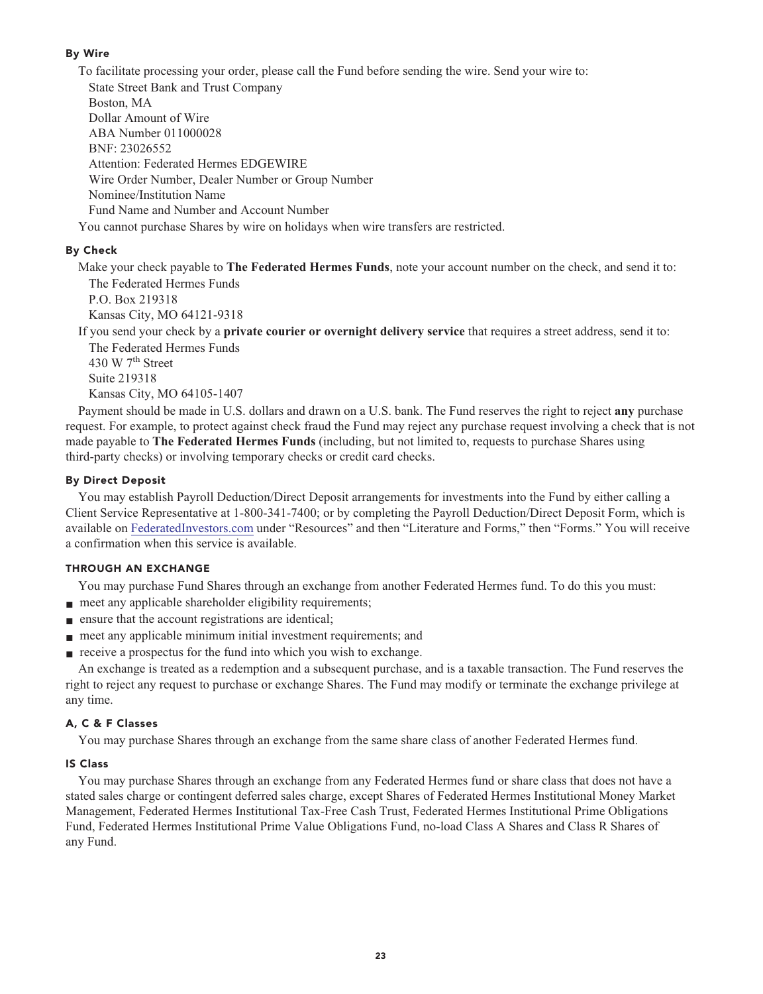## **By Wire**

**To facilitate processing your order, please call the Fund before sending the wire. Send your wire to:**

**State Street Bank and Trust Company Boston, MA**

**Dollar Amount of Wire**

**ABA Number 011000028**

**BNF: 23026552**

**Attention: Federated Hermes EDGEWIRE**

**Wire Order Number, Dealer Number or Group Number**

**Nominee/Institution Name**

**Fund Name and Number and Account Number**

**You cannot purchase Shares by wire on holidays when wire transfers are restricted.**

## **By Check**

**Make your check payable to The Federated Hermes Funds, note your account number on the check, and send it to: The Federated Hermes Funds**

**P.O. Box 219318 Kansas City, MO 64121-9318**

**If you send your check by a private courier or overnight delivery service that requires a street address, send it to:**

**The Federated Hermes Funds th 430 W 7 Street Suite 219318 Kansas City, MO 64105-1407**

**Payment should be made in U.S. dollars and drawn on a U.S. bank. The Fund reserves the right to reject any purchase request. For example, to protect against check fraud the Fund may reject any purchase request involving a check that is not made payable to The Federated Hermes Funds (including, but not limited to, requests to purchase Shares using third-party checks) or involving temporary checks or credit card checks.**

## **By Direct Deposit**

**You may establish Payroll Deduction/Direct Deposit arrangements for investments into the Fund by either calling a Client Service Representative at 1-800-341-7400; or by completing the Payroll Deduction/Direct Deposit Form, which is available on [FederatedInvestors.com](https://www.federatedinvestors.com/home.do) under "Resources" and then "Literature and Forms," then "Forms." You will receive a confirmation when this service is available.**

## **THROUGH AN EXCHANGE**

**You may purchase Fund Shares through an exchange from another Federated Hermes fund. To do this you must:**

- **meet any applicable shareholder eligibility requirements;**
- **■ ensure that the account registrations are identical;**
- **meet any applicable minimum initial investment requirements; and**
- **receive a prospectus for the fund into which you wish to exchange.**

**An exchange is treated as a redemption and a subsequent purchase, and is a taxable transaction. The Fund reserves the right to reject any request to purchase or exchange Shares. The Fund may modify or terminate the exchange privilege at any time.**

## **A, C & F Classes**

**You may purchase Shares through an exchange from the same share class of another Federated Hermes fund.**

## **IS Class**

**You may purchase Shares through an exchange from any Federated Hermes fund or share class that does not have a stated sales charge or contingent deferred sales charge, except Shares of Federated Hermes Institutional Money Market Management, Federated Hermes Institutional Tax-Free Cash Trust, Federated Hermes Institutional Prime Obligations Fund, Federated Hermes Institutional Prime Value Obligations Fund, no-load Class A Shares and Class R Shares of any Fund.**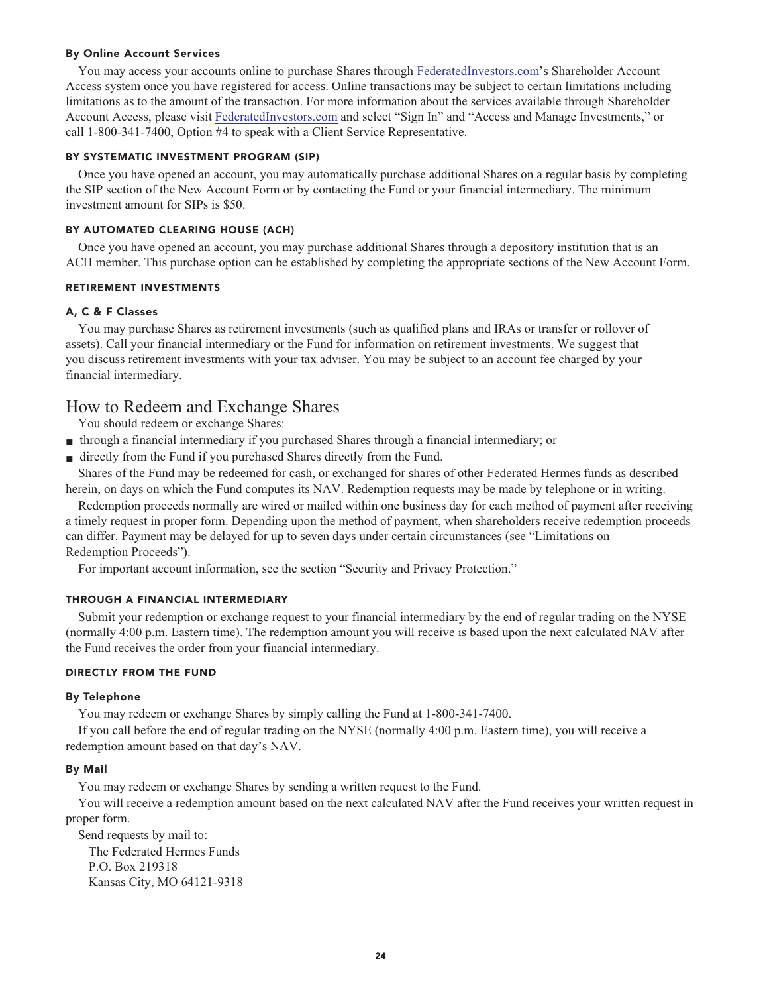#### **By Online Account Services**

**You may access your accounts online to purchase Shares through [FederatedInvestors.com'](https://www.federatedinvestors.com/home.do)s Shareholder Account Access system once you have registered for access. Online transactions may be subject to certain limitations including limitations as to the amount of the transaction. For more information about the services available through Shareholder Account Access, please visit [FederatedInvestors.com](https://www.federatedinvestors.com/home.do) and select "Sign In" and "Access and Manage Investments," or call 1-800-341-7400, Option #4 to speak with a Client Service Representative.**

#### **BY SYSTEMATIC INVESTMENT PROGRAM (SIP)**

**Once you have opened an account, you may automatically purchase additional Shares on a regular basis by completing the SIP section of the New Account Form or by contacting the Fund or your financial intermediary. The minimum investment amount for SIPs is \$50.**

#### **BY AUTOMATED CLEARING HOUSE (ACH)**

**Once you have opened an account, you may purchase additional Shares through a depository institution that is an ACH member. This purchase option can be established by completing the appropriate sections of the New Account Form.**

#### **RETIREMENT INVESTMENTS**

#### **A, C & F Classes**

**You may purchase Shares as retirement investments (such as qualified plans and IRAs or transfer or rollover of assets). Call your financial intermediary or the Fund for information on retirement investments. We suggest that you discuss retirement investments with your tax adviser. You may be subject to an account fee charged by your financial intermediary.**

## **How to Redeem and Exchange Shares**

**You should redeem or exchange Shares:**

- **■ through a financial intermediary if you purchased Shares through a financial intermediary; or**
- directly from the Fund if you purchased Shares directly from the Fund.

**Shares of the Fund may be redeemed for cash, or exchanged for shares of other Federated Hermes funds as described herein, on days on which the Fund computes its NAV. Redemption requests may be made by telephone or in writing.**

**Redemption proceeds normally are wired or mailed within one business day for each method of payment after receiving a timely request in proper form. Depending upon the method of payment, when shareholders receive redemption proceeds can differ. Payment may be delayed for up to seven days under certain circumstances (see "Limitations on Redemption Proceeds").**

**For important account information, see the section "Security and Privacy Protection."**

#### **THROUGH A FINANCIAL INTERMEDIARY**

**Submit your redemption or exchange request to your financial intermediary by the end of regular trading on the NYSE (normally 4:00 p.m. Eastern time). The redemption amount you will receive is based upon the next calculated NAV after the Fund receives the order from your financial intermediary.**

#### **DIRECTLY FROM THE FUND**

#### **By Telephone**

**You may redeem or exchange Shares by simply calling the Fund at 1-800-341-7400.**

**If you call before the end of regular trading on the NYSE (normally 4:00 p.m. Eastern time), you will receive a redemption amount based on that day's NAV.**

#### **By Mail**

**You may redeem or exchange Shares by sending a written request to the Fund.**

**You will receive a redemption amount based on the next calculated NAV after the Fund receives your written request in proper form.**

**Send requests by mail to: The Federated Hermes Funds P.O. Box 219318 Kansas City, MO 64121-9318**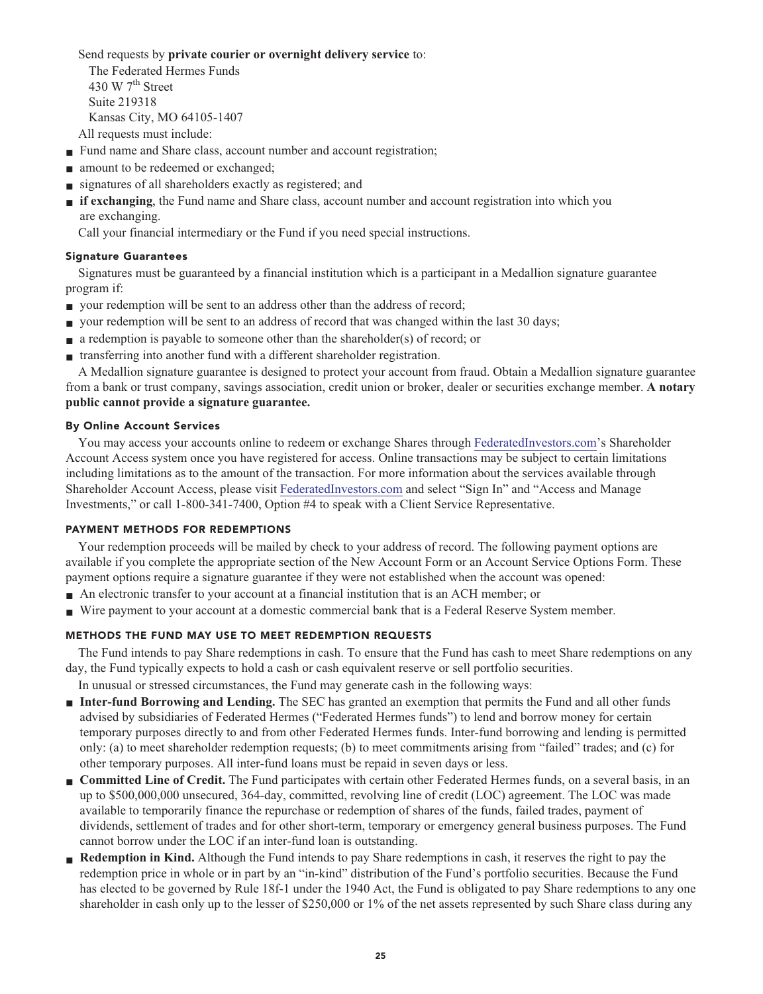**Send requests by private courier or overnight delivery service to:**

**The Federated Hermes Funds th 430 W 7 Street Suite 219318 Kansas City, MO 64105-1407 All requests must include:**

- **Fund name and Share class, account number and account registration;**
- **■ amount to be redeemed or exchanged;**
- **■ signatures of all shareholders exactly as registered; and**
- **■ if exchanging, the Fund name and Share class, account number and account registration into which you are exchanging.**

**Call your financial intermediary or the Fund if you need special instructions.**

#### **Signature Guarantees**

**Signatures must be guaranteed by a financial institution which is a participant in a Medallion signature guarantee program if:**

- **your redemption will be sent to an address other than the address of record;**
- **■ your redemption will be sent to an address of record that was changed within the last 30 days;**
- **a redemption is payable to someone other than the shareholder(s) of record; or**
- **■ transferring into another fund with a different shareholder registration.**

**A Medallion signature guarantee is designed to protect your account from fraud. Obtain a Medallion signature guarantee from a bank or trust company, savings association, credit union or broker, dealer or securities exchange member. A notary public cannot provide a signature guarantee.**

#### **By Online Account Services**

**You may access your accounts online to redeem or exchange Shares through [FederatedInvestors.com'](https://www.federatedinvestors.com/home.do)s Shareholder Account Access system once you have registered for access. Online transactions may be subject to certain limitations including limitations as to the amount of the transaction. For more information about the services available through Shareholder Account Access, please visit [FederatedInvestors.com](https://www.federatedinvestors.com/home.do) and select "Sign In" and "Access and Manage Investments," or call 1-800-341-7400, Option #4 to speak with a Client Service Representative.**

### **PAYMENT METHODS FOR REDEMPTIONS**

**Your redemption proceeds will be mailed by check to your address of record. The following payment options are available if you complete the appropriate section of the New Account Form or an Account Service Options Form. These payment options require a signature guarantee if they were not established when the account was opened:**

- An electronic transfer to your account at a financial institution that is an ACH member; or
- Wire payment to your account at a domestic commercial bank that is a Federal Reserve System member.

## **METHODS THE FUND MAY USE TO MEET REDEMPTION REQUESTS**

**The Fund intends to pay Share redemptions in cash. To ensure that the Fund has cash to meet Share redemptions on any day, the Fund typically expects to hold a cash or cash equivalent reserve or sell portfolio securities.**

**In unusual or stressed circumstances, the Fund may generate cash in the following ways:**

- **■ Inter-fund Borrowing and Lending.** The SEC has granted an exemption that permits the Fund and all other funds **advised by subsidiaries of Federated Hermes ("Federated Hermes funds") to lend and borrow money for certain temporary purposes directly to and from other Federated Hermes funds. Inter-fund borrowing and lending is permitted only: (a) to meet shareholder redemption requests; (b) to meet commitments arising from "failed" trades; and (c) for other temporary purposes. All inter-fund loans must be repaid in seven days or less.**
- **Committed Line of Credit.** The Fund participates with certain other Federated Hermes funds, on a several basis, in an **up to \$500,000,000 unsecured, 364-day, committed, revolving line of credit (LOC) agreement. The LOC was made available to temporarily finance the repurchase or redemption of shares of the funds, failed trades, payment of dividends, settlement of trades and for other short-term, temporary or emergency general business purposes. The Fund cannot borrow under the LOC if an inter-fund loan is outstanding.**
- **Redemption in Kind.** Although the Fund intends to pay Share redemptions in cash, it reserves the right to pay the **redemption price in whole or in part by an "in-kind" distribution of the Fund's portfolio securities. Because the Fund has elected to be governed by Rule 18f-1 under the 1940 Act, the Fund is obligated to pay Share redemptions to any one shareholder in cash only up to the lesser of \$250,000 or 1% of the net assets represented by such Share class during any**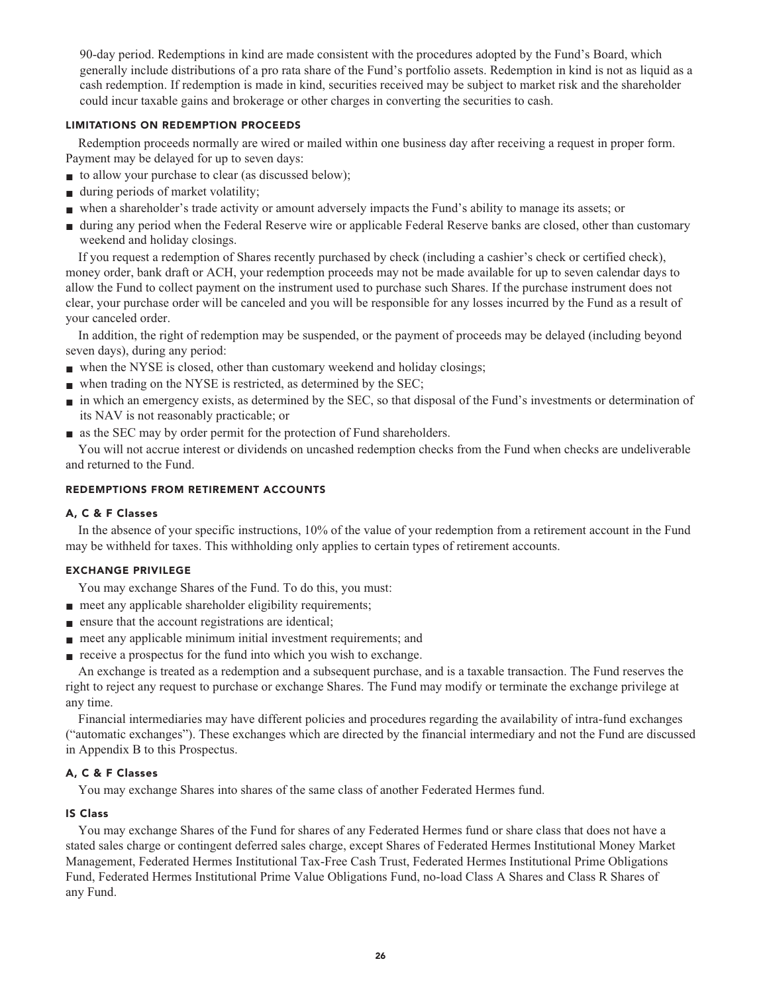**90-day period. Redemptions in kind are made consistent with the procedures adopted by the Fund's Board, which generally include distributions of a pro rata share of the Fund's portfolio assets. Redemption in kind is not as liquid as a cash redemption. If redemption is made in kind, securities received may be subject to market risk and the shareholder could incur taxable gains and brokerage or other charges in converting the securities to cash.**

#### **LIMITATIONS ON REDEMPTION PROCEEDS**

**Redemption proceeds normally are wired or mailed within one business day after receiving a request in proper form. Payment may be delayed for up to seven days:**

- **to allow your purchase to clear (as discussed below);**
- **■ during periods of market volatility;**
- **■ when a shareholder's trade activity or amount adversely impacts the Fund's ability to manage its assets; or**
- **■ during any period when the Federal Reserve wire or applicable Federal Reserve banks are closed, other than customary weekend and holiday closings.**

**If you request a redemption of Shares recently purchased by check (including a cashier's check or certified check), money order, bank draft or ACH, your redemption proceeds may not be made available for up to seven calendar days to allow the Fund to collect payment on the instrument used to purchase such Shares. If the purchase instrument does not clear, your purchase order will be canceled and you will be responsible for any losses incurred by the Fund as a result of your canceled order.**

**In addition, the right of redemption may be suspended, or the payment of proceeds may be delayed (including beyond seven days), during any period:**

- when the NYSE is closed, other than customary weekend and holiday closings;
- when trading on the NYSE is restricted, as determined by the SEC;
- **■ in which an emergency exists, as determined by the SEC, so that disposal of the Fund's investments or determination of its NAV is not reasonably practicable; or**
- **■ as the SEC may by order permit for the protection of Fund shareholders.**

**You will not accrue interest or dividends on uncashed redemption checks from the Fund when checks are undeliverable and returned to the Fund.**

## **REDEMPTIONS FROM RETIREMENT ACCOUNTS**

## **A, C & F Classes**

**In the absence of your specific instructions, 10% of the value of your redemption from a retirement account in the Fund may be withheld for taxes. This withholding only applies to certain types of retirement accounts.**

## **EXCHANGE PRIVILEGE**

**You may exchange Shares of the Fund. To do this, you must:**

- **meet any applicable shareholder eligibility requirements;**
- **■ ensure that the account registrations are identical;**
- **meet any applicable minimum initial investment requirements; and**
- **receive a prospectus for the fund into which you wish to exchange.**

**An exchange is treated as a redemption and a subsequent purchase, and is a taxable transaction. The Fund reserves the right to reject any request to purchase or exchange Shares. The Fund may modify or terminate the exchange privilege at any time.**

**Financial intermediaries may have different policies and procedures regarding the availability of intra-fund exchanges ("automatic exchanges"). These exchanges which are directed by the financial intermediary and not the Fund are discussed in Appendix B to this Prospectus.**

## **A, C & F Classes**

**You may exchange Shares into shares of the same class of another Federated Hermes fund.**

## **IS Class**

**You may exchange Shares of the Fund for shares of any Federated Hermes fund or share class that does not have a stated sales charge or contingent deferred sales charge, except Shares of Federated Hermes Institutional Money Market Management, Federated Hermes Institutional Tax-Free Cash Trust, Federated Hermes Institutional Prime Obligations Fund, Federated Hermes Institutional Prime Value Obligations Fund, no-load Class A Shares and Class R Shares of any Fund.**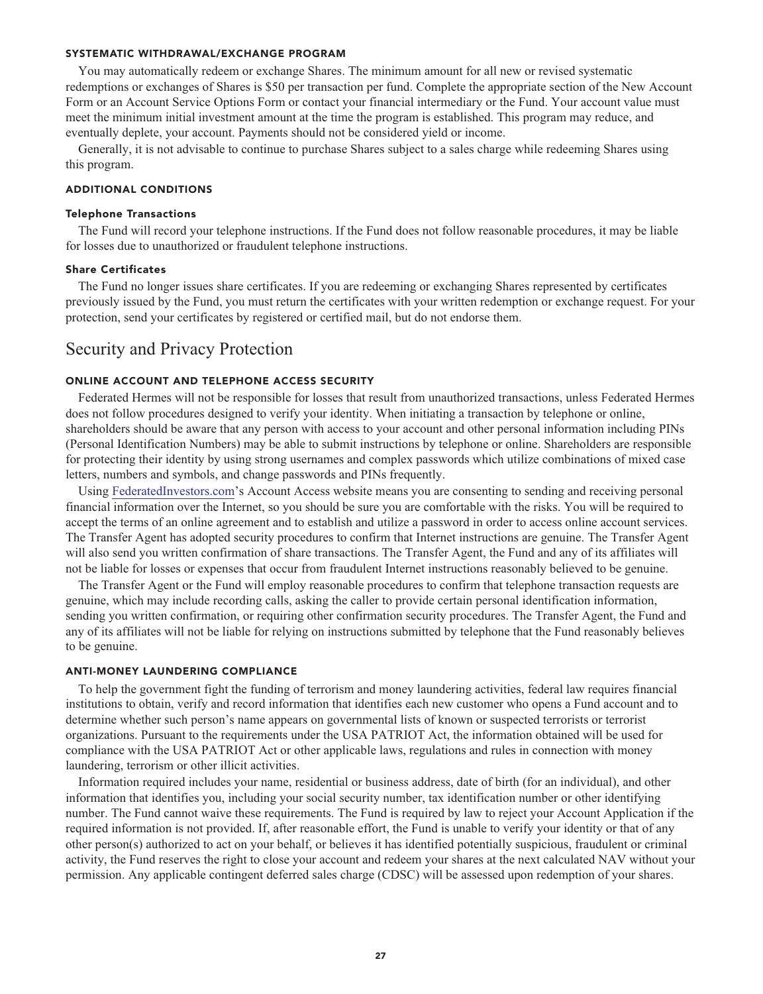#### **SYSTEMATIC WITHDRAWAL/EXCHANGE PROGRAM**

**You may automatically redeem or exchange Shares. The minimum amount for all new or revised systematic redemptions or exchanges of Shares is \$50 per transaction per fund. Complete the appropriate section of the New Account Form or an Account Service Options Form or contact your financial intermediary or the Fund. Your account value must meet the minimum initial investment amount at the time the program is established. This program may reduce, and eventually deplete, your account. Payments should not be considered yield or income.**

**Generally, it is not advisable to continue to purchase Shares subject to a sales charge while redeeming Shares using this program.**

### **ADDITIONAL CONDITIONS**

#### **Telephone Transactions**

**The Fund will record your telephone instructions. If the Fund does not follow reasonable procedures, it may be liable for losses due to unauthorized or fraudulent telephone instructions.**

#### **Share Certificates**

**The Fund no longer issues share certificates. If you are redeeming or exchanging Shares represented by certificates previously issued by the Fund, you must return the certificates with your written redemption or exchange request. For your protection, send your certificates by registered or certified mail, but do not endorse them.**

## **Security and Privacy Protection**

#### **ONLINE ACCOUNT AND TELEPHONE ACCESS SECURITY**

**Federated Hermes will not be responsible for losses that result from unauthorized transactions, unless Federated Hermes does not follow procedures designed to verify your identity. When initiating a transaction by telephone or online, shareholders should be aware that any person with access to your account and other personal information including PINs (Personal Identification Numbers) may be able to submit instructions by telephone or online. Shareholders are responsible for protecting their identity by using strong usernames and complex passwords which utilize combinations of mixed case letters, numbers and symbols, and change passwords and PINs frequently.**

**Using [FederatedInvestors.com'](https://www.federatedinvestors.com/home.do)s Account Access website means you are consenting to sending and receiving personal financial information over the Internet, so you should be sure you are comfortable with the risks. You will be required to accept the terms of an online agreement and to establish and utilize a password in order to access online account services. The Transfer Agent has adopted security procedures to confirm that Internet instructions are genuine. The Transfer Agent will also send you written confirmation of share transactions. The Transfer Agent, the Fund and any of its affiliates will not be liable for losses or expenses that occur from fraudulent Internet instructions reasonably believed to be genuine.**

**The Transfer Agent or the Fund will employ reasonable procedures to confirm that telephone transaction requests are genuine, which may include recording calls, asking the caller to provide certain personal identification information, sending you written confirmation, or requiring other confirmation security procedures. The Transfer Agent, the Fund and any of its affiliates will not be liable for relying on instructions submitted by telephone that the Fund reasonably believes to be genuine.**

#### **ANTI-MONEY LAUNDERING COMPLIANCE**

**To help the government fight the funding of terrorism and money laundering activities, federal law requires financial institutions to obtain, verify and record information that identifies each new customer who opens a Fund account and to determine whether such person's name appears on governmental lists of known or suspected terrorists or terrorist organizations. Pursuant to the requirements under the USA PATRIOT Act, the information obtained will be used for compliance with the USA PATRIOT Act or other applicable laws, regulations and rules in connection with money laundering, terrorism or other illicit activities.**

**Information required includes your name, residential or business address, date of birth (for an individual), and other information that identifies you, including your social security number, tax identification number or other identifying number. The Fund cannot waive these requirements. The Fund is required by law to reject your Account Application if the required information is not provided. If, after reasonable effort, the Fund is unable to verify your identity or that of any other person(s) authorized to act on your behalf, or believes it has identified potentially suspicious, fraudulent or criminal activity, the Fund reserves the right to close your account and redeem your shares at the next calculated NAV without your permission. Any applicable contingent deferred sales charge (CDSC) will be assessed upon redemption of your shares.**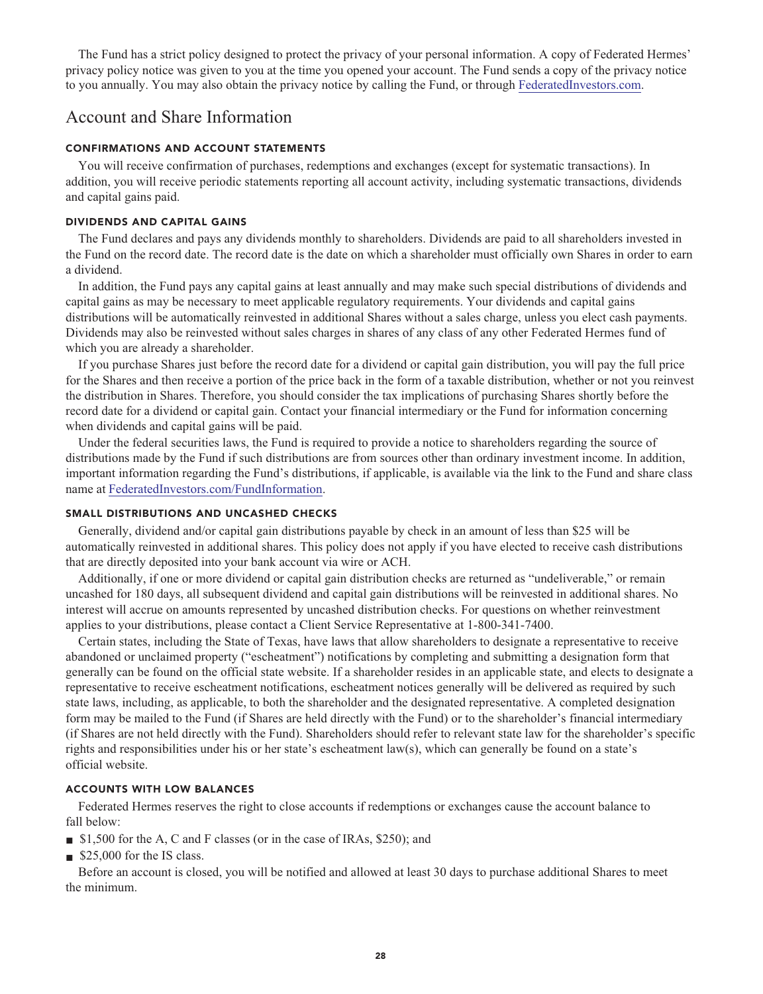**The Fund has a strict policy designed to protect the privacy of your personal information. A copy of Federated Hermes' privacy policy notice was given to you at the time you opened your account. The Fund sends a copy of the privacy notice to you annually. You may also obtain the privacy notice by calling the Fund, or through [FederatedInvestors.com.](https://www.federatedinvestors.com/home.do)**

## **Account and Share Information**

#### **CONFIRMATIONS AND ACCOUNT STATEMENTS**

**You will receive confirmation of purchases, redemptions and exchanges (except for systematic transactions). In addition, you will receive periodic statements reporting all account activity, including systematic transactions, dividends and capital gains paid.**

#### **DIVIDENDS AND CAPITAL GAINS**

**The Fund declares and pays any dividends monthly to shareholders. Dividends are paid to all shareholders invested in the Fund on the record date. The record date is the date on which a shareholder must officially own Shares in order to earn a dividend.**

**In addition, the Fund pays any capital gains at least annually and may make such special distributions of dividends and capital gains as may be necessary to meet applicable regulatory requirements. Your dividends and capital gains distributions will be automatically reinvested in additional Shares without a sales charge, unless you elect cash payments. Dividends may also be reinvested without sales charges in shares of any class of any other Federated Hermes fund of which you are already a shareholder.**

**If you purchase Shares just before the record date for a dividend or capital gain distribution, you will pay the full price for the Shares and then receive a portion of the price back in the form of a taxable distribution, whether or not you reinvest the distribution in Shares. Therefore, you should consider the tax implications of purchasing Shares shortly before the record date for a dividend or capital gain. Contact your financial intermediary or the Fund for information concerning when dividends and capital gains will be paid.**

**Under the federal securities laws, the Fund is required to provide a notice to shareholders regarding the source of distributions made by the Fund if such distributions are from sources other than ordinary investment income. In addition, important information regarding the Fund's distributions, if applicable, is available via the link to the Fund and share class name at [FederatedInvestors.com/FundInformation.](https://www.federatedinvestors.com/product-info/prospectuses-and-regulatory-reports.do)**

#### **SMALL DISTRIBUTIONS AND UNCASHED CHECKS**

**Generally, dividend and/or capital gain distributions payable by check in an amount of less than \$25 will be automatically reinvested in additional shares. This policy does not apply if you have elected to receive cash distributions that are directly deposited into your bank account via wire or ACH.**

**Additionally, if one or more dividend or capital gain distribution checks are returned as "undeliverable," or remain uncashed for 180 days, all subsequent dividend and capital gain distributions will be reinvested in additional shares. No interest will accrue on amounts represented by uncashed distribution checks. For questions on whether reinvestment applies to your distributions, please contact a Client Service Representative at 1-800-341-7400.**

**Certain states, including the State of Texas, have laws that allow shareholders to designate a representative to receive abandoned or unclaimed property ("escheatment") notifications by completing and submitting a designation form that generally can be found on the official state website. If a shareholder resides in an applicable state, and elects to designate a representative to receive escheatment notifications, escheatment notices generally will be delivered as required by such state laws, including, as applicable, to both the shareholder and the designated representative. A completed designation form may be mailed to the Fund (if Shares are held directly with the Fund) or to the shareholder's financial intermediary (if Shares are not held directly with the Fund). Shareholders should refer to relevant state law for the shareholder's specific rights and responsibilities under his or her state's escheatment law(s), which can generally be found on a state's official website.**

#### **ACCOUNTS WITH LOW BALANCES**

**Federated Hermes reserves the right to close accounts if redemptions or exchanges cause the account balance to fall below:**

- \$1,500 for the A, C and F classes (or in the case of IRAs, \$250); and
- **\$25,000** for the IS class.

**Before an account is closed, you will be notified and allowed at least 30 days to purchase additional Shares to meet the minimum.**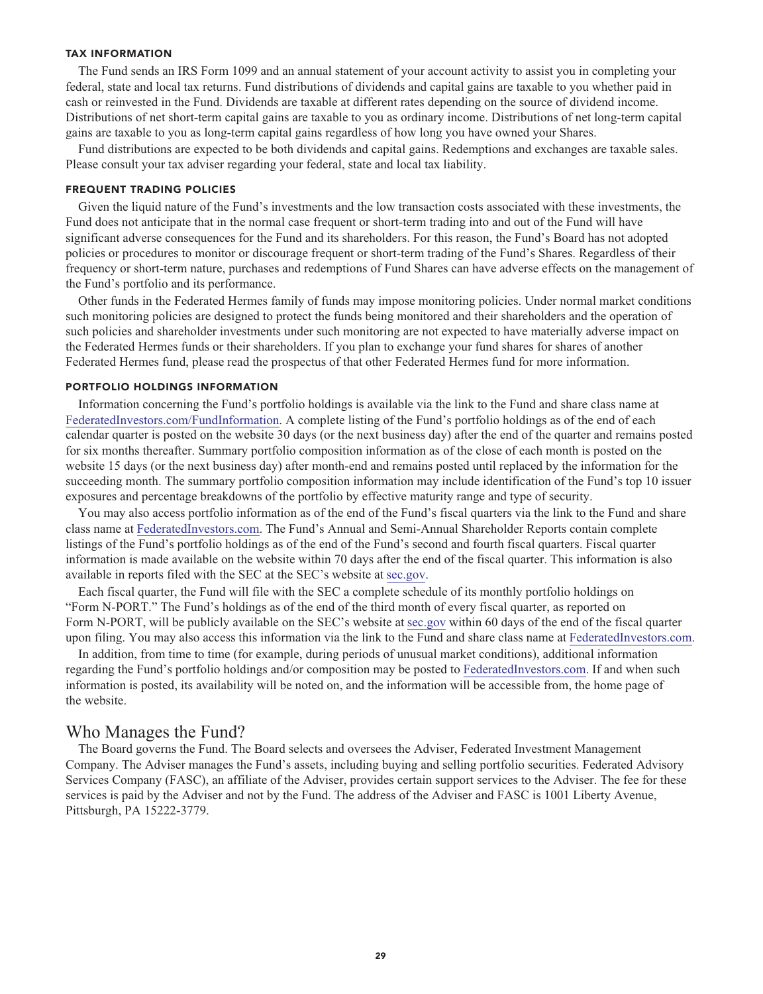#### **TAX INFORMATION**

**The Fund sends an IRS Form 1099 and an annual statement of your account activity to assist you in completing your federal, state and local tax returns. Fund distributions of dividends and capital gains are taxable to you whether paid in cash or reinvested in the Fund. Dividends are taxable at different rates depending on the source of dividend income. Distributions of net short-term capital gains are taxable to you as ordinary income. Distributions of net long-term capital gains are taxable to you as long-term capital gains regardless of how long you have owned your Shares.**

**Fund distributions are expected to be both dividends and capital gains. Redemptions and exchanges are taxable sales. Please consult your tax adviser regarding your federal, state and local tax liability.**

#### **FREQUENT TRADING POLICIES**

**Given the liquid nature of the Fund's investments and the low transaction costs associated with these investments, the Fund does not anticipate that in the normal case frequent or short-term trading into and out of the Fund will have significant adverse consequences for the Fund and its shareholders. For this reason, the Fund's Board has not adopted policies or procedures to monitor or discourage frequent or short-term trading of the Fund's Shares. Regardless of their frequency or short-term nature, purchases and redemptions of Fund Shares can have adverse effects on the management of the Fund's portfolio and its performance.**

**Other funds in the Federated Hermes family of funds may impose monitoring policies. Under normal market conditions such monitoring policies are designed to protect the funds being monitored and their shareholders and the operation of such policies and shareholder investments under such monitoring are not expected to have materially adverse impact on the Federated Hermes funds or their shareholders. If you plan to exchange your fund shares for shares of another Federated Hermes fund, please read the prospectus of that other Federated Hermes fund for more information.**

#### **PORTFOLIO HOLDINGS INFORMATION**

**Information concerning the Fund's portfolio holdings is available via the link to the Fund and share class name at [FederatedInvestors.com/FundInformation.](https://www.federatedinvestors.com/product-info/prospectuses-and-regulatory-reports.do) A complete listing of the Fund's portfolio holdings as of the end of each calendar quarter is posted on the website 30 days (or the next business day) after the end of the quarter and remains posted for six months thereafter. Summary portfolio composition information as of the close of each month is posted on the website 15 days (or the next business day) after month-end and remains posted until replaced by the information for the succeeding month. The summary portfolio composition information may include identification of the Fund's top 10 issuer exposures and percentage breakdowns of the portfolio by effective maturity range and type of security.**

**You may also access portfolio information as of the end of the Fund's fiscal quarters via the link to the Fund and share class name at [FederatedInvestors.com.](https://www.federatedinvestors.com/home.do) The Fund's Annual and Semi-Annual Shareholder Reports contain complete listings of the Fund's portfolio holdings as of the end of the Fund's second and fourth fiscal quarters. Fiscal quarter information is made available on the website within 70 days after the end of the fiscal quarter. This information is also available in reports filed with the SEC at the SEC's website at [sec.gov.](https://www.sec.gov/)**

**Each fiscal quarter, the Fund will file with the SEC a complete schedule of its monthly portfolio holdings on "Form N-PORT." The Fund's holdings as of the end of the third month of every fiscal quarter, as reported on Form N-PORT, will be publicly available on the SEC's website at [sec.gov](https://www.sec.gov/) within 60 days of the end of the fiscal quarter upon filing. You may also access this information via the link to the Fund and share class name at [FederatedInvestors.com.](https://www.federatedinvestors.com/home.do)**

**In addition, from time to time (for example, during periods of unusual market conditions), additional information regarding the Fund's portfolio holdings and/or composition may be posted to [FederatedInvestors.com.](https://www.federatedinvestors.com/home.do) If and when such information is posted, its availability will be noted on, and the information will be accessible from, the home page of the website.**

## **Who Manages the Fund?**

**The Board governs the Fund. The Board selects and oversees the Adviser, Federated Investment Management Company. The Adviser manages the Fund's assets, including buying and selling portfolio securities. Federated Advisory Services Company (FASC), an affiliate of the Adviser, provides certain support services to the Adviser. The fee for these services is paid by the Adviser and not by the Fund. The address of the Adviser and FASC is 1001 Liberty Avenue, Pittsburgh, PA 15222-3779.**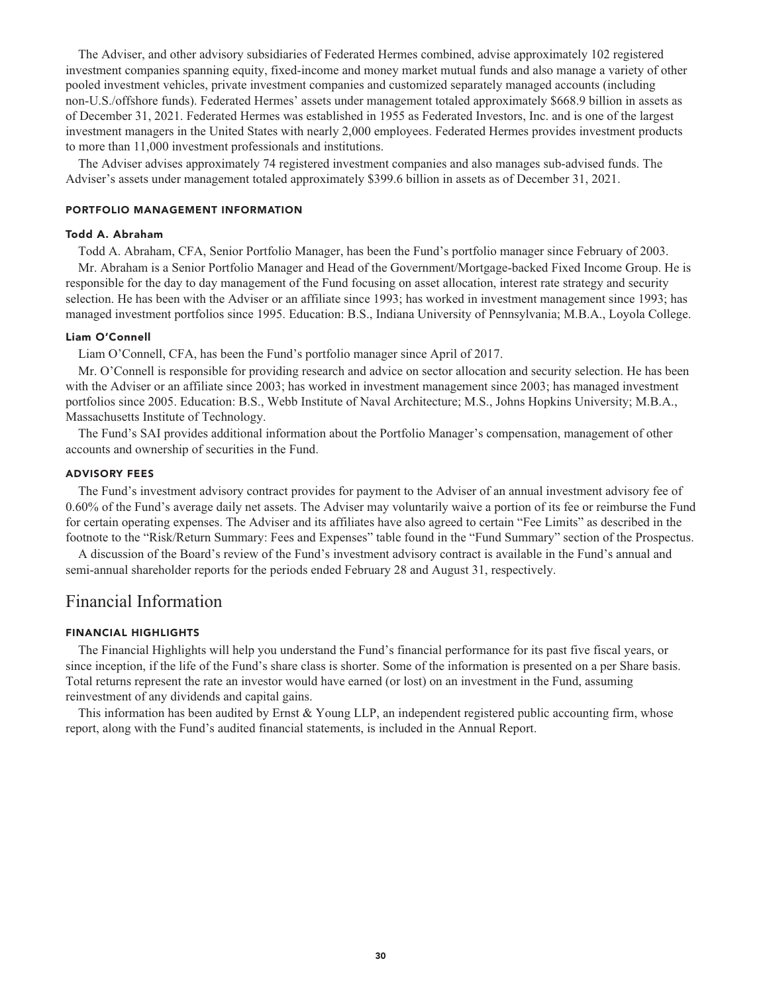**The Adviser, and other advisory subsidiaries of Federated Hermes combined, advise approximately 102 registered investment companies spanning equity, fixed-income and money market mutual funds and also manage a variety of other pooled investment vehicles, private investment companies and customized separately managed accounts (including non-U.S./offshore funds). Federated Hermes' assets under management totaled approximately \$668.9 billion in assets as of December 31, 2021. Federated Hermes was established in 1955 as Federated Investors, Inc. and is one of the largest investment managers in the United States with nearly 2,000 employees. Federated Hermes provides investment products to more than 11,000 investment professionals and institutions.**

**The Adviser advises approximately 74 registered investment companies and also manages sub-advised funds. The Adviser's assets under management totaled approximately \$399.6 billion in assets as of December 31, 2021.**

#### **PORTFOLIO MANAGEMENT INFORMATION**

#### **Todd A. Abraham**

**Todd A. Abraham, CFA, Senior Portfolio Manager, has been the Fund's portfolio manager since February of 2003.**

**Mr. Abraham is a Senior Portfolio Manager and Head of the Government/Mortgage-backed Fixed Income Group. He is responsible for the day to day management of the Fund focusing on asset allocation, interest rate strategy and security selection. He has been with the Adviser or an affiliate since 1993; has worked in investment management since 1993; has managed investment portfolios since 1995. Education: B.S., Indiana University of Pennsylvania; M.B.A., Loyola College.**

#### **Liam O'Connell**

**Liam O'Connell, CFA, has been the Fund's portfolio manager since April of 2017.**

**Mr. O'Connell is responsible for providing research and advice on sector allocation and security selection. He has been with the Adviser or an affiliate since 2003; has worked in investment management since 2003; has managed investment portfolios since 2005. Education: B.S., Webb Institute of Naval Architecture; M.S., Johns Hopkins University; M.B.A., Massachusetts Institute of Technology.**

**The Fund's SAI provides additional information about the Portfolio Manager's compensation, management of other accounts and ownership of securities in the Fund.**

#### **ADVISORY FEES**

**The Fund's investment advisory contract provides for payment to the Adviser of an annual investment advisory fee of 0.60% of the Fund's average daily net assets. The Adviser may voluntarily waive a portion of its fee or reimburse the Fund for certain operating expenses. The Adviser and its affiliates have also agreed to certain "Fee Limits" as described in the footnote to the "Risk/Return Summary: Fees and Expenses" table found in the "Fund Summary" section of the Prospectus.**

**A discussion of the Board's review of the Fund's investment advisory contract is available in the Fund's annual and semi-annual shareholder reports for the periods ended February 28 and August 31, respectively.**

## **Financial Information**

#### **FINANCIAL HIGHLIGHTS**

**The Financial Highlights will help you understand the Fund's financial performance for its past five fiscal years, or since inception, if the life of the Fund's share class is shorter. Some of the information is presented on a per Share basis. Total returns represent the rate an investor would have earned (or lost) on an investment in the Fund, assuming reinvestment of any dividends and capital gains.**

**This information has been audited by Ernst & Young LLP, an independent registered public accounting firm, whose report, along with the Fund's audited financial statements, is included in the Annual Report.**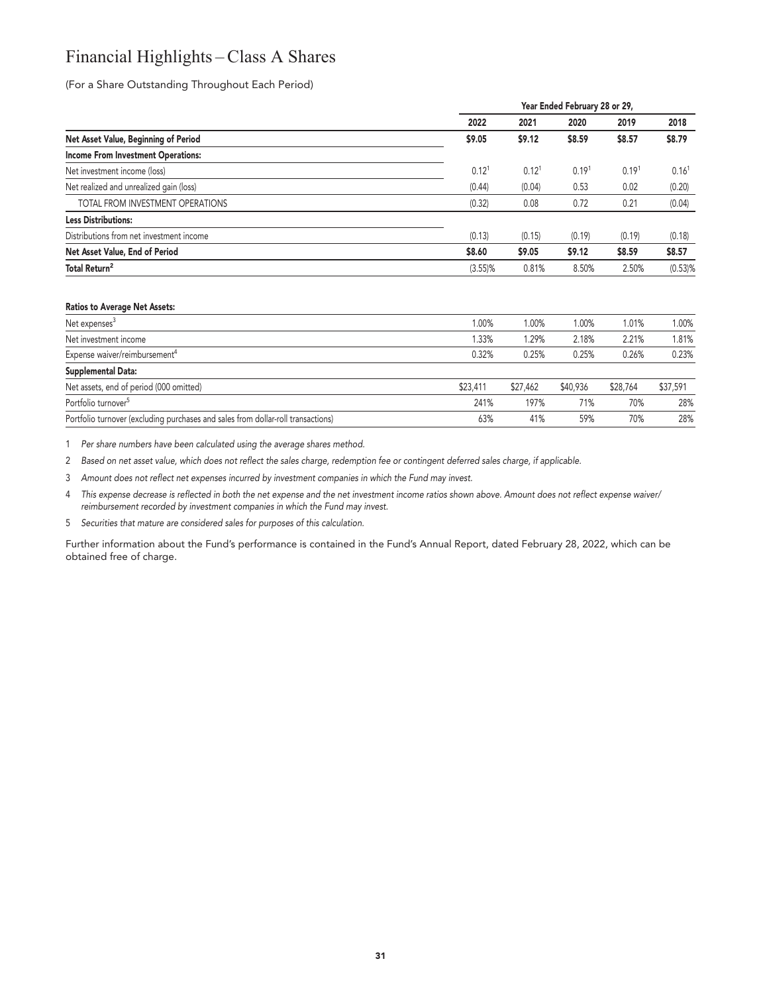## **Financial Highlights – Class A Shares**

**(For a Share Outstanding Throughout Each Period)**

|                                           |                   | Year Ended February 28 or 29, |                   |                   |                   |  |  |
|-------------------------------------------|-------------------|-------------------------------|-------------------|-------------------|-------------------|--|--|
|                                           | 2022              | 2021                          | 2020              | 2019              | 2018              |  |  |
| Net Asset Value, Beginning of Period      | \$9.05            | \$9.12                        | \$8.59            | \$8.57            | \$8.79            |  |  |
| <b>Income From Investment Operations:</b> |                   |                               |                   |                   |                   |  |  |
| Net investment income (loss)              | 0.12 <sup>1</sup> | 0.12 <sup>1</sup>             | 0.19 <sup>1</sup> | 0.19 <sup>1</sup> | 0.16 <sup>1</sup> |  |  |
| Net realized and unrealized gain (loss)   | (0.44)            | (0.04)                        | 0.53              | 0.02              | (0.20)            |  |  |
| TOTAL FROM INVESTMENT OPERATIONS          | (0.32)            | 0.08                          | 0.72              | 0.21              | (0.04)            |  |  |
| <b>Less Distributions:</b>                |                   |                               |                   |                   |                   |  |  |
| Distributions from net investment income  | (0.13)            | (0.15)                        | (0.19)            | (0.19)            | (0.18)            |  |  |
| Net Asset Value, End of Period            | \$8.60            | \$9.05                        | \$9.12            | \$8.59            | \$8.57            |  |  |
| Total Return <sup>2</sup>                 | $(3.55)\%$        | 0.81%                         | 8.50%             | 2.50%             | $(0.53)$ %        |  |  |
|                                           |                   |                               |                   |                   |                   |  |  |

#### **Ratios to Average Net Assets:**

| Net expenses <sup>3</sup>                                                        | 1.00%    | .00%     | 1.00%    | 1.01%    | 1.00%    |
|----------------------------------------------------------------------------------|----------|----------|----------|----------|----------|
| Net investment income                                                            | .33%     | .29%     | 2.18%    | 2.21%    | 1.81%    |
| Expense waiver/reimbursement <sup>4</sup>                                        | 0.32%    | 0.25%    | 0.25%    | 0.26%    | 0.23%    |
| Supplemental Data:                                                               |          |          |          |          |          |
| Net assets, end of period (000 omitted)                                          | \$23,411 | \$27,462 | \$40,936 | \$28,764 | \$37,591 |
| Portfolio turnover <sup>5</sup>                                                  | 241%     | 197%     | 71%      | 70%      | 28%      |
| Portfolio turnover (excluding purchases and sales from dollar-roll transactions) | 63%      | 41%      | 59%      | 70%      | 28%      |

**1 Per share numbers have been calculated using the average shares method.**

**2 Based on net asset value, which does not reflect the sales charge, redemption fee or contingent deferred sales charge, if applicable.**

**3 Amount does not reflect net expenses incurred by investment companies in which the Fund may invest.**

**4 This expense decrease is reflected in both the net expense and the net investment income ratios shown above. Amount does not reflect expense waiver/ reimbursement recorded by investment companies in which the Fund may invest.**

**5 Securities that mature are considered sales for purposes of this calculation.**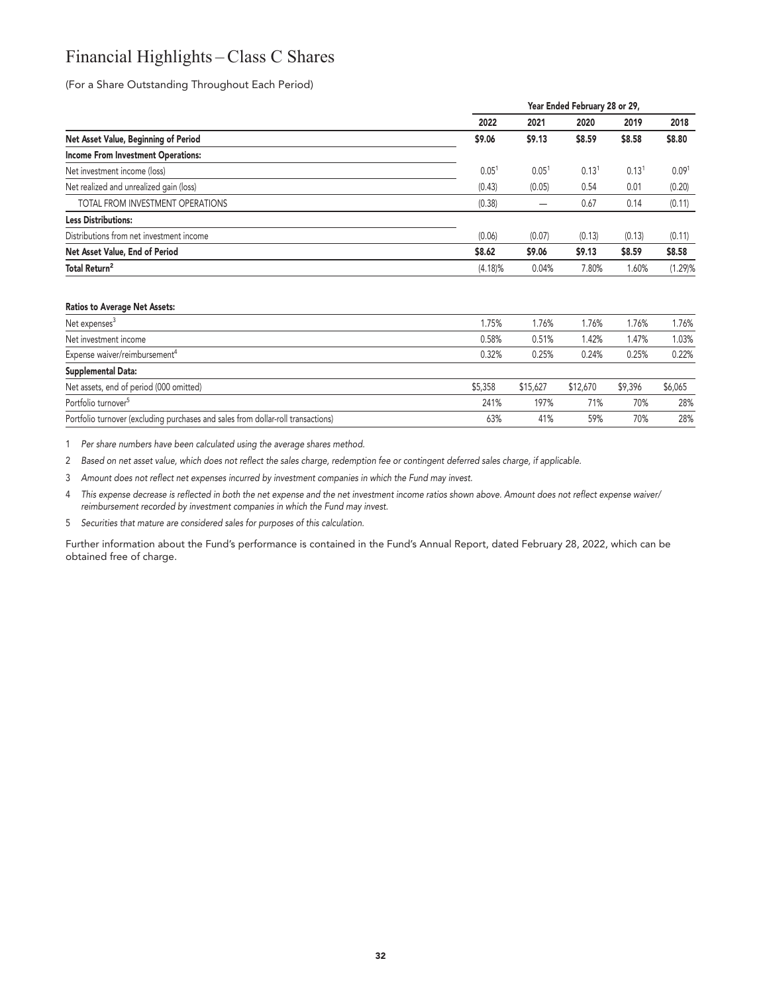## **Financial Highlights – Class C Shares**

**(For a Share Outstanding Throughout Each Period)**

|                                           |                   | Year Ended February 28 or 29, |                   |                   |                   |  |
|-------------------------------------------|-------------------|-------------------------------|-------------------|-------------------|-------------------|--|
|                                           | 2022              | 2021                          | 2020              | 2019              | 2018              |  |
| Net Asset Value, Beginning of Period      | \$9.06            | \$9.13                        | \$8.59            | \$8.58            | \$8.80            |  |
| <b>Income From Investment Operations:</b> |                   |                               |                   |                   |                   |  |
| Net investment income (loss)              | 0.05 <sup>1</sup> | 0.05 <sup>1</sup>             | 0.13 <sup>1</sup> | 0.13 <sup>1</sup> | 0.09 <sup>1</sup> |  |
| Net realized and unrealized gain (loss)   | (0.43)            | (0.05)                        | 0.54              | 0.01              | (0.20)            |  |
| TOTAL FROM INVESTMENT OPERATIONS          | (0.38)            |                               | 0.67              | 0.14              | (0.11)            |  |
| <b>Less Distributions:</b>                |                   |                               |                   |                   |                   |  |
| Distributions from net investment income  | (0.06)            | (0.07)                        | (0.13)            | (0.13)            | (0.11)            |  |
| Net Asset Value, End of Period            | \$8.62            | \$9.06                        | \$9.13            | \$8.59            | \$8.58            |  |
| Total Return <sup>2</sup>                 | $(4.18)\%$        | 0.04%                         | 7.80%             | 1.60%             | (1.29)%           |  |
|                                           |                   |                               |                   |                   |                   |  |
|                                           |                   |                               |                   |                   |                   |  |

#### **Ratios to Average Net Assets:**

| Net expenses <sup>3</sup>                                                        | .75%    | .76%     | 1.76%    | 1.76%   | 1.76%   |
|----------------------------------------------------------------------------------|---------|----------|----------|---------|---------|
| Net investment income                                                            | 0.58%   | 0.51%    | 1.42%    | .47%    | 1.03%   |
| Expense waiver/reimbursement <sup>4</sup>                                        | 0.32%   | 0.25%    | 0.24%    | 0.25%   | 0.22%   |
| Supplemental Data:                                                               |         |          |          |         |         |
| Net assets, end of period (000 omitted)                                          | \$5,358 | \$15,627 | \$12,670 | \$9,396 | \$6.065 |
| Portfolio turnover <sup>5</sup>                                                  | 241%    | 197%     | 71%      | 70%     | 28%     |
| Portfolio turnover (excluding purchases and sales from dollar-roll transactions) | 63%     | 41%      | 59%      | 70%     | 28%     |

**1 Per share numbers have been calculated using the average shares method.**

**2 Based on net asset value, which does not reflect the sales charge, redemption fee or contingent deferred sales charge, if applicable.**

**3 Amount does not reflect net expenses incurred by investment companies in which the Fund may invest.**

**4 This expense decrease is reflected in both the net expense and the net investment income ratios shown above. Amount does not reflect expense waiver/ reimbursement recorded by investment companies in which the Fund may invest.**

**5 Securities that mature are considered sales for purposes of this calculation.**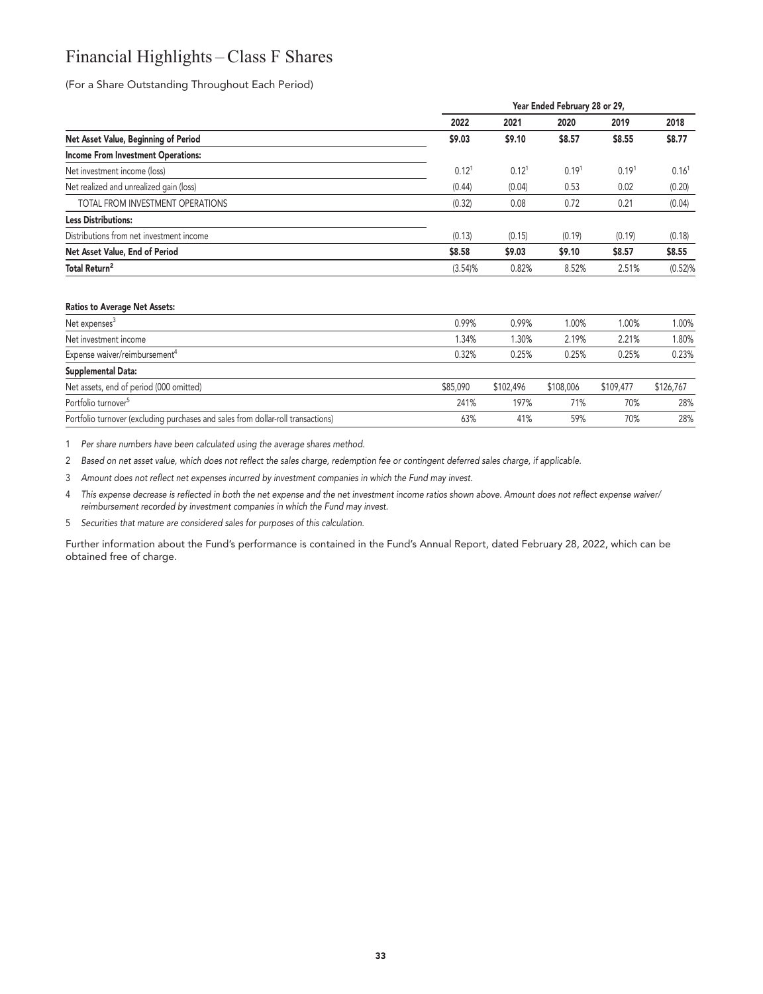## **Financial Highlights – Class F Shares**

**(For a Share Outstanding Throughout Each Period)**

| 2022<br>2021<br>Net Asset Value, Beginning of Period<br>\$9.03<br>\$9.10<br><b>Income From Investment Operations:</b><br>0.12 <sup>1</sup><br>Net investment income (loss)<br>Net realized and unrealized gain (loss)<br>(0.44)<br>TOTAL FROM INVESTMENT OPERATIONS<br>(0.32)<br><b>Less Distributions:</b> | 2020<br>0.12 <sup>1</sup><br>(0.04) | \$8.57<br>0.19 <sup>1</sup><br>0.53 | 2019<br>\$8.55<br>0.19 <sup>1</sup> | 2018<br>\$8.77<br>0.16 <sup>1</sup> |
|-------------------------------------------------------------------------------------------------------------------------------------------------------------------------------------------------------------------------------------------------------------------------------------------------------------|-------------------------------------|-------------------------------------|-------------------------------------|-------------------------------------|
|                                                                                                                                                                                                                                                                                                             |                                     |                                     |                                     |                                     |
|                                                                                                                                                                                                                                                                                                             |                                     |                                     |                                     |                                     |
|                                                                                                                                                                                                                                                                                                             |                                     |                                     |                                     |                                     |
|                                                                                                                                                                                                                                                                                                             |                                     |                                     |                                     |                                     |
|                                                                                                                                                                                                                                                                                                             |                                     |                                     | 0.02                                | (0.20)                              |
|                                                                                                                                                                                                                                                                                                             | 0.08                                | 0.72                                | 0.21                                | (0.04)                              |
|                                                                                                                                                                                                                                                                                                             |                                     |                                     |                                     |                                     |
| (0.13)<br>Distributions from net investment income                                                                                                                                                                                                                                                          | (0.15)                              | (0.19)                              | (0.19)                              | (0.18)                              |
| \$8.58<br>\$9.03<br>Net Asset Value, End of Period                                                                                                                                                                                                                                                          |                                     | \$9.10                              | \$8.57                              | \$8.55                              |
| Total Return <sup>2</sup><br>(3.54)%                                                                                                                                                                                                                                                                        | 0.82%                               | 8.52%                               | 2.51%                               | $(0.52)$ %                          |

#### **Ratios to Average Net Assets:**

| Net expenses <sup>3</sup>                                                        | 0.99%    | 0.99%     | 1.00%     | 1.00%     | 1.00%     |
|----------------------------------------------------------------------------------|----------|-----------|-----------|-----------|-----------|
| Net investment income                                                            | 1.34%    | 1.30%     | 2.19%     | 2.21%     | .80%      |
| Expense waiver/reimbursement <sup>4</sup>                                        | 0.32%    | 0.25%     | 0.25%     | 0.25%     | 0.23%     |
| Supplemental Data:                                                               |          |           |           |           |           |
| Net assets, end of period (000 omitted)                                          | \$85,090 | \$102,496 | \$108,006 | \$109,477 | \$126,767 |
| Portfolio turnover <sup>5</sup>                                                  | 241%     | 197%      | 71%       | 70%       | 28%       |
| Portfolio turnover (excluding purchases and sales from dollar-roll transactions) | 63%      | 41%       | 59%       | 70%       | 28%       |

**1 Per share numbers have been calculated using the average shares method.**

**2 Based on net asset value, which does not reflect the sales charge, redemption fee or contingent deferred sales charge, if applicable.**

**3 Amount does not reflect net expenses incurred by investment companies in which the Fund may invest.**

**4 This expense decrease is reflected in both the net expense and the net investment income ratios shown above. Amount does not reflect expense waiver/ reimbursement recorded by investment companies in which the Fund may invest.**

**5 Securities that mature are considered sales for purposes of this calculation.**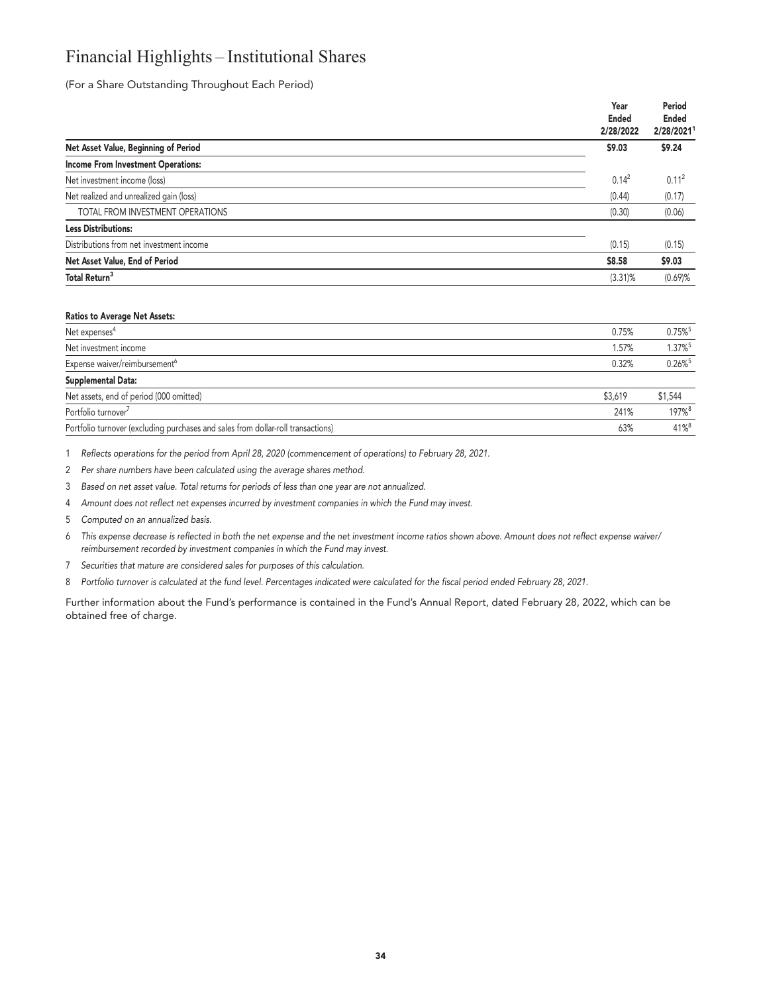## **Financial Highlights – Institutional Shares**

**(For a Share Outstanding Throughout Each Period)**

|                                           | Year<br><b>Ended</b><br>2/28/2022 | Period<br><b>Ended</b><br>2/28/20211 |
|-------------------------------------------|-----------------------------------|--------------------------------------|
| Net Asset Value, Beginning of Period      | \$9.03                            | \$9.24                               |
| <b>Income From Investment Operations:</b> |                                   |                                      |
| Net investment income (loss)              | $0.14^2$                          | 0.11 <sup>2</sup>                    |
| Net realized and unrealized gain (loss)   | (0.44)                            | (0.17)                               |
| TOTAL FROM INVESTMENT OPERATIONS          | (0.30)                            | (0.06)                               |
| <b>Less Distributions:</b>                |                                   |                                      |
| Distributions from net investment income  | (0.15)                            | (0.15)                               |
| Net Asset Value, End of Period            | \$8.58                            | \$9.03                               |
| Total Return <sup>3</sup>                 | $(3.31)\%$                        | (0.69)%                              |

#### **Ratios to Average Net Assets:**

| Net expenses <sup>4</sup>                                                        | 0.75%   | $0.75\%$ <sup>5</sup> |
|----------------------------------------------------------------------------------|---------|-----------------------|
| Net investment income                                                            | 1.57%   | 1.37% <sup>5</sup>    |
| Expense waiver/reimbursement <sup>6</sup>                                        | 0.32%   | $0.26\%$ <sup>5</sup> |
| Supplemental Data:                                                               |         |                       |
| Net assets, end of period (000 omitted)                                          | \$3,619 | \$1,544               |
| Portfolio turnover <sup>7</sup>                                                  | 241%    | 197%8                 |
| Portfolio turnover (excluding purchases and sales from dollar-roll transactions) | 63%     | $41\%$ <sup>8</sup>   |

**1 Reflects operations for the period from April 28, 2020 (commencement of operations) to February 28, 2021.**

**2 Per share numbers have been calculated using the average shares method.**

**3 Based on net asset value. Total returns for periods of less than one year are not annualized.**

**4 Amount does not reflect net expenses incurred by investment companies in which the Fund may invest.**

**5 Computed on an annualized basis.**

**6 This expense decrease is reflected in both the net expense and the net investment income ratios shown above. Amount does not reflect expense waiver/ reimbursement recorded by investment companies in which the Fund may invest.**

- **7 Securities that mature are considered sales for purposes of this calculation.**
- **8 Portfolio turnover is calculated at the fund level. Percentages indicated were calculated for the fiscal period ended February 28, 2021.**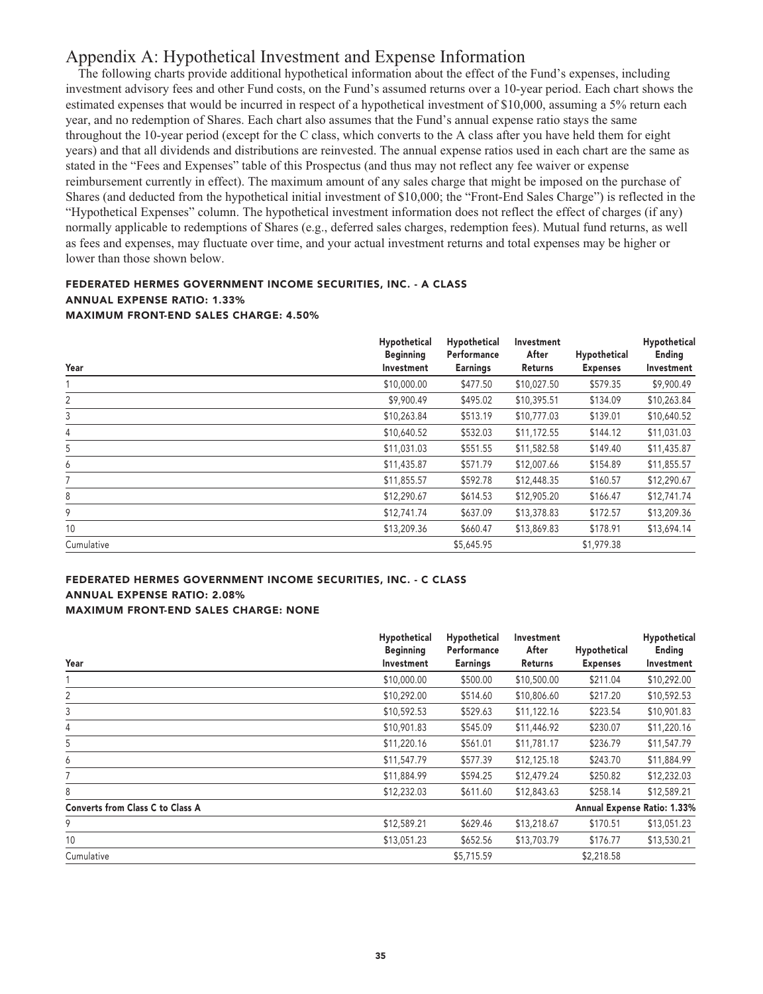## **Appendix A: Hypothetical Investment and Expense Information**

**The following charts provide additional hypothetical information about the effect of the Fund's expenses, including investment advisory fees and other Fund costs, on the Fund's assumed returns over a 10-year period. Each chart shows the estimated expenses that would be incurred in respect of a hypothetical investment of \$10,000, assuming a 5% return each year, and no redemption of Shares. Each chart also assumes that the Fund's annual expense ratio stays the same throughout the 10-year period (except for the C class, which converts to the A class after you have held them for eight years) and that all dividends and distributions are reinvested. The annual expense ratios used in each chart are the same as stated in the "Fees and Expenses" table of this Prospectus (and thus may not reflect any fee waiver or expense reimbursement currently in effect). The maximum amount of any sales charge that might be imposed on the purchase of Shares (and deducted from the hypothetical initial investment of \$10,000; the "Front-End Sales Charge") is reflected in the "Hypothetical Expenses" column. The hypothetical investment information does not reflect the effect of charges (if any) normally applicable to redemptions of Shares (e.g., deferred sales charges, redemption fees). Mutual fund returns, as well as fees and expenses, may fluctuate over time, and your actual investment returns and total expenses may be higher or lower than those shown below.**

#### **FEDERATED HERMES GOVERNMENT INCOME SECURITIES, INC. - A CLASS ANNUAL EXPENSE RATIO: 1.33% MAXIMUM FRONT-END SALES CHARGE: 4.50%**

| Year       | Hypothetical<br><b>Beginning</b><br>Investment | Hypothetical<br>Performance<br><b>Earnings</b> | Investment<br>After<br>Returns | Hypothetical<br><b>Expenses</b> | Hypothetical<br>Ending<br>Investment |
|------------|------------------------------------------------|------------------------------------------------|--------------------------------|---------------------------------|--------------------------------------|
|            | \$10,000.00                                    | \$477.50                                       | \$10,027.50                    | \$579.35                        | \$9,900.49                           |
| 2          | \$9,900.49                                     | \$495.02                                       | \$10,395.51                    | \$134.09                        | \$10,263.84                          |
| 3          | \$10,263.84                                    | \$513.19                                       | \$10,777.03                    | \$139.01                        | \$10,640.52                          |
| 4          | \$10,640.52                                    | \$532.03                                       | \$11,172.55                    | \$144.12                        | \$11,031.03                          |
| 5          | \$11,031.03                                    | \$551.55                                       | \$11,582.58                    | \$149.40                        | \$11,435.87                          |
| 6          | \$11,435.87                                    | \$571.79                                       | \$12,007.66                    | \$154.89                        | \$11,855.57                          |
| 7          | \$11,855.57                                    | \$592.78                                       | \$12,448.35                    | \$160.57                        | \$12,290.67                          |
| 8          | \$12,290.67                                    | \$614.53                                       | \$12,905.20                    | \$166.47                        | \$12,741.74                          |
| 9          | \$12,741.74                                    | \$637.09                                       | \$13,378.83                    | \$172.57                        | \$13,209.36                          |
| 10         | \$13,209.36                                    | \$660.47                                       | \$13,869.83                    | \$178.91                        | \$13,694.14                          |
| Cumulative |                                                | \$5,645.95                                     |                                | \$1,979.38                      |                                      |

#### **FEDERATED HERMES GOVERNMENT INCOME SECURITIES, INC. - C CLASS ANNUAL EXPENSE RATIO: 2.08% MAXIMUM FRONT-END SALES CHARGE: NONE**

|                                         | Hypothetical<br><b>Beginning</b> | Hypothetical<br>Performance | Investment<br>After | Hypothetical    | Hypothetical<br>Ending      |
|-----------------------------------------|----------------------------------|-----------------------------|---------------------|-----------------|-----------------------------|
| Year                                    | Investment                       | <b>Earnings</b>             | <b>Returns</b>      | <b>Expenses</b> | Investment                  |
|                                         | \$10,000.00                      | \$500.00                    | \$10,500.00         | \$211.04        | \$10,292.00                 |
| 2                                       | \$10,292.00                      | \$514.60                    | \$10,806.60         | \$217.20        | \$10,592.53                 |
| 3                                       | \$10,592.53                      | \$529.63                    | \$11,122.16         | \$223.54        | \$10,901.83                 |
| 4                                       | \$10,901.83                      | \$545.09                    | \$11,446.92         | \$230.07        | \$11,220.16                 |
| 5                                       | \$11,220.16                      | \$561.01                    | \$11,781.17         | \$236.79        | \$11,547.79                 |
| 6                                       | \$11,547.79                      | \$577.39                    | \$12,125.18         | \$243.70        | \$11,884.99                 |
| 7                                       | \$11,884.99                      | \$594.25                    | \$12,479.24         | \$250.82        | \$12,232.03                 |
| 8                                       | \$12,232.03                      | \$611.60                    | \$12,843.63         | \$258.14        | \$12,589.21                 |
| <b>Converts from Class C to Class A</b> |                                  |                             |                     |                 | Annual Expense Ratio: 1.33% |
| 9                                       | \$12,589.21                      | \$629.46                    | \$13,218.67         | \$170.51        | \$13,051.23                 |
| 10                                      | \$13,051.23                      | \$652.56                    | \$13,703.79         | \$176.77        | \$13,530.21                 |
| Cumulative                              |                                  | \$5,715.59                  |                     | \$2,218.58      |                             |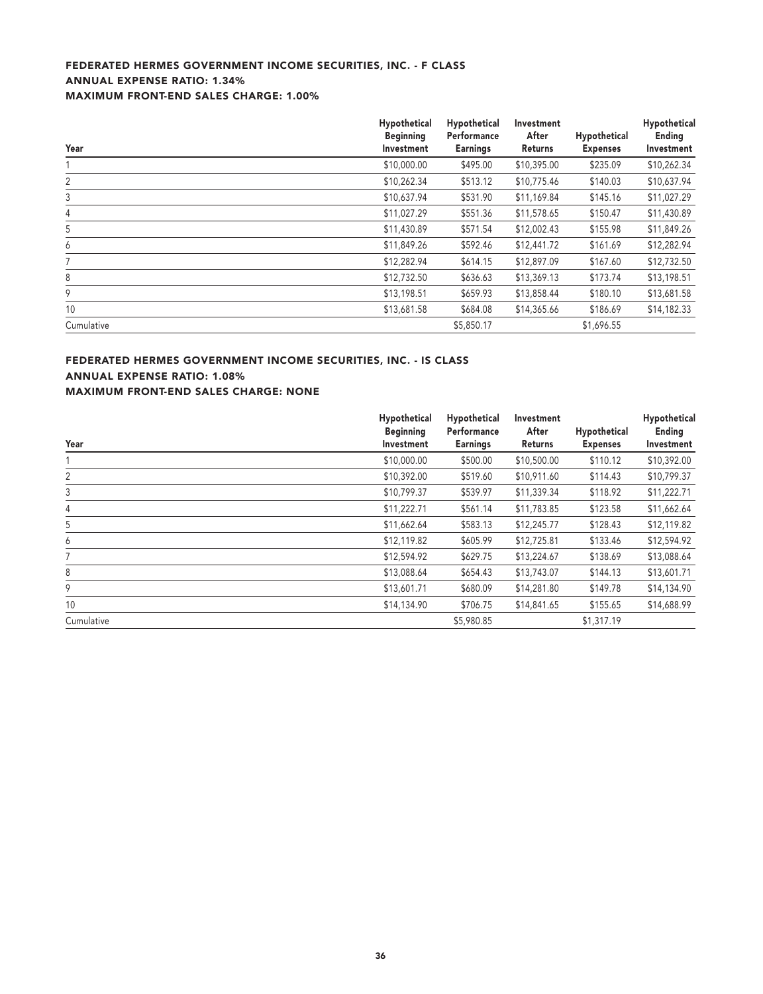## **FEDERATED HERMES GOVERNMENT INCOME SECURITIES, INC. - F CLASS ANNUAL EXPENSE RATIO: 1.34% MAXIMUM FRONT-END SALES CHARGE: 1.00%**

| Year       | Hypothetical<br><b>Beginning</b><br>Investment | Hypothetical<br>Performance<br><b>Earnings</b> | Investment<br>After<br><b>Returns</b> | Hypothetical<br><b>Expenses</b> | Hypothetical<br><b>Ending</b><br>Investment |
|------------|------------------------------------------------|------------------------------------------------|---------------------------------------|---------------------------------|---------------------------------------------|
|            | \$10,000.00                                    | \$495.00                                       | \$10,395.00                           | \$235.09                        | \$10,262.34                                 |
| 2          | \$10,262.34                                    | \$513.12                                       | \$10,775.46                           | \$140.03                        | \$10,637.94                                 |
| 3          | \$10,637.94                                    | \$531.90                                       | \$11,169.84                           | \$145.16                        | \$11,027.29                                 |
| 4          | \$11,027.29                                    | \$551.36                                       | \$11,578.65                           | \$150.47                        | \$11,430.89                                 |
| 5          | \$11,430.89                                    | \$571.54                                       | \$12,002.43                           | \$155.98                        | \$11,849.26                                 |
| 6          | \$11,849.26                                    | \$592.46                                       | \$12,441.72                           | \$161.69                        | \$12,282.94                                 |
|            | \$12,282.94                                    | \$614.15                                       | \$12,897.09                           | \$167.60                        | \$12,732.50                                 |
| 8          | \$12,732.50                                    | \$636.63                                       | \$13,369.13                           | \$173.74                        | \$13,198.51                                 |
| 9          | \$13,198.51                                    | \$659.93                                       | \$13,858.44                           | \$180.10                        | \$13,681.58                                 |
| 10         | \$13,681.58                                    | \$684.08                                       | \$14,365.66                           | \$186.69                        | \$14,182.33                                 |
| Cumulative |                                                | \$5,850.17                                     |                                       | \$1,696.55                      |                                             |

## **FEDERATED HERMES GOVERNMENT INCOME SECURITIES, INC. - IS CLASS ANNUAL EXPENSE RATIO: 1.08%**

**MAXIMUM FRONT-END SALES CHARGE: NONE**

|            | Hypothetical                   | Hypothetical<br>Performance | Investment<br>After |                                 | Hypothetical         |
|------------|--------------------------------|-----------------------------|---------------------|---------------------------------|----------------------|
| Year       | <b>Beginning</b><br>Investment | <b>Earnings</b>             | Returns             | Hypothetical<br><b>Expenses</b> | Ending<br>Investment |
|            | \$10,000.00                    | \$500.00                    | \$10,500.00         | \$110.12                        | \$10,392.00          |
| 2          | \$10,392.00                    | \$519.60                    | \$10,911.60         | \$114.43                        | \$10,799.37          |
| 3          | \$10,799.37                    | \$539.97                    | \$11,339.34         | \$118.92                        | \$11,222.71          |
| 4          | \$11,222.71                    | \$561.14                    | \$11,783.85         | \$123.58                        | \$11,662.64          |
| 5          | \$11,662.64                    | \$583.13                    | \$12,245.77         | \$128.43                        | \$12,119.82          |
| 6          | \$12,119.82                    | \$605.99                    | \$12,725.81         | \$133.46                        | \$12,594.92          |
|            | \$12,594.92                    | \$629.75                    | \$13,224.67         | \$138.69                        | \$13,088.64          |
| 8          | \$13,088.64                    | \$654.43                    | \$13,743.07         | \$144.13                        | \$13,601.71          |
| 9          | \$13,601.71                    | \$680.09                    | \$14,281.80         | \$149.78                        | \$14,134.90          |
| 10         | \$14,134.90                    | \$706.75                    | \$14,841.65         | \$155.65                        | \$14,688.99          |
| Cumulative |                                | \$5,980.85                  |                     | \$1,317.19                      |                      |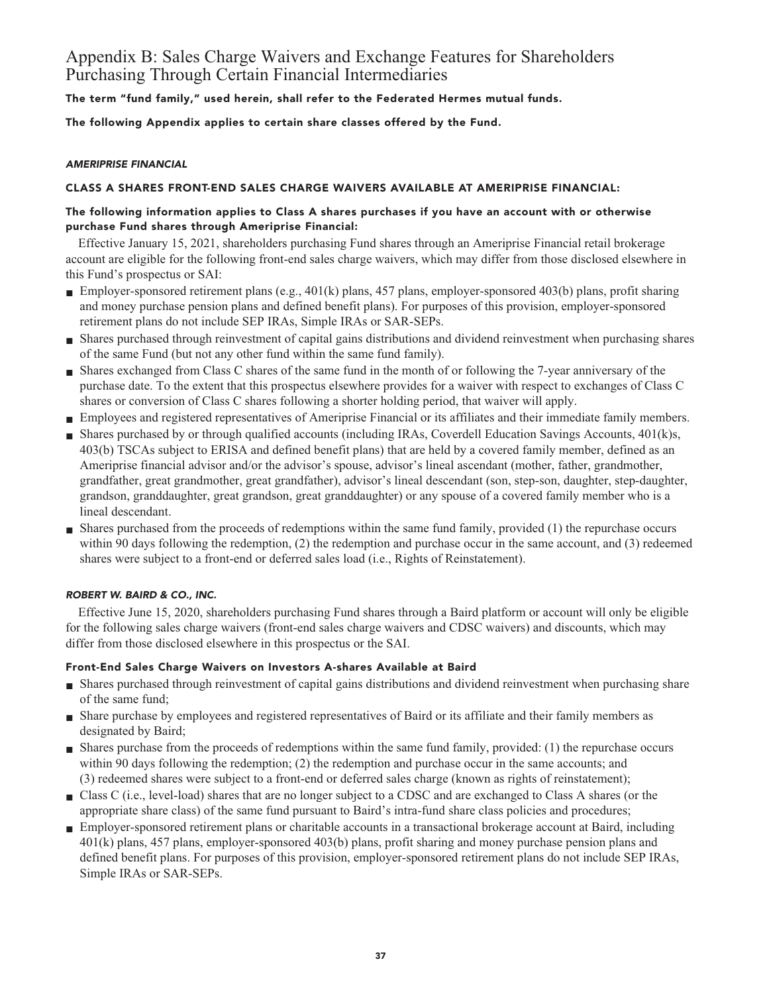## **Appendix B: Sales Charge Waivers and Exchange Features for Shareholders Purchasing Through Certain Financial Intermediaries**

**The term "fund family," used herein, shall refer to the Federated Hermes mutual funds.**

**The following Appendix applies to certain share classes offered by the Fund.**

### **AMERIPRISE FINANCIAL**

## **CLASS A SHARES FRONT-END SALES CHARGE WAIVERS AVAILABLE AT AMERIPRISE FINANCIAL:**

## **The following information applies to Class A shares purchases if you have an account with or otherwise purchase Fund shares through Ameriprise Financial:**

**Effective January 15, 2021, shareholders purchasing Fund shares through an Ameriprise Financial retail brokerage account are eligible for the following front-end sales charge waivers, which may differ from those disclosed elsewhere in this Fund's prospectus or SAI:**

- **Employer-sponsored retirement plans (e.g., 401(k) plans, 457 plans, employer-sponsored 403(b) plans, profit sharing and money purchase pension plans and defined benefit plans). For purposes of this provision, employer-sponsored retirement plans do not include SEP IRAs, Simple IRAs or SAR-SEPs.**
- **■ Shares purchased through reinvestment of capital gains distributions and dividend reinvestment when purchasing shares of the same Fund (but not any other fund within the same fund family).**
- **■ Shares exchanged from Class C shares of the same fund in the month of or following the 7-year anniversary of the purchase date. To the extent that this prospectus elsewhere provides for a waiver with respect to exchanges of Class C shares or conversion of Class C shares following a shorter holding period, that waiver will apply.**
- **■ Employees and registered representatives of Ameriprise Financial or its affiliates and their immediate family members.**
- Shares purchased by or through qualified accounts (including IRAs, Coverdell Education Savings Accounts, 401(k)s, **403(b) TSCAs subject to ERISA and defined benefit plans) that are held by a covered family member, defined as an Ameriprise financial advisor and/or the advisor's spouse, advisor's lineal ascendant (mother, father, grandmother, grandfather, great grandmother, great grandfather), advisor's lineal descendant (son, step-son, daughter, step-daughter, grandson, granddaughter, great grandson, great granddaughter) or any spouse of a covered family member who is a lineal descendant.**
- **■ Shares purchased from the proceeds of redemptions within the same fund family, provided (1) the repurchase occurs within 90 days following the redemption, (2) the redemption and purchase occur in the same account, and (3) redeemed shares were subject to a front-end or deferred sales load (i.e., Rights of Reinstatement).**

## **ROBERT W. BAIRD & CO., INC.**

**Effective June 15, 2020, shareholders purchasing Fund shares through a Baird platform or account will only be eligible for the following sales charge waivers (front-end sales charge waivers and CDSC waivers) and discounts, which may differ from those disclosed elsewhere in this prospectus or the SAI.**

## **Front-End Sales Charge Waivers on Investors A-shares Available at Baird**

- **■ Shares purchased through reinvestment of capital gains distributions and dividend reinvestment when purchasing share of the same fund;**
- **■ Share purchase by employees and registered representatives of Baird or its affiliate and their family members as designated by Baird;**
- **■ Shares purchase from the proceeds of redemptions within the same fund family, provided: (1) the repurchase occurs within 90 days following the redemption; (2) the redemption and purchase occur in the same accounts; and (3) redeemed shares were subject to a front-end or deferred sales charge (known as rights of reinstatement);**
- **■ Class C (i.e., level-load) shares that are no longer subject to a CDSC and are exchanged to Class A shares (or the appropriate share class) of the same fund pursuant to Baird's intra-fund share class policies and procedures;**
- **Employer-sponsored retirement plans or charitable accounts in a transactional brokerage account at Baird, including 401(k) plans, 457 plans, employer-sponsored 403(b) plans, profit sharing and money purchase pension plans and defined benefit plans. For purposes of this provision, employer-sponsored retirement plans do not include SEP IRAs, Simple IRAs or SAR-SEPs.**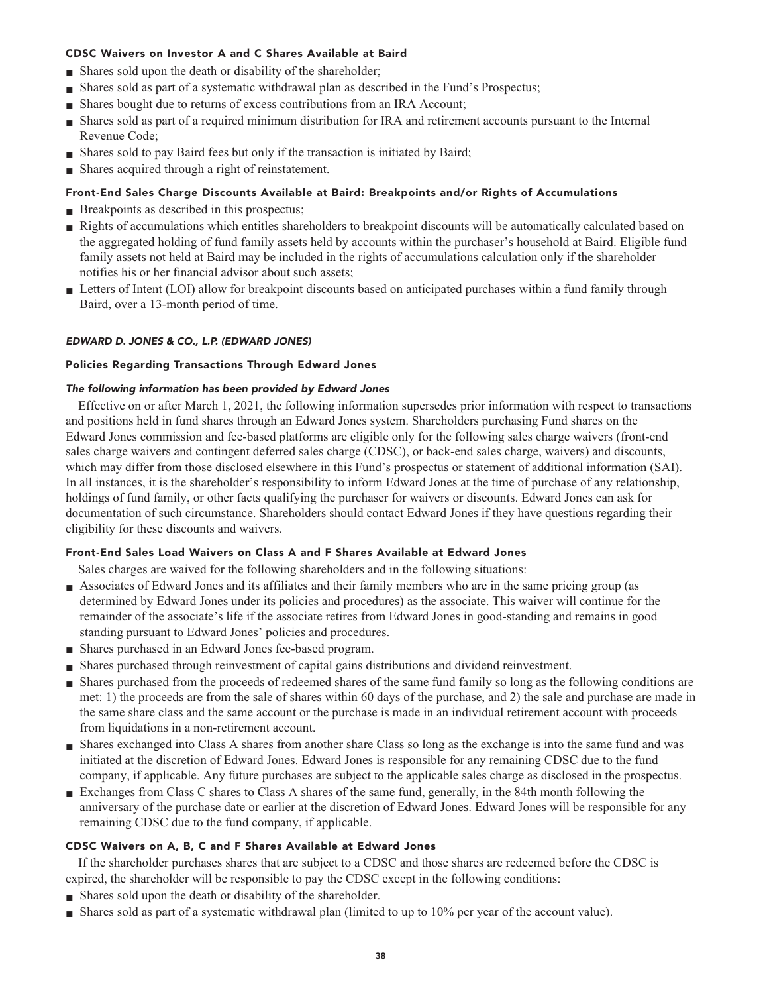#### **CDSC Waivers on Investor A and C Shares Available at Baird**

- **■ Shares sold upon the death or disability of the shareholder;**
- **■ Shares sold as part of a systematic withdrawal plan as described in the Fund's Prospectus;**
- **Shares bought due to returns of excess contributions from an IRA Account;**
- **■ Shares sold as part of a required minimum distribution for IRA and retirement accounts pursuant to the Internal Revenue Code;**
- **Shares sold to pay Baird fees but only if the transaction is initiated by Baird;**
- **■ Shares acquired through a right of reinstatement.**

#### **Front-End Sales Charge Discounts Available at Baird: Breakpoints and/or Rights of Accumulations**

- **Breakpoints as described in this prospectus;**
- **Rights of accumulations which entitles shareholders to breakpoint discounts will be automatically calculated based on the aggregated holding of fund family assets held by accounts within the purchaser's household at Baird. Eligible fund family assets not held at Baird may be included in the rights of accumulations calculation only if the shareholder notifies his or her financial advisor about such assets;**
- Letters of Intent (LOI) allow for breakpoint discounts based on anticipated purchases within a fund family through **Baird, over a 13-month period of time.**

#### **EDWARD D. JONES & CO., L.P. (EDWARD JONES)**

#### **Policies Regarding Transactions Through Edward Jones**

#### **The following information has been provided by Edward Jones**

**Effective on or after March 1, 2021, the following information supersedes prior information with respect to transactions and positions held in fund shares through an Edward Jones system. Shareholders purchasing Fund shares on the Edward Jones commission and fee-based platforms are eligible only for the following sales charge waivers (front-end sales charge waivers and contingent deferred sales charge (CDSC), or back-end sales charge, waivers) and discounts, which may differ from those disclosed elsewhere in this Fund's prospectus or statement of additional information (SAI). In all instances, it is the shareholder's responsibility to inform Edward Jones at the time of purchase of any relationship, holdings of fund family, or other facts qualifying the purchaser for waivers or discounts. Edward Jones can ask for documentation of such circumstance. Shareholders should contact Edward Jones if they have questions regarding their eligibility for these discounts and waivers.**

#### **Front-End Sales Load Waivers on Class A and F Shares Available at Edward Jones**

**Sales charges are waived for the following shareholders and in the following situations:**

- **■ Associates of Edward Jones and its affiliates and their family members who are in the same pricing group (as determined by Edward Jones under its policies and procedures) as the associate. This waiver will continue for the remainder of the associate's life if the associate retires from Edward Jones in good-standing and remains in good standing pursuant to Edward Jones' policies and procedures.**
- **■ Shares purchased in an Edward Jones fee-based program.**
- **■ Shares purchased through reinvestment of capital gains distributions and dividend reinvestment.**
- **■ Shares purchased from the proceeds of redeemed shares of the same fund family so long as the following conditions are met: 1) the proceeds are from the sale of shares within 60 days of the purchase, and 2) the sale and purchase are made in the same share class and the same account or the purchase is made in an individual retirement account with proceeds from liquidations in a non-retirement account.**
- **■ Shares exchanged into Class A shares from another share Class so long as the exchange is into the same fund and was initiated at the discretion of Edward Jones. Edward Jones is responsible for any remaining CDSC due to the fund company, if applicable. Any future purchases are subject to the applicable sales charge as disclosed in the prospectus.**
- **Exchanges from Class C shares to Class A shares of the same fund, generally, in the 84th month following the anniversary of the purchase date or earlier at the discretion of Edward Jones. Edward Jones will be responsible for any remaining CDSC due to the fund company, if applicable.**

#### **CDSC Waivers on A, B, C and F Shares Available at Edward Jones**

**If the shareholder purchases shares that are subject to a CDSC and those shares are redeemed before the CDSC is expired, the shareholder will be responsible to pay the CDSC except in the following conditions:**

- **■ Shares sold upon the death or disability of the shareholder.**
- **■ Shares sold as part of a systematic withdrawal plan (limited to up to 10% per year of the account value).**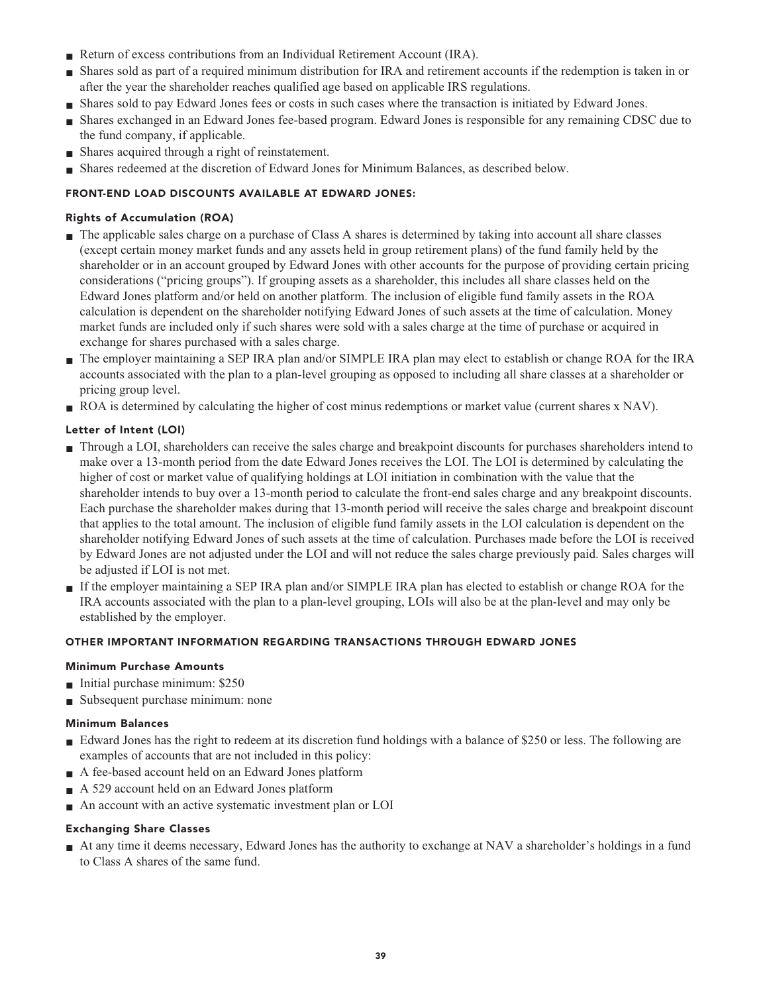- **Return of excess contributions from an Individual Retirement Account (IRA).**
- **■ Shares sold as part of a required minimum distribution for IRA and retirement accounts if the redemption is taken in or after the year the shareholder reaches qualified age based on applicable IRS regulations.**
- **■ Shares sold to pay Edward Jones fees or costs in such cases where the transaction is initiated by Edward Jones.**
- **■ Shares exchanged in an Edward Jones fee-based program. Edward Jones is responsible for any remaining CDSC due to the fund company, if applicable.**
- **Shares acquired through a right of reinstatement.**
- **■ Shares redeemed at the discretion of Edward Jones for Minimum Balances, as described below.**

## **FRONT-END LOAD DISCOUNTS AVAILABLE AT EDWARD JONES:**

## **Rights of Accumulation (ROA)**

- **■ The applicable sales charge on a purchase of Class A shares is determined by taking into account all share classes (except certain money market funds and any assets held in group retirement plans) of the fund family held by the shareholder or in an account grouped by Edward Jones with other accounts for the purpose of providing certain pricing considerations ("pricing groups"). If grouping assets as a shareholder, this includes all share classes held on the Edward Jones platform and/or held on another platform. The inclusion of eligible fund family assets in the ROA calculation is dependent on the shareholder notifying Edward Jones of such assets at the time of calculation. Money market funds are included only if such shares were sold with a sales charge at the time of purchase or acquired in exchange for shares purchased with a sales charge.**
- **■ The employer maintaining a SEP IRA plan and/or SIMPLE IRA plan may elect to establish or change ROA for the IRA accounts associated with the plan to a plan-level grouping as opposed to including all share classes at a shareholder or pricing group level.**
- **ROA** is determined by calculating the higher of cost minus redemptions or market value (current shares x NAV).

## **Letter of Intent (LOI)**

- **■ Through a LOI, shareholders can receive the sales charge and breakpoint discounts for purchases shareholders intend to make over a 13-month period from the date Edward Jones receives the LOI. The LOI is determined by calculating the higher of cost or market value of qualifying holdings at LOI initiation in combination with the value that the shareholder intends to buy over a 13-month period to calculate the front-end sales charge and any breakpoint discounts. Each purchase the shareholder makes during that 13-month period will receive the sales charge and breakpoint discount that applies to the total amount. The inclusion of eligible fund family assets in the LOI calculation is dependent on the shareholder notifying Edward Jones of such assets at the time of calculation. Purchases made before the LOI is received by Edward Jones are not adjusted under the LOI and will not reduce the sales charge previously paid. Sales charges will be adjusted if LOI is not met.**
- **■ If the employer maintaining a SEP IRA plan and/or SIMPLE IRA plan has elected to establish or change ROA for the IRA accounts associated with the plan to a plan-level grouping, LOIs will also be at the plan-level and may only be established by the employer.**

## **OTHER IMPORTANT INFORMATION REGARDING TRANSACTIONS THROUGH EDWARD JONES**

## **Minimum Purchase Amounts**

- **■ Initial purchase minimum: \$250**
- **■ Subsequent purchase minimum: none**

## **Minimum Balances**

- **■ Edward Jones has the right to redeem at its discretion fund holdings with a balance of \$250 or less. The following are examples of accounts that are not included in this policy:**
- **■ A fee-based account held on an Edward Jones platform**
- **■ A 529 account held on an Edward Jones platform**
- **■ An account with an active systematic investment plan or LOI**

## **Exchanging Share Classes**

**■ At any time it deems necessary, Edward Jones has the authority to exchange at NAV a shareholder's holdings in a fund to Class A shares of the same fund.**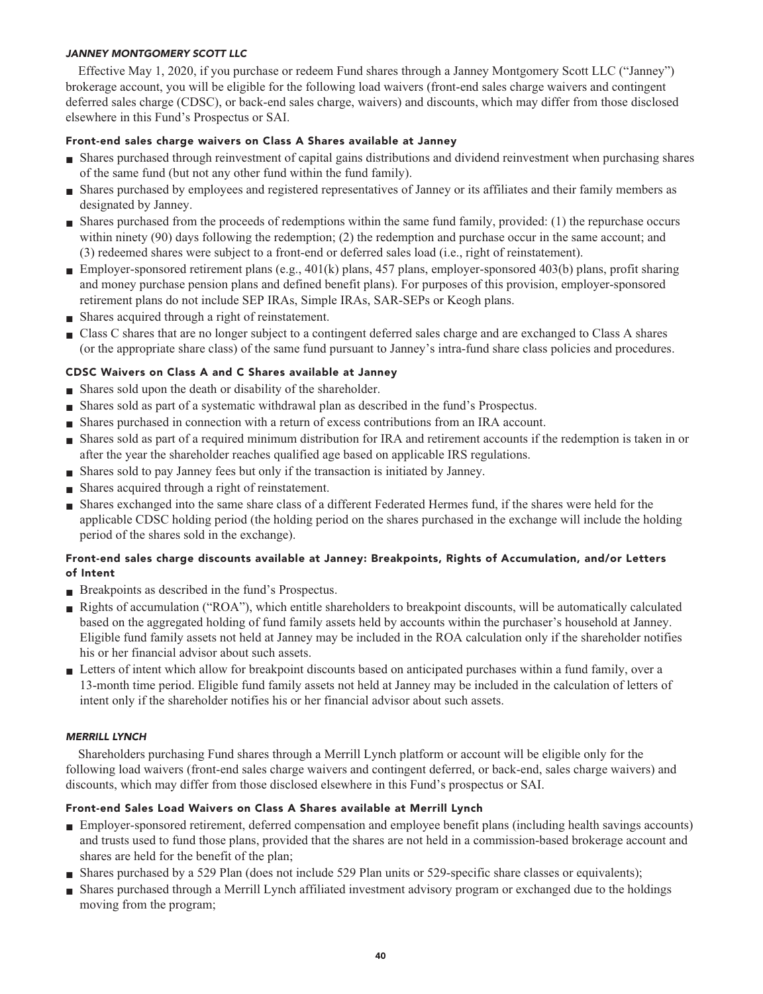## **JANNEY MONTGOMERY SCOTT LLC**

**Effective May 1, 2020, if you purchase or redeem Fund shares through a Janney Montgomery Scott LLC ("Janney") brokerage account, you will be eligible for the following load waivers (front-end sales charge waivers and contingent deferred sales charge (CDSC), or back-end sales charge, waivers) and discounts, which may differ from those disclosed elsewhere in this Fund's Prospectus or SAI.**

#### **Front-end sales charge waivers on Class A Shares available at Janney**

- **■ Shares purchased through reinvestment of capital gains distributions and dividend reinvestment when purchasing shares of the same fund (but not any other fund within the fund family).**
- **■ Shares purchased by employees and registered representatives of Janney or its affiliates and their family members as designated by Janney.**
- **■ Shares purchased from the proceeds of redemptions within the same fund family, provided: (1) the repurchase occurs within ninety (90) days following the redemption; (2) the redemption and purchase occur in the same account; and (3) redeemed shares were subject to a front-end or deferred sales load (i.e., right of reinstatement).**
- **Employer-sponsored retirement plans (e.g., 401(k) plans, 457 plans, employer-sponsored 403(b) plans, profit sharing and money purchase pension plans and defined benefit plans). For purposes of this provision, employer-sponsored retirement plans do not include SEP IRAs, Simple IRAs, SAR-SEPs or Keogh plans.**
- **■ Shares acquired through a right of reinstatement.**
- **■ Class C shares that are no longer subject to a contingent deferred sales charge and are exchanged to Class A shares (or the appropriate share class) of the same fund pursuant to Janney's intra-fund share class policies and procedures.**

## **CDSC Waivers on Class A and C Shares available at Janney**

- **■ Shares sold upon the death or disability of the shareholder.**
- **■ Shares sold as part of a systematic withdrawal plan as described in the fund's Prospectus.**
- **■ Shares purchased in connection with a return of excess contributions from an IRA account.**
- **■ Shares sold as part of a required minimum distribution for IRA and retirement accounts if the redemption is taken in or after the year the shareholder reaches qualified age based on applicable IRS regulations.**
- **■ Shares sold to pay Janney fees but only if the transaction is initiated by Janney.**
- **■ Shares acquired through a right of reinstatement.**
- **■ Shares exchanged into the same share class of a different Federated Hermes fund, if the shares were held for the applicable CDSC holding period (the holding period on the shares purchased in the exchange will include the holding period of the shares sold in the exchange).**

## **Front-end sales charge discounts available at Janney: Breakpoints, Rights of Accumulation, and/or Letters of Intent**

- **■ Breakpoints as described in the fund's Prospectus.**
- **■ Rights of accumulation ("ROA"), which entitle shareholders to breakpoint discounts, will be automatically calculated based on the aggregated holding of fund family assets held by accounts within the purchaser's household at Janney. Eligible fund family assets not held at Janney may be included in the ROA calculation only if the shareholder notifies his or her financial advisor about such assets.**
- **■ Letters of intent which allow for breakpoint discounts based on anticipated purchases within a fund family, over a 13-month time period. Eligible fund family assets not held at Janney may be included in the calculation of letters of intent only if the shareholder notifies his or her financial advisor about such assets.**

#### **MERRILL LYNCH**

**Shareholders purchasing Fund shares through a Merrill Lynch platform or account will be eligible only for the following load waivers (front-end sales charge waivers and contingent deferred, or back-end, sales charge waivers) and discounts, which may differ from those disclosed elsewhere in this Fund's prospectus or SAI.**

## **Front-end Sales Load Waivers on Class A Shares available at Merrill Lynch**

- **■ Employer-sponsored retirement, deferred compensation and employee benefit plans (including health savings accounts) and trusts used to fund those plans, provided that the shares are not held in a commission-based brokerage account and shares are held for the benefit of the plan;**
- **Shares purchased by a 529 Plan (does not include 529 Plan units or 529-specific share classes or equivalents);**
- **■ Shares purchased through a Merrill Lynch affiliated investment advisory program or exchanged due to the holdings moving from the program;**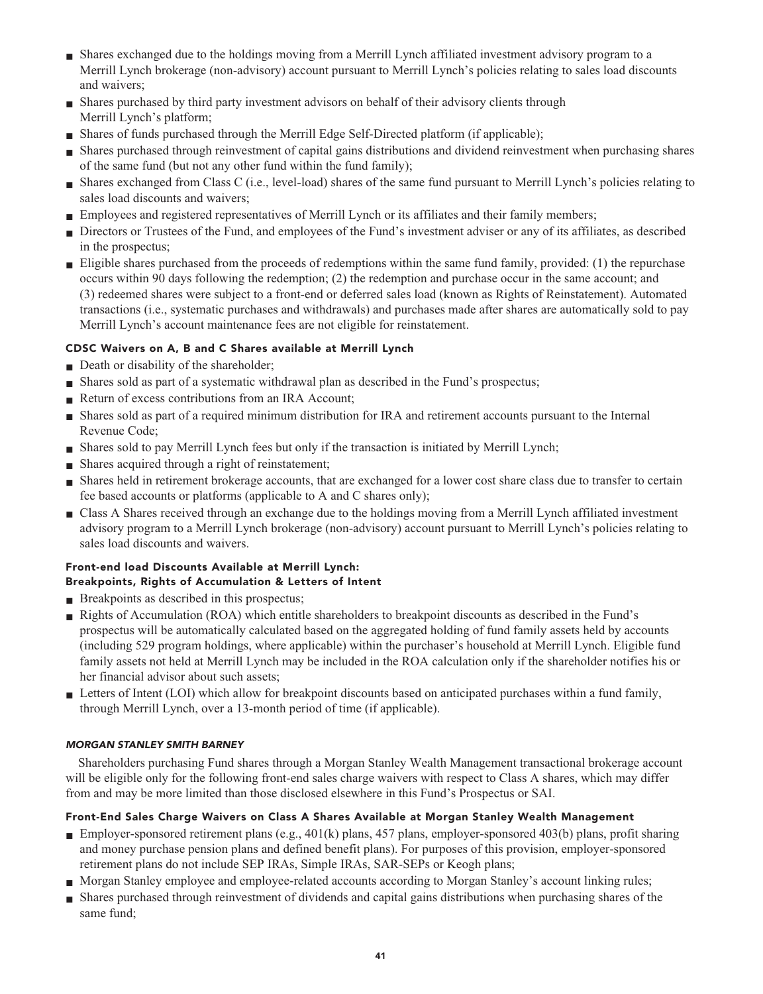- **■ Shares exchanged due to the holdings moving from a Merrill Lynch affiliated investment advisory program to a Merrill Lynch brokerage (non-advisory) account pursuant to Merrill Lynch's policies relating to sales load discounts and waivers;**
- **■ Shares purchased by third party investment advisors on behalf of their advisory clients through Merrill Lynch's platform;**
- **Shares of funds purchased through the Merrill Edge Self-Directed platform (if applicable);**
- **■ Shares purchased through reinvestment of capital gains distributions and dividend reinvestment when purchasing shares of the same fund (but not any other fund within the fund family);**
- **■ Shares exchanged from Class C (i.e., level-load) shares of the same fund pursuant to Merrill Lynch's policies relating to sales load discounts and waivers;**
- **■ Employees and registered representatives of Merrill Lynch or its affiliates and their family members;**
- **■ Directors or Trustees of the Fund, and employees of the Fund's investment adviser or any of its affiliates, as described in the prospectus;**
- **■ Eligible shares purchased from the proceeds of redemptions within the same fund family, provided: (1) the repurchase occurs within 90 days following the redemption; (2) the redemption and purchase occur in the same account; and (3) redeemed shares were subject to a front-end or deferred sales load (known as Rights of Reinstatement). Automated transactions (i.e., systematic purchases and withdrawals) and purchases made after shares are automatically sold to pay Merrill Lynch's account maintenance fees are not eligible for reinstatement.**

## **CDSC Waivers on A, B and C Shares available at Merrill Lynch**

- **Death or disability of the shareholder;**
- **■ Shares sold as part of a systematic withdrawal plan as described in the Fund's prospectus;**
- **Return of excess contributions from an IRA Account;**
- **■ Shares sold as part of a required minimum distribution for IRA and retirement accounts pursuant to the Internal Revenue Code;**
- **■ Shares sold to pay Merrill Lynch fees but only if the transaction is initiated by Merrill Lynch;**
- **■ Shares acquired through a right of reinstatement;**
- **Shares held in retirement brokerage accounts, that are exchanged for a lower cost share class due to transfer to certain fee based accounts or platforms (applicable to A and C shares only);**
- **■ Class A Shares received through an exchange due to the holdings moving from a Merrill Lynch affiliated investment advisory program to a Merrill Lynch brokerage (non-advisory) account pursuant to Merrill Lynch's policies relating to sales load discounts and waivers.**

## **Front-end load Discounts Available at Merrill Lynch: Breakpoints, Rights of Accumulation & Letters of Intent**

- **■ Breakpoints as described in this prospectus;**
- **■ Rights of Accumulation (ROA) which entitle shareholders to breakpoint discounts as described in the Fund's prospectus will be automatically calculated based on the aggregated holding of fund family assets held by accounts (including 529 program holdings, where applicable) within the purchaser's household at Merrill Lynch. Eligible fund family assets not held at Merrill Lynch may be included in the ROA calculation only if the shareholder notifies his or her financial advisor about such assets;**
- **■ Letters of Intent (LOI) which allow for breakpoint discounts based on anticipated purchases within a fund family, through Merrill Lynch, over a 13-month period of time (if applicable).**

## **MORGAN STANLEY SMITH BARNEY**

**Shareholders purchasing Fund shares through a Morgan Stanley Wealth Management transactional brokerage account will be eligible only for the following front-end sales charge waivers with respect to Class A shares, which may differ from and may be more limited than those disclosed elsewhere in this Fund's Prospectus or SAI.**

## **Front-End Sales Charge Waivers on Class A Shares Available at Morgan Stanley Wealth Management**

- **Employer-sponsored retirement plans (e.g., 401(k) plans, 457 plans, employer-sponsored 403(b) plans, profit sharing and money purchase pension plans and defined benefit plans). For purposes of this provision, employer-sponsored retirement plans do not include SEP IRAs, Simple IRAs, SAR-SEPs or Keogh plans;**
- **■ Morgan Stanley employee and employee-related accounts according to Morgan Stanley's account linking rules;**
- **■ Shares purchased through reinvestment of dividends and capital gains distributions when purchasing shares of the same fund;**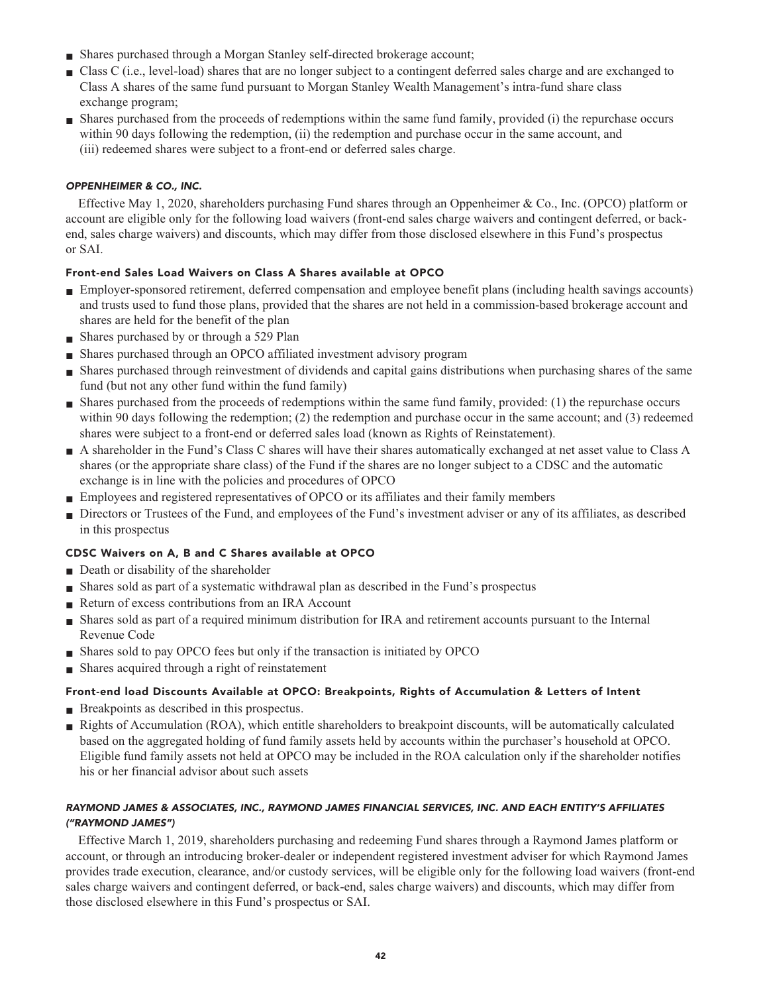- **■ Shares purchased through a Morgan Stanley self-directed brokerage account;**
- **■ Class C (i.e., level-load) shares that are no longer subject to a contingent deferred sales charge and are exchanged to Class A shares of the same fund pursuant to Morgan Stanley Wealth Management's intra-fund share class exchange program;**
- **■ Shares purchased from the proceeds of redemptions within the same fund family, provided (i) the repurchase occurs within 90 days following the redemption, (ii) the redemption and purchase occur in the same account, and (iii) redeemed shares were subject to a front-end or deferred sales charge.**

## **OPPENHEIMER & CO., INC.**

**Effective May 1, 2020, shareholders purchasing Fund shares through an Oppenheimer & Co., Inc. (OPCO) platform or account are eligible only for the following load waivers (front-end sales charge waivers and contingent deferred, or backend, sales charge waivers) and discounts, which may differ from those disclosed elsewhere in this Fund's prospectus or SAI.**

#### **Front-end Sales Load Waivers on Class A Shares available at OPCO**

- **■ Employer-sponsored retirement, deferred compensation and employee benefit plans (including health savings accounts) and trusts used to fund those plans, provided that the shares are not held in a commission-based brokerage account and shares are held for the benefit of the plan**
- **■ Shares purchased by or through a 529 Plan**
- **■ Shares purchased through an OPCO affiliated investment advisory program**
- **■ Shares purchased through reinvestment of dividends and capital gains distributions when purchasing shares of the same fund (but not any other fund within the fund family)**
- **■ Shares purchased from the proceeds of redemptions within the same fund family, provided: (1) the repurchase occurs within 90 days following the redemption; (2) the redemption and purchase occur in the same account; and (3) redeemed shares were subject to a front-end or deferred sales load (known as Rights of Reinstatement).**
- **■ A shareholder in the Fund's Class C shares will have their shares automatically exchanged at net asset value to Class A shares (or the appropriate share class) of the Fund if the shares are no longer subject to a CDSC and the automatic exchange is in line with the policies and procedures of OPCO**
- **■ Employees and registered representatives of OPCO or its affiliates and their family members**
- **■ Directors or Trustees of the Fund, and employees of the Fund's investment adviser or any of its affiliates, as described in this prospectus**

#### **CDSC Waivers on A, B and C Shares available at OPCO**

- **Death or disability of the shareholder**
- **■ Shares sold as part of a systematic withdrawal plan as described in the Fund's prospectus**
- **Return of excess contributions from an IRA Account**
- **■ Shares sold as part of a required minimum distribution for IRA and retirement accounts pursuant to the Internal Revenue Code**
- **■ Shares sold to pay OPCO fees but only if the transaction is initiated by OPCO**
- **Shares acquired through a right of reinstatement**

#### **Front-end load Discounts Available at OPCO: Breakpoints, Rights of Accumulation & Letters of Intent**

- **Breakpoints as described in this prospectus.**
- **Rights of Accumulation (ROA), which entitle shareholders to breakpoint discounts, will be automatically calculated based on the aggregated holding of fund family assets held by accounts within the purchaser's household at OPCO. Eligible fund family assets not held at OPCO may be included in the ROA calculation only if the shareholder notifies his or her financial advisor about such assets**

## **RAYMOND JAMES & ASSOCIATES, INC., RAYMOND JAMES FINANCIAL SERVICES, INC. AND EACH ENTITY'S AFFILIATES ("RAYMOND JAMES")**

**Effective March 1, 2019, shareholders purchasing and redeeming Fund shares through a Raymond James platform or account, or through an introducing broker-dealer or independent registered investment adviser for which Raymond James provides trade execution, clearance, and/or custody services, will be eligible only for the following load waivers (front-end sales charge waivers and contingent deferred, or back-end, sales charge waivers) and discounts, which may differ from those disclosed elsewhere in this Fund's prospectus or SAI.**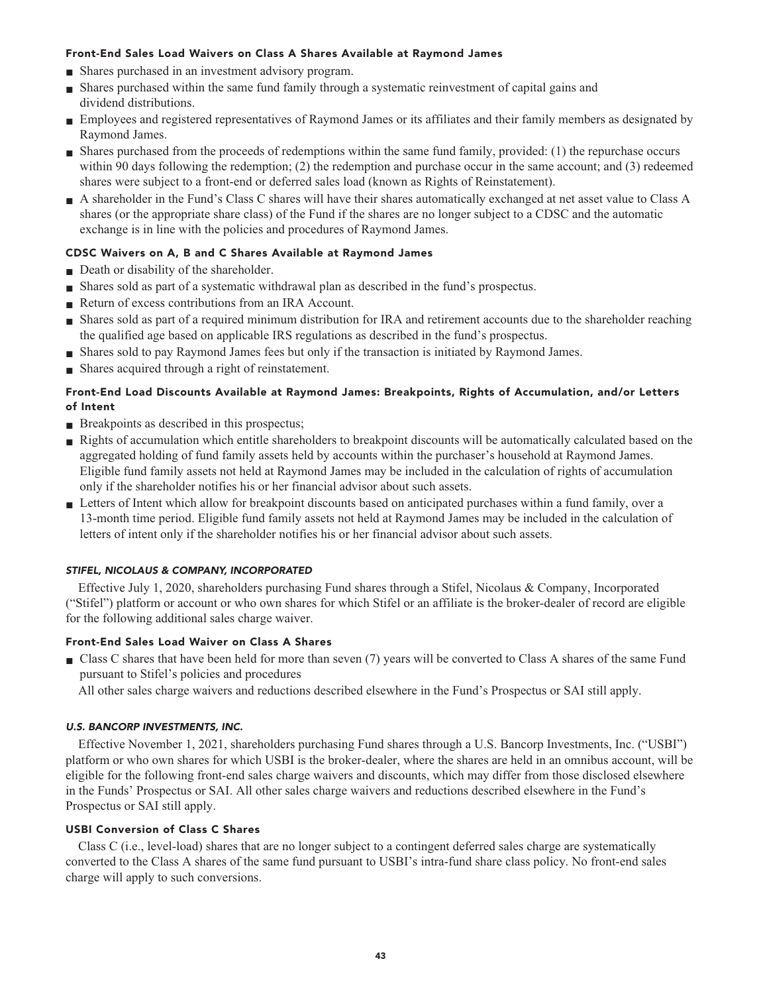### **Front-End Sales Load Waivers on Class A Shares Available at Raymond James**

- **■ Shares purchased in an investment advisory program.**
- **■ Shares purchased within the same fund family through a systematic reinvestment of capital gains and dividend distributions.**
- **■ Employees and registered representatives of Raymond James or its affiliates and their family members as designated by Raymond James.**
- **■ Shares purchased from the proceeds of redemptions within the same fund family, provided: (1) the repurchase occurs within 90 days following the redemption; (2) the redemption and purchase occur in the same account; and (3) redeemed shares were subject to a front-end or deferred sales load (known as Rights of Reinstatement).**
- **■ A shareholder in the Fund's Class C shares will have their shares automatically exchanged at net asset value to Class A shares (or the appropriate share class) of the Fund if the shares are no longer subject to a CDSC and the automatic exchange is in line with the policies and procedures of Raymond James.**

#### **CDSC Waivers on A, B and C Shares Available at Raymond James**

- **Death or disability of the shareholder.**
- **■ Shares sold as part of a systematic withdrawal plan as described in the fund's prospectus.**
- **■ Return of excess contributions from an IRA Account.**
- **■ Shares sold as part of a required minimum distribution for IRA and retirement accounts due to the shareholder reaching the qualified age based on applicable IRS regulations as described in the fund's prospectus.**
- **■ Shares sold to pay Raymond James fees but only if the transaction is initiated by Raymond James.**
- **■ Shares acquired through a right of reinstatement.**

## **Front-End Load Discounts Available at Raymond James: Breakpoints, Rights of Accumulation, and/or Letters of Intent**

- **Breakpoints as described in this prospectus;**
- **■ Rights of accumulation which entitle shareholders to breakpoint discounts will be automatically calculated based on the aggregated holding of fund family assets held by accounts within the purchaser's household at Raymond James. Eligible fund family assets not held at Raymond James may be included in the calculation of rights of accumulation only if the shareholder notifies his or her financial advisor about such assets.**
- **■ Letters of Intent which allow for breakpoint discounts based on anticipated purchases within a fund family, over a 13-month time period. Eligible fund family assets not held at Raymond James may be included in the calculation of letters of intent only if the shareholder notifies his or her financial advisor about such assets.**

#### **STIFEL, NICOLAUS & COMPANY, INCORPORATED**

**Effective July 1, 2020, shareholders purchasing Fund shares through a Stifel, Nicolaus & Company, Incorporated ("Stifel") platform or account or who own shares for which Stifel or an affiliate is the broker-dealer of record are eligible for the following additional sales charge waiver.**

#### **Front-End Sales Load Waiver on Class A Shares**

- **■ Class C shares that have been held for more than seven (7) years will be converted to Class A shares of the same Fund pursuant to Stifel's policies and procedures**
	- **All other sales charge waivers and reductions described elsewhere in the Fund's Prospectus or SAI still apply.**

#### **U.S. BANCORP INVESTMENTS, INC.**

**Effective November 1, 2021, shareholders purchasing Fund shares through a U.S. Bancorp Investments, Inc. ("USBI") platform or who own shares for which USBI is the broker-dealer, where the shares are held in an omnibus account, will be eligible for the following front-end sales charge waivers and discounts, which may differ from those disclosed elsewhere in the Funds' Prospectus or SAI. All other sales charge waivers and reductions described elsewhere in the Fund's Prospectus or SAI still apply.**

## **USBI Conversion of Class C Shares**

**Class C (i.e., level-load) shares that are no longer subject to a contingent deferred sales charge are systematically converted to the Class A shares of the same fund pursuant to USBI's intra-fund share class policy. No front-end sales charge will apply to such conversions.**